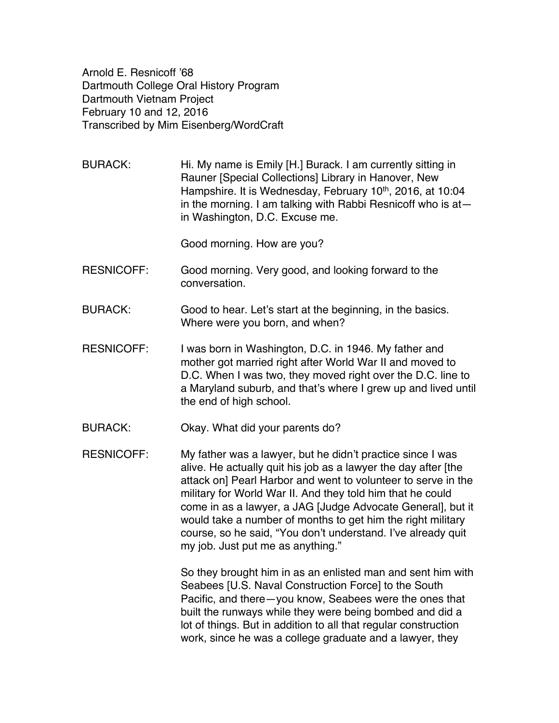Arnold E. Resnicoff '68 Dartmouth College Oral History Program Dartmouth Vietnam Project February 10 and 12, 2016 Transcribed by Mim Eisenberg/WordCraft

BURACK: Hi. My name is Emily [H.] Burack. I am currently sitting in Rauner [Special Collections] Library in Hanover, New Hampshire. It is Wednesday, February 10<sup>th</sup>, 2016, at 10:04 in the morning. I am talking with Rabbi Resnicoff who is at in Washington, D.C. Excuse me.

Good morning. How are you?

- RESNICOFF: Good morning. Very good, and looking forward to the conversation.
- BURACK: Good to hear. Let's start at the beginning, in the basics. Where were you born, and when?
- RESNICOFF: I was born in Washington, D.C. in 1946. My father and mother got married right after World War II and moved to D.C. When I was two, they moved right over the D.C. line to a Maryland suburb, and that's where I grew up and lived until the end of high school.
- BURACK: Okay. What did your parents do?
- RESNICOFF: My father was a lawyer, but he didn't practice since I was alive. He actually quit his job as a lawyer the day after [the attack on] Pearl Harbor and went to volunteer to serve in the military for World War II. And they told him that he could come in as a lawyer, a JAG [Judge Advocate General], but it would take a number of months to get him the right military course, so he said, "You don't understand. I've already quit my job. Just put me as anything."

So they brought him in as an enlisted man and sent him with Seabees [U.S. Naval Construction Force] to the South Pacific, and there—you know, Seabees were the ones that built the runways while they were being bombed and did a lot of things. But in addition to all that regular construction work, since he was a college graduate and a lawyer, they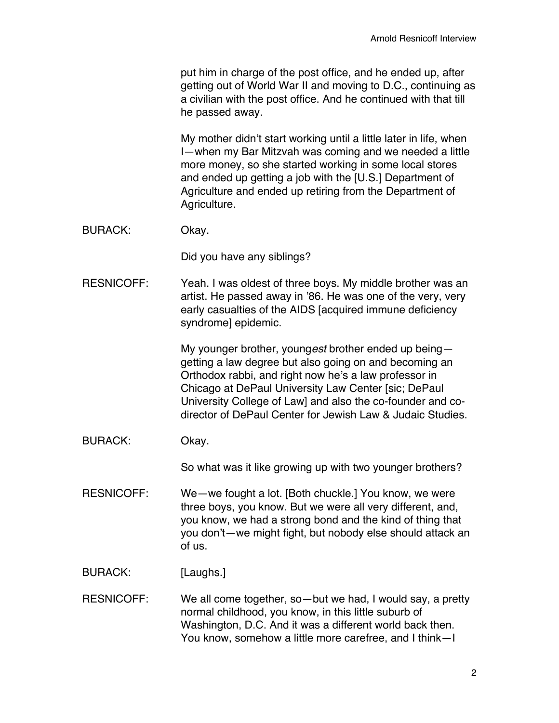put him in charge of the post office, and he ended up, after getting out of World War II and moving to D.C., continuing as a civilian with the post office. And he continued with that till he passed away.

My mother didn't start working until a little later in life, when I—when my Bar Mitzvah was coming and we needed a little more money, so she started working in some local stores and ended up getting a job with the [U.S.] Department of Agriculture and ended up retiring from the Department of Agriculture.

BURACK: Okay.

Did you have any siblings?

RESNICOFF: Yeah. I was oldest of three boys. My middle brother was an artist. He passed away in '86. He was one of the very, very early casualties of the AIDS [acquired immune deficiency syndrome] epidemic.

> My younger brother, young*est* brother ended up being getting a law degree but also going on and becoming an Orthodox rabbi, and right now he's a law professor in Chicago at DePaul University Law Center [sic; DePaul University College of Law] and also the co-founder and codirector of DePaul Center for Jewish Law & Judaic Studies.

BURACK: Okay.

So what was it like growing up with two younger brothers?

- RESNICOFF: We—we fought a lot. [Both chuckle.] You know, we were three boys, you know. But we were all very different, and, you know, we had a strong bond and the kind of thing that you don't—we might fight, but nobody else should attack an of us.
- BURACK: [Laughs.]
- RESNICOFF: We all come together, so—but we had, I would say, a pretty normal childhood, you know, in this little suburb of Washington, D.C. And it was a different world back then. You know, somehow a little more carefree, and I think—I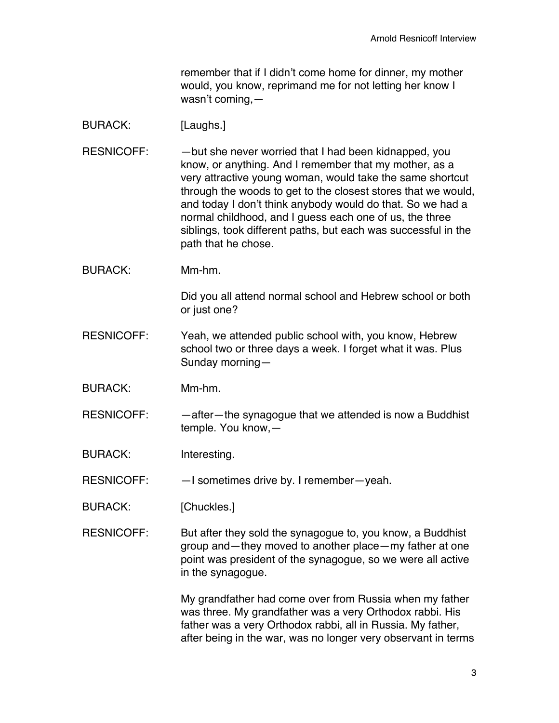remember that if I didn't come home for dinner, my mother would, you know, reprimand me for not letting her know I wasn't coming,—

## BURACK: [Laughs.]

RESNICOFF: - - but she never worried that I had been kidnapped, you know, or anything. And I remember that my mother, as a very attractive young woman, would take the same shortcut through the woods to get to the closest stores that we would, and today I don't think anybody would do that. So we had a normal childhood, and I guess each one of us, the three siblings, took different paths, but each was successful in the path that he chose.

BURACK: Mm-hm.

Did you all attend normal school and Hebrew school or both or just one?

- RESNICOFF: Yeah, we attended public school with, you know, Hebrew school two or three days a week. I forget what it was. Plus Sunday morning—
- BURACK: Mm-hm.
- $RESNICOFF:$  -after-the synagogue that we attended is now a Buddhist temple. You know,—

BURACK: Interesting.

RESNICOFF: —I sometimes drive by. I remember—yeah.

BURACK: [Chuckles.]

RESNICOFF: But after they sold the synagogue to, you know, a Buddhist group and—they moved to another place—my father at one point was president of the synagogue, so we were all active in the synagogue.

> My grandfather had come over from Russia when my father was three. My grandfather was a very Orthodox rabbi. His father was a very Orthodox rabbi, all in Russia. My father, after being in the war, was no longer very observant in terms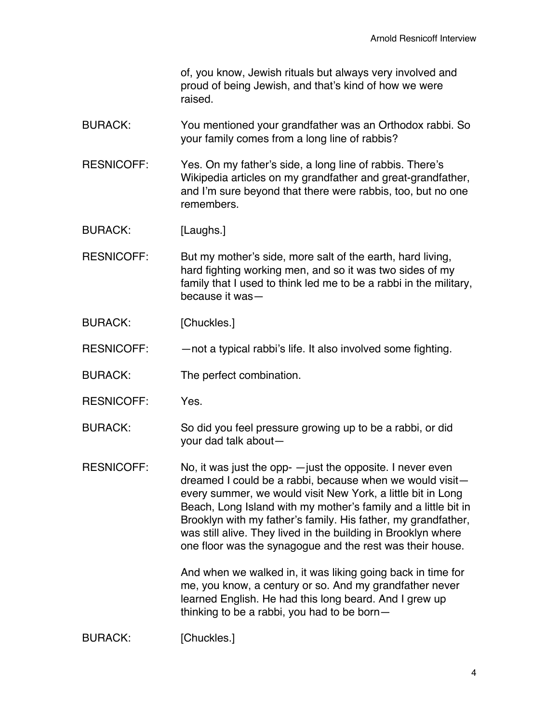of, you know, Jewish rituals but always very involved and proud of being Jewish, and that's kind of how we were raised.

- BURACK: You mentioned your grandfather was an Orthodox rabbi. So your family comes from a long line of rabbis?
- RESNICOFF: Yes. On my father's side, a long line of rabbis. There's Wikipedia articles on my grandfather and great-grandfather, and I'm sure beyond that there were rabbis, too, but no one remembers.
- BURACK: [Laughs.]
- RESNICOFF: But my mother's side, more salt of the earth, hard living, hard fighting working men, and so it was two sides of my family that I used to think led me to be a rabbi in the military, because it was—
- BURACK: [Chuckles.]
- RESNICOFF: —not a typical rabbi's life. It also involved some fighting.
- BURACK: The perfect combination.
- RESNICOFF: Yes.
- BURACK: So did you feel pressure growing up to be a rabbi, or did your dad talk about—
- RESNICOFF: No, it was just the opp- —just the opposite. I never even dreamed I could be a rabbi, because when we would visit every summer, we would visit New York, a little bit in Long Beach, Long Island with my mother's family and a little bit in Brooklyn with my father's family. His father, my grandfather, was still alive. They lived in the building in Brooklyn where one floor was the synagogue and the rest was their house.

And when we walked in, it was liking going back in time for me, you know, a century or so. And my grandfather never learned English. He had this long beard. And I grew up thinking to be a rabbi, you had to be born—

BURACK: [Chuckles.]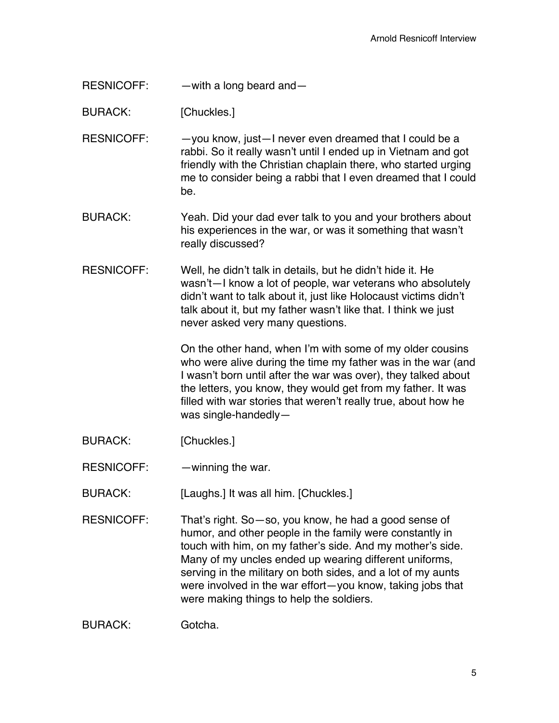RESNICOFF: — with a long beard and —

BURACK: [Chuckles.]

RESNICOFF: - - you know, just-I never even dreamed that I could be a rabbi. So it really wasn't until I ended up in Vietnam and got friendly with the Christian chaplain there, who started urging me to consider being a rabbi that I even dreamed that I could be.

BURACK: Yeah. Did your dad ever talk to you and your brothers about his experiences in the war, or was it something that wasn't really discussed?

RESNICOFF: Well, he didn't talk in details, but he didn't hide it. He wasn't—I know a lot of people, war veterans who absolutely didn't want to talk about it, just like Holocaust victims didn't talk about it, but my father wasn't like that. I think we just never asked very many questions.

> On the other hand, when I'm with some of my older cousins who were alive during the time my father was in the war (and I wasn't born until after the war was over), they talked about the letters, you know, they would get from my father. It was filled with war stories that weren't really true, about how he was single-handedly—

- BURACK: [Chuckles.]
- RESNICOFF: winning the war.

BURACK: [Laughs.] It was all him. [Chuckles.]

RESNICOFF: That's right. So—so, you know, he had a good sense of humor, and other people in the family were constantly in touch with him, on my father's side. And my mother's side. Many of my uncles ended up wearing different uniforms, serving in the military on both sides, and a lot of my aunts were involved in the war effort—you know, taking jobs that were making things to help the soldiers.

BURACK: Gotcha.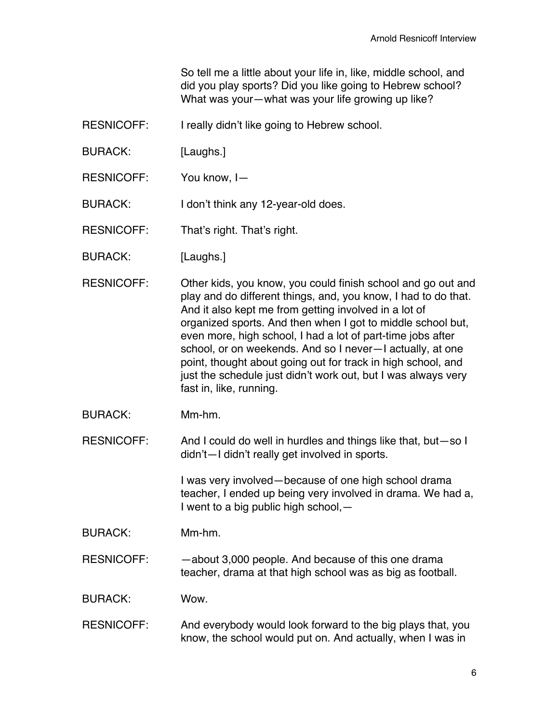So tell me a little about your life in, like, middle school, and did you play sports? Did you like going to Hebrew school? What was your—what was your life growing up like?

- RESNICOFF: I really didn't like going to Hebrew school.
- BURACK: [Laughs.]
- RESNICOFF: You know, I—
- BURACK: I don't think any 12-year-old does.

RESNICOFF: That's right. That's right.

- BURACK: [Laughs.]
- RESNICOFF: Other kids, you know, you could finish school and go out and play and do different things, and, you know, I had to do that. And it also kept me from getting involved in a lot of organized sports. And then when I got to middle school but, even more, high school, I had a lot of part-time jobs after school, or on weekends. And so I never—I actually, at one point, thought about going out for track in high school, and just the schedule just didn't work out, but I was always very fast in, like, running.
- BURACK: Mm-hm.

RESNICOFF: And I could do well in hurdles and things like that, but-so I didn't—I didn't really get involved in sports.

> I was very involved—because of one high school drama teacher, I ended up being very involved in drama. We had a, I went to a big public high school,—

BURACK: Mm-hm.

RESNICOFF: - - about 3,000 people. And because of this one drama teacher, drama at that high school was as big as football.

BURACK: Wow.

RESNICOFF: And everybody would look forward to the big plays that, you know, the school would put on. And actually, when I was in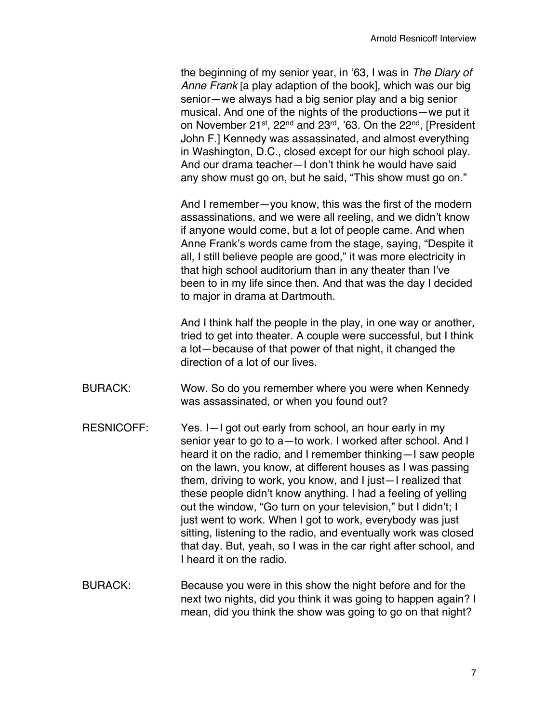the beginning of my senior year, in '63, I was in *The Diary of Anne Frank* [a play adaption of the book], which was our big senior—we always had a big senior play and a big senior musical. And one of the nights of the productions—we put it on November 21<sup>st</sup>, 22<sup>nd</sup> and 23<sup>rd</sup>, '63. On the 22<sup>nd</sup>, [President John F.] Kennedy was assassinated, and almost everything in Washington, D.C., closed except for our high school play. And our drama teacher—I don't think he would have said any show must go on, but he said, "This show must go on."

And I remember—you know, this was the first of the modern assassinations, and we were all reeling, and we didn't know if anyone would come, but a lot of people came. And when Anne Frank's words came from the stage, saying, "Despite it all, I still believe people are good," it was more electricity in that high school auditorium than in any theater than I've been to in my life since then. And that was the day I decided to major in drama at Dartmouth.

And I think half the people in the play, in one way or another, tried to get into theater. A couple were successful, but I think a lot—because of that power of that night, it changed the direction of a lot of our lives.

- BURACK: Wow. So do you remember where you were when Kennedy was assassinated, or when you found out?
- RESNICOFF: Yes. I-I got out early from school, an hour early in my senior year to go to a—to work. I worked after school. And I heard it on the radio, and I remember thinking—I saw people on the lawn, you know, at different houses as I was passing them, driving to work, you know, and I just—I realized that these people didn't know anything. I had a feeling of yelling out the window, "Go turn on your television," but I didn't; I just went to work. When I got to work, everybody was just sitting, listening to the radio, and eventually work was closed that day. But, yeah, so I was in the car right after school, and I heard it on the radio.
- BURACK: Because you were in this show the night before and for the next two nights, did you think it was going to happen again? I mean, did you think the show was going to go on that night?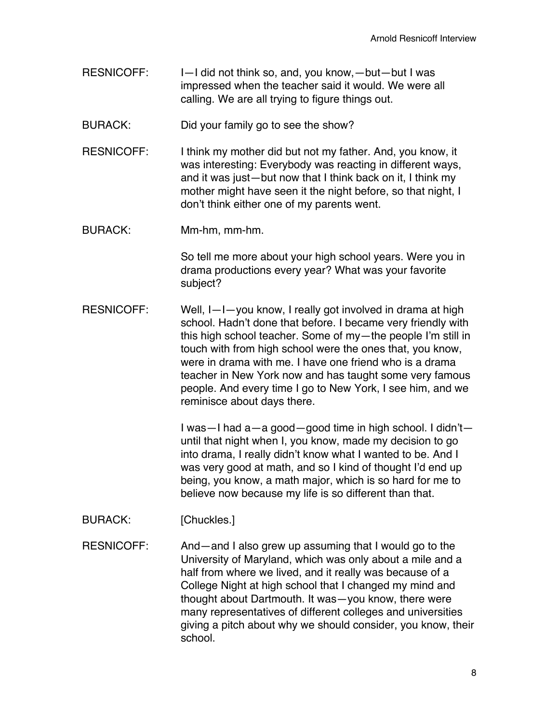- RESNICOFF: I—I did not think so, and, you know, —but—but I was impressed when the teacher said it would. We were all calling. We are all trying to figure things out.
- BURACK: Did your family go to see the show?
- RESNICOFF: I think my mother did but not my father. And, you know, it was interesting: Everybody was reacting in different ways, and it was just—but now that I think back on it, I think my mother might have seen it the night before, so that night, I don't think either one of my parents went.
- BURACK: Mm-hm, mm-hm.

So tell me more about your high school years. Were you in drama productions every year? What was your favorite subject?

RESNICOFF: Well, I—I—you know, I really got involved in drama at high school. Hadn't done that before. I became very friendly with this high school teacher. Some of my—the people I'm still in touch with from high school were the ones that, you know, were in drama with me. I have one friend who is a drama teacher in New York now and has taught some very famous people. And every time I go to New York, I see him, and we reminisce about days there.

> I was—I had a—a good—good time in high school. I didn't until that night when I, you know, made my decision to go into drama, I really didn't know what I wanted to be. And I was very good at math, and so I kind of thought I'd end up being, you know, a math major, which is so hard for me to believe now because my life is so different than that.

- BURACK: [Chuckles.]
- RESNICOFF: And—and I also grew up assuming that I would go to the University of Maryland, which was only about a mile and a half from where we lived, and it really was because of a College Night at high school that I changed my mind and thought about Dartmouth. It was—you know, there were many representatives of different colleges and universities giving a pitch about why we should consider, you know, their school.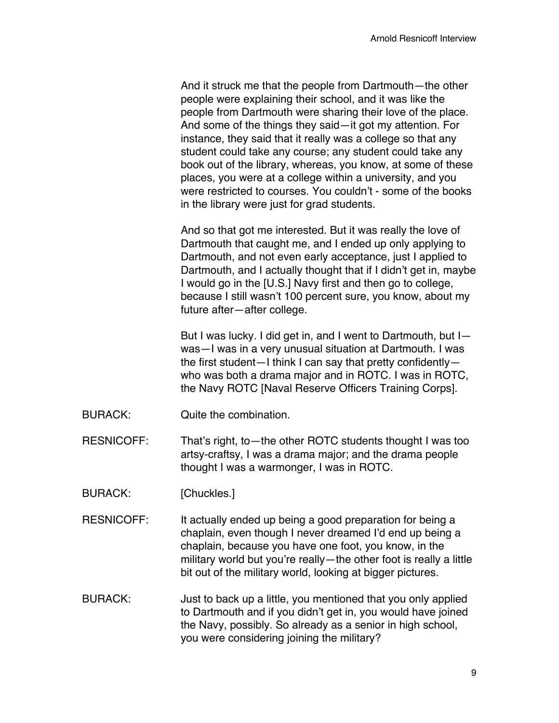And it struck me that the people from Dartmouth—the other people were explaining their school, and it was like the people from Dartmouth were sharing their love of the place. And some of the things they said—it got my attention. For instance, they said that it really was a college so that any student could take any course; any student could take any book out of the library, whereas, you know, at some of these places, you were at a college within a university, and you were restricted to courses. You couldn't - some of the books in the library were just for grad students.

And so that got me interested. But it was really the love of Dartmouth that caught me, and I ended up only applying to Dartmouth, and not even early acceptance, just I applied to Dartmouth, and I actually thought that if I didn't get in, maybe I would go in the [U.S.] Navy first and then go to college, because I still wasn't 100 percent sure, you know, about my future after—after college.

But I was lucky. I did get in, and I went to Dartmouth, but I was—I was in a very unusual situation at Dartmouth. I was the first student—I think I can say that pretty confidently who was both a drama major and in ROTC. I was in ROTC, the Navy ROTC [Naval Reserve Officers Training Corps].

BURACK: Quite the combination.

RESNICOFF: That's right, to—the other ROTC students thought I was too artsy-craftsy, I was a drama major; and the drama people thought I was a warmonger, I was in ROTC.

- BURACK: [Chuckles.]
- RESNICOFF: It actually ended up being a good preparation for being a chaplain, even though I never dreamed I'd end up being a chaplain, because you have one foot, you know, in the military world but you're really—the other foot is really a little bit out of the military world, looking at bigger pictures.
- BURACK: Just to back up a little, you mentioned that you only applied to Dartmouth and if you didn't get in, you would have joined the Navy, possibly. So already as a senior in high school, you were considering joining the military?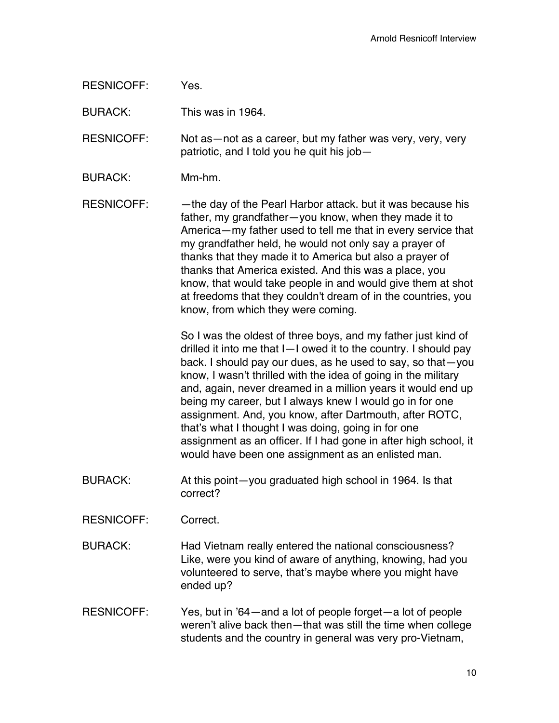RESNICOFF: Yes.

BURACK: This was in 1964.

RESNICOFF: Not as—not as a career, but my father was very, very, very patriotic, and I told you he quit his job—

BURACK: Mm-hm.

RESNICOFF: - - the day of the Pearl Harbor attack. but it was because his father, my grandfather—you know, when they made it to America—my father used to tell me that in every service that my grandfather held, he would not only say a prayer of thanks that they made it to America but also a prayer of thanks that America existed. And this was a place, you know, that would take people in and would give them at shot at freedoms that they couldn't dream of in the countries, you know, from which they were coming.

> So I was the oldest of three boys, and my father just kind of drilled it into me that I—I owed it to the country. I should pay back. I should pay our dues, as he used to say, so that—you know, I wasn't thrilled with the idea of going in the military and, again, never dreamed in a million years it would end up being my career, but I always knew I would go in for one assignment. And, you know, after Dartmouth, after ROTC, that's what I thought I was doing, going in for one assignment as an officer. If I had gone in after high school, it would have been one assignment as an enlisted man.

- BURACK: At this point—you graduated high school in 1964. Is that correct?
- RESNICOFF: Correct.
- BURACK: Had Vietnam really entered the national consciousness? Like, were you kind of aware of anything, knowing, had you volunteered to serve, that's maybe where you might have ended up?
- RESNICOFF: Yes, but in '64—and a lot of people forget—a lot of people weren't alive back then—that was still the time when college students and the country in general was very pro-Vietnam,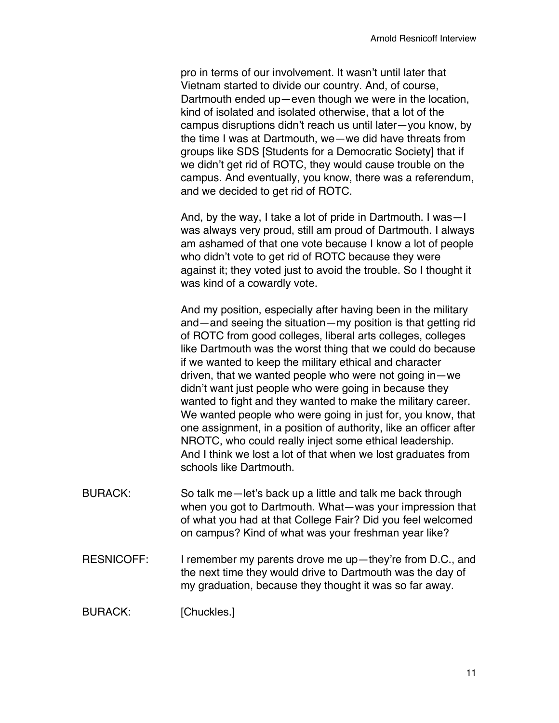pro in terms of our involvement. It wasn't until later that Vietnam started to divide our country. And, of course, Dartmouth ended up—even though we were in the location, kind of isolated and isolated otherwise, that a lot of the campus disruptions didn't reach us until later—you know, by the time I was at Dartmouth, we—we did have threats from groups like SDS [Students for a Democratic Society] that if we didn't get rid of ROTC, they would cause trouble on the campus. And eventually, you know, there was a referendum, and we decided to get rid of ROTC.

And, by the way, I take a lot of pride in Dartmouth. I was—I was always very proud, still am proud of Dartmouth. I always am ashamed of that one vote because I know a lot of people who didn't vote to get rid of ROTC because they were against it; they voted just to avoid the trouble. So I thought it was kind of a cowardly vote.

And my position, especially after having been in the military and—and seeing the situation—my position is that getting rid of ROTC from good colleges, liberal arts colleges, colleges like Dartmouth was the worst thing that we could do because if we wanted to keep the military ethical and character driven, that we wanted people who were not going in—we didn't want just people who were going in because they wanted to fight and they wanted to make the military career. We wanted people who were going in just for, you know, that one assignment, in a position of authority, like an officer after NROTC, who could really inject some ethical leadership. And I think we lost a lot of that when we lost graduates from schools like Dartmouth.

- BURACK: So talk me-let's back up a little and talk me back through when you got to Dartmouth. What—was your impression that of what you had at that College Fair? Did you feel welcomed on campus? Kind of what was your freshman year like?
- RESNICOFF: I remember my parents drove me up—they're from D.C., and the next time they would drive to Dartmouth was the day of my graduation, because they thought it was so far away.

BURACK: [Chuckles.]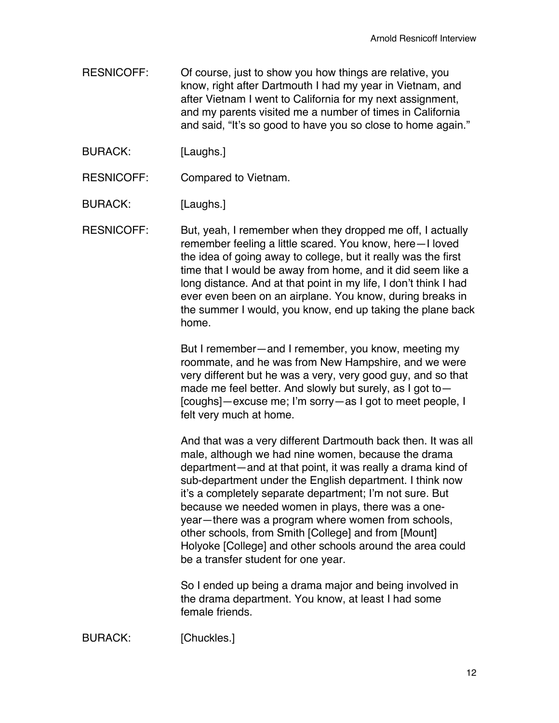RESNICOFF: Of course, just to show you how things are relative, you know, right after Dartmouth I had my year in Vietnam, and after Vietnam I went to California for my next assignment, and my parents visited me a number of times in California and said, "It's so good to have you so close to home again."

BURACK: [Laughs.]

RESNICOFF: Compared to Vietnam.

BURACK: [Laughs.]

RESNICOFF: But, yeah, I remember when they dropped me off, I actually remember feeling a little scared. You know, here—I loved the idea of going away to college, but it really was the first time that I would be away from home, and it did seem like a long distance. And at that point in my life, I don't think I had ever even been on an airplane. You know, during breaks in the summer I would, you know, end up taking the plane back home.

> But I remember—and I remember, you know, meeting my roommate, and he was from New Hampshire, and we were very different but he was a very, very good guy, and so that made me feel better. And slowly but surely, as I got to— [coughs]—excuse me; I'm sorry—as I got to meet people, I felt very much at home.

> And that was a very different Dartmouth back then. It was all male, although we had nine women, because the drama department—and at that point, it was really a drama kind of sub-department under the English department. I think now it's a completely separate department; I'm not sure. But because we needed women in plays, there was a oneyear—there was a program where women from schools, other schools, from Smith [College] and from [Mount] Holyoke [College] and other schools around the area could be a transfer student for one year.

So I ended up being a drama major and being involved in the drama department. You know, at least I had some female friends.

BURACK: [Chuckles.]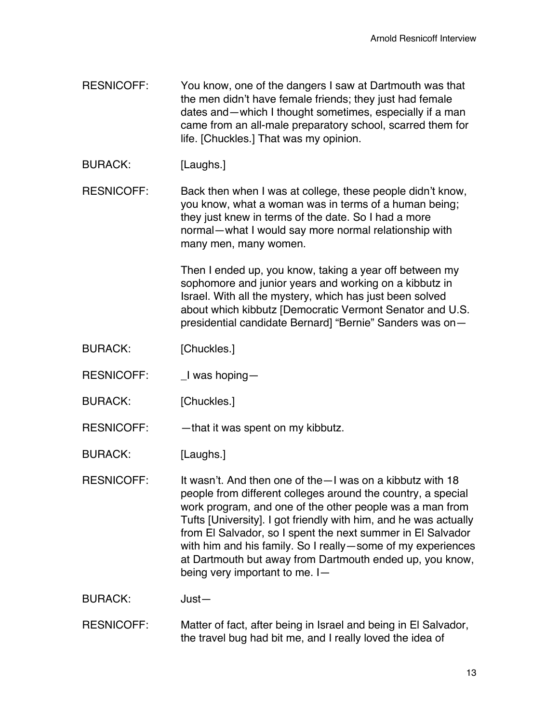- RESNICOFF: You know, one of the dangers I saw at Dartmouth was that the men didn't have female friends; they just had female dates and—which I thought sometimes, especially if a man came from an all-male preparatory school, scarred them for life. [Chuckles.] That was my opinion.
- BURACK: [Laughs.]

RESNICOFF: Back then when I was at college, these people didn't know, you know, what a woman was in terms of a human being; they just knew in terms of the date. So I had a more normal—what I would say more normal relationship with many men, many women.

> Then I ended up, you know, taking a year off between my sophomore and junior years and working on a kibbutz in Israel. With all the mystery, which has just been solved about which kibbutz [Democratic Vermont Senator and U.S. presidential candidate Bernard] "Bernie" Sanders was on—

- BURACK: [Chuckles.]
- RESNICOFF: Livas hoping-
- BURACK: [Chuckles.]
- RESNICOFF: - that it was spent on my kibbutz.

BURACK: [Laughs.]

- RESNICOFF: It wasn't. And then one of the—I was on a kibbutz with 18 people from different colleges around the country, a special work program, and one of the other people was a man from Tufts [University]. I got friendly with him, and he was actually from El Salvador, so I spent the next summer in El Salvador with him and his family. So I really—some of my experiences at Dartmouth but away from Dartmouth ended up, you know, being very important to me. I—
- BURACK: Just—
- RESNICOFF: Matter of fact, after being in Israel and being in El Salvador, the travel bug had bit me, and I really loved the idea of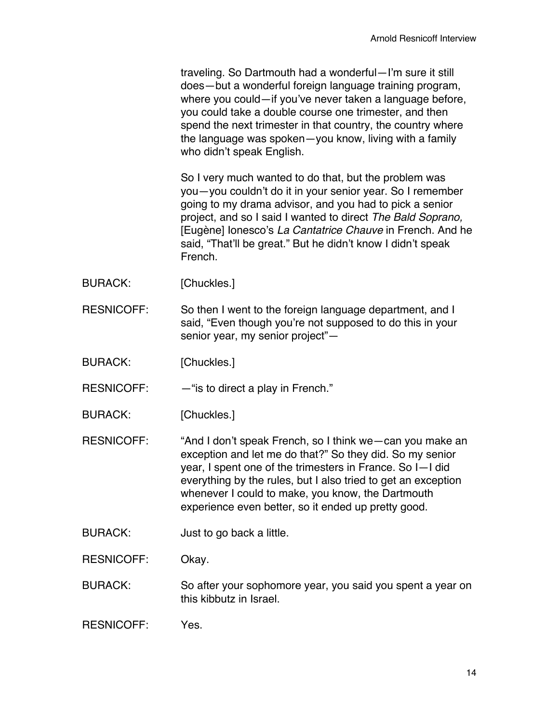traveling. So Dartmouth had a wonderful—I'm sure it still does—but a wonderful foreign language training program, where you could—if you've never taken a language before, you could take a double course one trimester, and then spend the next trimester in that country, the country where the language was spoken—you know, living with a family who didn't speak English.

So I very much wanted to do that, but the problem was you—you couldn't do it in your senior year. So I remember going to my drama advisor, and you had to pick a senior project, and so I said I wanted to direct *The Bald Soprano,*  [Eugène] Ionesco's *La Cantatrice Chauve* in French. And he said, "That'll be great." But he didn't know I didn't speak French.

- BURACK: [Chuckles.]
- RESNICOFF: So then I went to the foreign language department, and I said, "Even though you're not supposed to do this in your senior year, my senior project"—
- BURACK: [Chuckles.]

RESNICOFF:  $-$  "is to direct a play in French."

BURACK: [Chuckles.]

RESNICOFF: "And I don't speak French, so I think we—can you make an exception and let me do that?" So they did. So my senior year, I spent one of the trimesters in France. So I—I did everything by the rules, but I also tried to get an exception whenever I could to make, you know, the Dartmouth experience even better, so it ended up pretty good.

BURACK: Just to go back a little.

RESNICOFF: Okay.

BURACK: So after your sophomore year, you said you spent a year on this kibbutz in Israel.

RESNICOFF: Yes.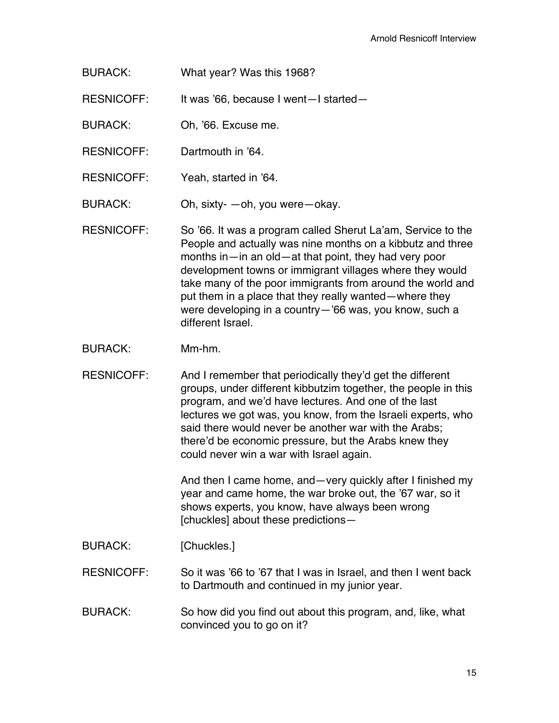BURACK: What year? Was this 1968?

RESNICOFF: It was '66, because I went—I started—

- BURACK: Oh, '66. Excuse me.
- RESNICOFF: Dartmouth in '64.
- RESNICOFF: Yeah, started in '64.
- BURACK: Oh, sixty- —oh, you were—okay.

RESNICOFF: So '66. It was a program called Sherut La'am, Service to the People and actually was nine months on a kibbutz and three months in—in an old—at that point, they had very poor development towns or immigrant villages where they would take many of the poor immigrants from around the world and put them in a place that they really wanted—where they were developing in a country—'66 was, you know, such a different Israel.

BURACK: Mm-hm.

RESNICOFF: And I remember that periodically they'd get the different groups, under different kibbutzim together, the people in this program, and we'd have lectures. And one of the last lectures we got was, you know, from the Israeli experts, who said there would never be another war with the Arabs; there'd be economic pressure, but the Arabs knew they could never win a war with Israel again.

> And then I came home, and—very quickly after I finished my year and came home, the war broke out, the '67 war, so it shows experts, you know, have always been wrong [chuckles] about these predictions—

BURACK: [Chuckles.]

RESNICOFF: So it was '66 to '67 that I was in Israel, and then I went back to Dartmouth and continued in my junior year.

BURACK: So how did you find out about this program, and, like, what convinced you to go on it?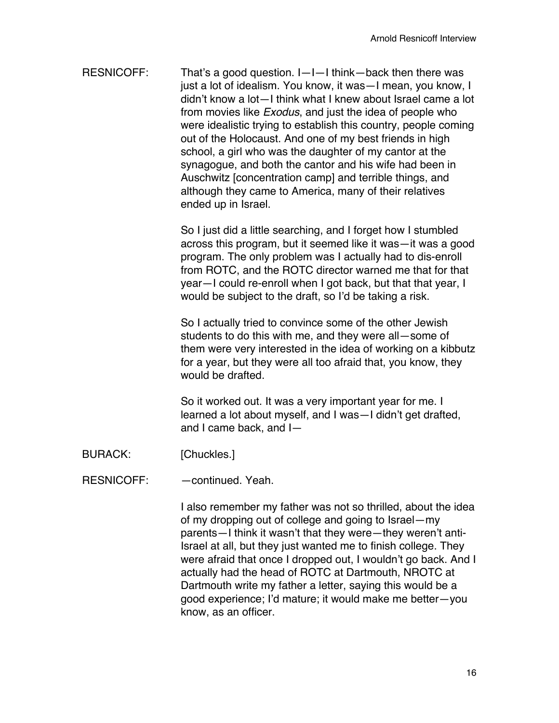RESNICOFF: That's a good question. I—I—I think—back then there was just a lot of idealism. You know, it was—I mean, you know, I didn't know a lot—I think what I knew about Israel came a lot from movies like *Exodus*, and just the idea of people who were idealistic trying to establish this country, people coming out of the Holocaust. And one of my best friends in high school, a girl who was the daughter of my cantor at the synagogue, and both the cantor and his wife had been in Auschwitz [concentration camp] and terrible things, and although they came to America, many of their relatives ended up in Israel.

> So I just did a little searching, and I forget how I stumbled across this program, but it seemed like it was—it was a good program. The only problem was I actually had to dis-enroll from ROTC, and the ROTC director warned me that for that year—I could re-enroll when I got back, but that that year, I would be subject to the draft, so I'd be taking a risk.

> So I actually tried to convince some of the other Jewish students to do this with me, and they were all—some of them were very interested in the idea of working on a kibbutz for a year, but they were all too afraid that, you know, they would be drafted.

So it worked out. It was a very important year for me. I learned a lot about myself, and I was—I didn't get drafted, and I came back, and I—

BURACK: [Chuckles.]

RESNICOFF: —continued. Yeah.

I also remember my father was not so thrilled, about the idea of my dropping out of college and going to Israel—my parents—I think it wasn't that they were—they weren't anti-Israel at all, but they just wanted me to finish college. They were afraid that once I dropped out, I wouldn't go back. And I actually had the head of ROTC at Dartmouth, NROTC at Dartmouth write my father a letter, saying this would be a good experience; I'd mature; it would make me better—you know, as an officer.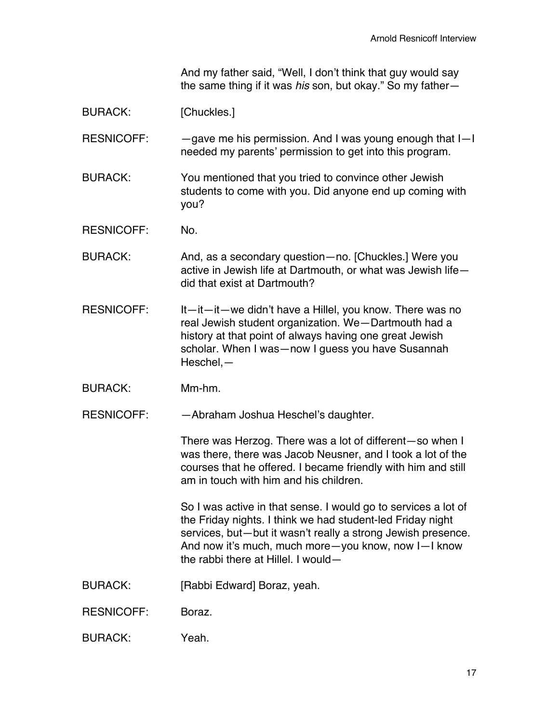And my father said, "Well, I don't think that guy would say the same thing if it was *his* son, but okay." So my father—

BURACK: [Chuckles.]

RESNICOFF: — —gave me his permission. And I was young enough that I-I needed my parents' permission to get into this program.

BURACK: You mentioned that you tried to convince other Jewish students to come with you. Did anyone end up coming with you?

RESNICOFF: No.

BURACK: And, as a secondary question—no. [Chuckles.] Were you active in Jewish life at Dartmouth, or what was Jewish life did that exist at Dartmouth?

- RESNICOFF: It—it—it—we didn't have a Hillel, you know. There was no real Jewish student organization. We—Dartmouth had a history at that point of always having one great Jewish scholar. When I was—now I guess you have Susannah Heschel,—
- BURACK: Mm-hm.

RESNICOFF: —Abraham Joshua Heschel's daughter.

There was Herzog. There was a lot of different—so when I was there, there was Jacob Neusner, and I took a lot of the courses that he offered. I became friendly with him and still am in touch with him and his children.

So I was active in that sense. I would go to services a lot of the Friday nights. I think we had student-led Friday night services, but—but it wasn't really a strong Jewish presence. And now it's much, much more—you know, now I—I know the rabbi there at Hillel. I would-

BURACK: [Rabbi Edward] Boraz, yeah.

RESNICOFF: Boraz.

BURACK: Yeah.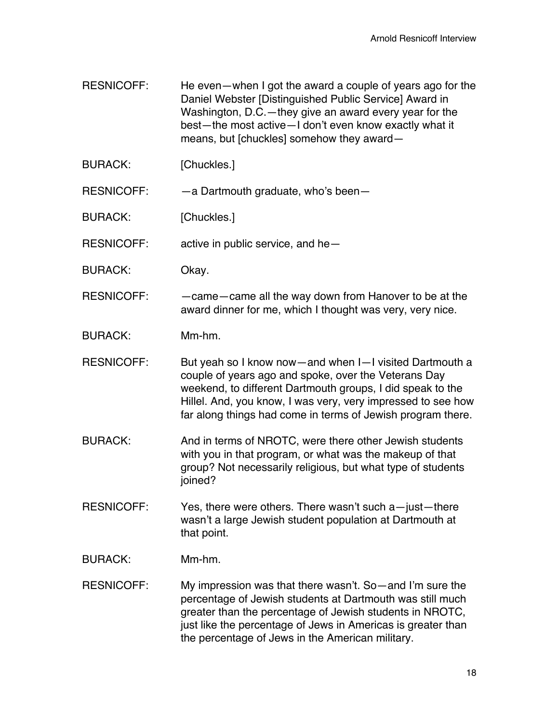- RESNICOFF: He even—when I got the award a couple of years ago for the Daniel Webster [Distinguished Public Service] Award in Washington, D.C.—they give an award every year for the best—the most active—I don't even know exactly what it means, but [chuckles] somehow they award—
- BURACK: [Chuckles.]
- RESNICOFF: —a Dartmouth graduate, who's been—
- BURACK: [Chuckles.]
- RESNICOFF: active in public service, and he—
- BURACK: Okay.
- RESNICOFF: —came—came all the way down from Hanover to be at the award dinner for me, which I thought was very, very nice.
- BURACK: Mm-hm.
- RESNICOFF: But yeah so I know now—and when I-I visited Dartmouth a couple of years ago and spoke, over the Veterans Day weekend, to different Dartmouth groups, I did speak to the Hillel. And, you know, I was very, very impressed to see how far along things had come in terms of Jewish program there.
- BURACK: And in terms of NROTC, were there other Jewish students with you in that program, or what was the makeup of that group? Not necessarily religious, but what type of students joined?
- RESNICOFF: Yes, there were others. There wasn't such a—just—there wasn't a large Jewish student population at Dartmouth at that point.
- BURACK: Mm-hm.
- RESNICOFF: My impression was that there wasn't. So—and I'm sure the percentage of Jewish students at Dartmouth was still much greater than the percentage of Jewish students in NROTC, just like the percentage of Jews in Americas is greater than the percentage of Jews in the American military.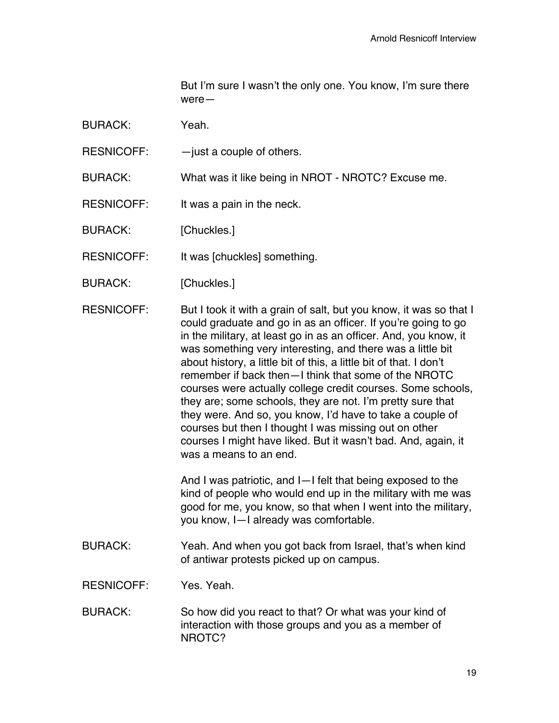But I'm sure I wasn't the only one. You know, I'm sure there were—

BURACK: Yeah.

RESNICOFF:  $-$  just a couple of others.

BURACK: What was it like being in NROT - NROTC? Excuse me.

RESNICOFF: It was a pain in the neck.

BURACK: [Chuckles.]

RESNICOFF: It was [chuckles] something.

BURACK: [Chuckles.]

RESNICOFF: But I took it with a grain of salt, but you know, it was so that I could graduate and go in as an officer. If you're going to go in the military, at least go in as an officer. And, you know, it was something very interesting, and there was a little bit about history, a little bit of this, a little bit of that. I don't remember if back then—I think that some of the NROTC courses were actually college credit courses. Some schools, they are; some schools, they are not. I'm pretty sure that they were. And so, you know, I'd have to take a couple of courses but then I thought I was missing out on other courses I might have liked. But it wasn't bad. And, again, it was a means to an end.

> And I was patriotic, and I—I felt that being exposed to the kind of people who would end up in the military with me was good for me, you know, so that when I went into the military, you know, I—I already was comfortable.

BURACK: Yeah. And when you got back from Israel, that's when kind of antiwar protests picked up on campus.

RESNICOFF: Yes. Yeah.

BURACK: So how did you react to that? Or what was your kind of interaction with those groups and you as a member of NROTC?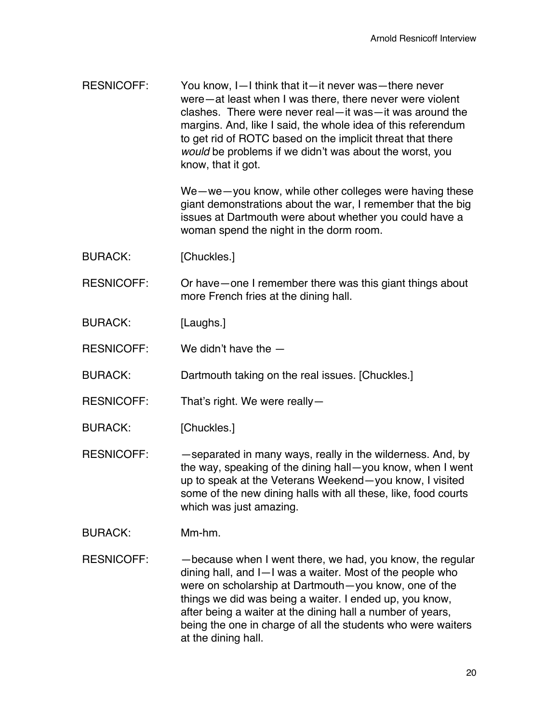| <b>RESNICOFF:</b> | You know, I-I think that it-it never was-there never<br>were-at least when I was there, there never were violent<br>clashes. There were never real-it was-it was around the<br>margins. And, like I said, the whole idea of this referendum<br>to get rid of ROTC based on the implicit threat that there<br>would be problems if we didn't was about the worst, you<br>know, that it got. |
|-------------------|--------------------------------------------------------------------------------------------------------------------------------------------------------------------------------------------------------------------------------------------------------------------------------------------------------------------------------------------------------------------------------------------|
|                   | We-we-you know, while other colleges were having these<br>giant demonstrations about the war, I remember that the big<br>issues at Dartmouth were about whether you could have a<br>woman spend the night in the dorm room.                                                                                                                                                                |
| <b>BURACK:</b>    | [Chuckles.]                                                                                                                                                                                                                                                                                                                                                                                |
| <b>RESNICOFF:</b> | Or have – one I remember there was this giant things about<br>more French fries at the dining hall.                                                                                                                                                                                                                                                                                        |
| <b>BURACK:</b>    | [Laughs.]                                                                                                                                                                                                                                                                                                                                                                                  |
| <b>RESNICOFF:</b> | We didn't have the $-$                                                                                                                                                                                                                                                                                                                                                                     |
| <b>BURACK:</b>    | Dartmouth taking on the real issues. [Chuckles.]                                                                                                                                                                                                                                                                                                                                           |
| <b>RESNICOFF:</b> | That's right. We were really-                                                                                                                                                                                                                                                                                                                                                              |
| <b>BURACK:</b>    | [Chuckles.]                                                                                                                                                                                                                                                                                                                                                                                |
| <b>RESNICOFF:</b> | -separated in many ways, really in the wilderness. And, by<br>the way, speaking of the dining hall-you know, when I went<br>up to speak at the Veterans Weekend-you know, I visited<br>some of the new dining halls with all these, like, food courts<br>which was just amazing.                                                                                                           |
| <b>BURACK:</b>    | Mm-hm.                                                                                                                                                                                                                                                                                                                                                                                     |
| <b>RESNICOFF:</b> | -because when I went there, we had, you know, the regular<br>dining hall, and I-I was a waiter. Most of the people who<br>were on scholarship at Dartmouth-you know, one of the<br>things we did was being a waiter. I ended up, you know,<br>after being a waiter at the dining hall a number of years,                                                                                   |

being the one in charge of all the students who were waiters

at the dining hall.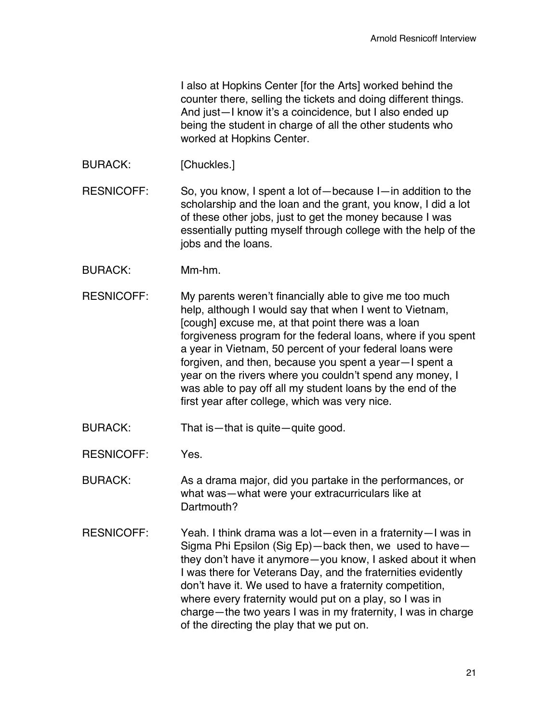I also at Hopkins Center [for the Arts] worked behind the counter there, selling the tickets and doing different things. And just—I know it's a coincidence, but I also ended up being the student in charge of all the other students who worked at Hopkins Center.

BURACK: [Chuckles.]

RESNICOFF: So, you know, I spent a lot of—because I—in addition to the scholarship and the loan and the grant, you know, I did a lot of these other jobs, just to get the money because I was essentially putting myself through college with the help of the jobs and the loans.

- BURACK: Mm-hm.
- RESNICOFF: My parents weren't financially able to give me too much help, although I would say that when I went to Vietnam, [cough] excuse me, at that point there was a loan forgiveness program for the federal loans, where if you spent a year in Vietnam, 50 percent of your federal loans were forgiven, and then, because you spent a year—I spent a year on the rivers where you couldn't spend any money, I was able to pay off all my student loans by the end of the first year after college, which was very nice.
- BURACK: That is—that is quite—quite good.
- RESNICOFF: Yes.

BURACK: As a drama major, did you partake in the performances, or what was—what were your extracurriculars like at Dartmouth?

RESNICOFF: Yeah. I think drama was a lot—even in a fraternity—I was in Sigma Phi Epsilon (Sig Ep)—back then, we used to have they don't have it anymore—you know, I asked about it when I was there for Veterans Day, and the fraternities evidently don't have it. We used to have a fraternity competition, where every fraternity would put on a play, so I was in charge—the two years I was in my fraternity, I was in charge of the directing the play that we put on.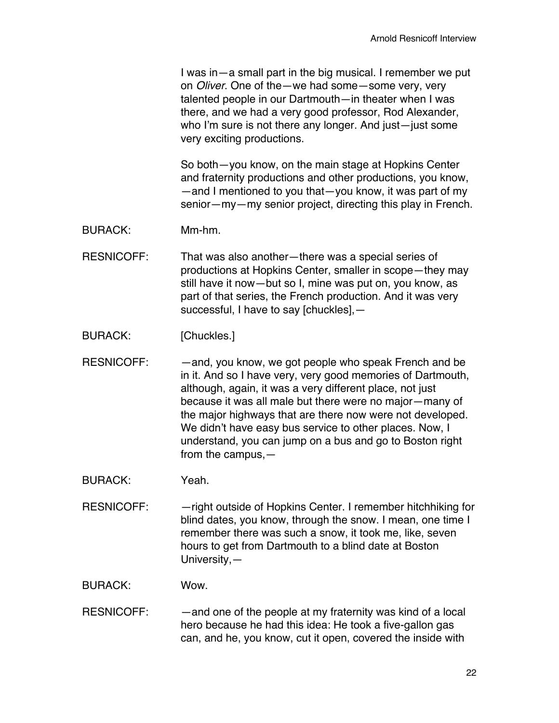I was in—a small part in the big musical. I remember we put on *Oliver*. One of the—we had some—some very, very talented people in our Dartmouth—in theater when I was there, and we had a very good professor, Rod Alexander, who I'm sure is not there any longer. And just—just some very exciting productions.

So both—you know, on the main stage at Hopkins Center and fraternity productions and other productions, you know, —and I mentioned to you that—you know, it was part of my senior—my—my senior project, directing this play in French.

- BURACK: Mm-hm.
- RESNICOFF: That was also another—there was a special series of productions at Hopkins Center, smaller in scope—they may still have it now—but so I, mine was put on, you know, as part of that series, the French production. And it was very successful, I have to say [chuckles],—
- BURACK: [Chuckles.]
- RESNICOFF: —and, you know, we got people who speak French and be in it. And so I have very, very good memories of Dartmouth, although, again, it was a very different place, not just because it was all male but there were no major—many of the major highways that are there now were not developed. We didn't have easy bus service to other places. Now, I understand, you can jump on a bus and go to Boston right from the campus,—
- BURACK: Yeah.
- RESNICOFF: —right outside of Hopkins Center. I remember hitchhiking for blind dates, you know, through the snow. I mean, one time I remember there was such a snow, it took me, like, seven hours to get from Dartmouth to a blind date at Boston University,—
- BURACK: Wow.
- RESNICOFF: —and one of the people at my fraternity was kind of a local hero because he had this idea: He took a five-gallon gas can, and he, you know, cut it open, covered the inside with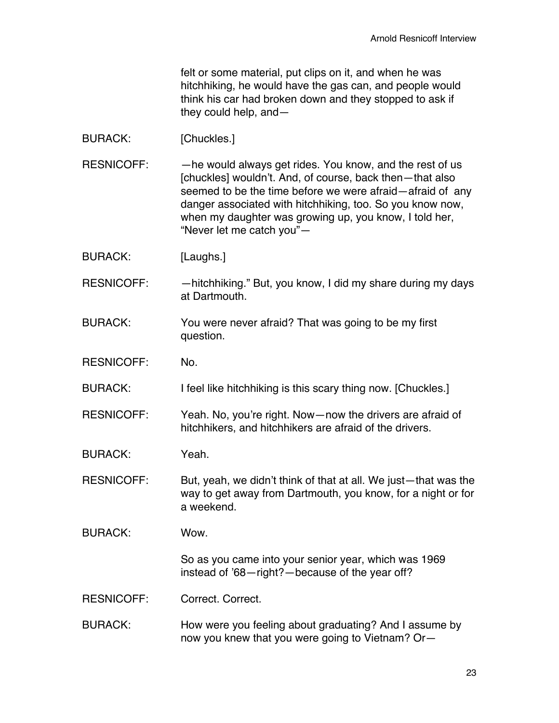felt or some material, put clips on it, and when he was hitchhiking, he would have the gas can, and people would think his car had broken down and they stopped to ask if they could help, and—

- BURACK: [Chuckles.]
- RESNICOFF: —he would always get rides. You know, and the rest of us [chuckles] wouldn't. And, of course, back then—that also seemed to be the time before we were afraid—afraid of any danger associated with hitchhiking, too. So you know now, when my daughter was growing up, you know, I told her, "Never let me catch you"—
- BURACK: [Laughs.]
- RESNICOFF: - hitchhiking." But, you know, I did my share during my days at Dartmouth.
- BURACK: You were never afraid? That was going to be my first question.
- RESNICOFF: No.

BURACK: I feel like hitchhiking is this scary thing now. [Chuckles.]

RESNICOFF: Yeah. No, you're right. Now—now the drivers are afraid of hitchhikers, and hitchhikers are afraid of the drivers.

BURACK: Yeah.

RESNICOFF: But, yeah, we didn't think of that at all. We just—that was the way to get away from Dartmouth, you know, for a night or for a weekend.

BURACK: Wow.

So as you came into your senior year, which was 1969 instead of '68—right?—because of the year off?

- RESNICOFF: Correct. Correct.
- BURACK: How were you feeling about graduating? And I assume by now you knew that you were going to Vietnam? Or—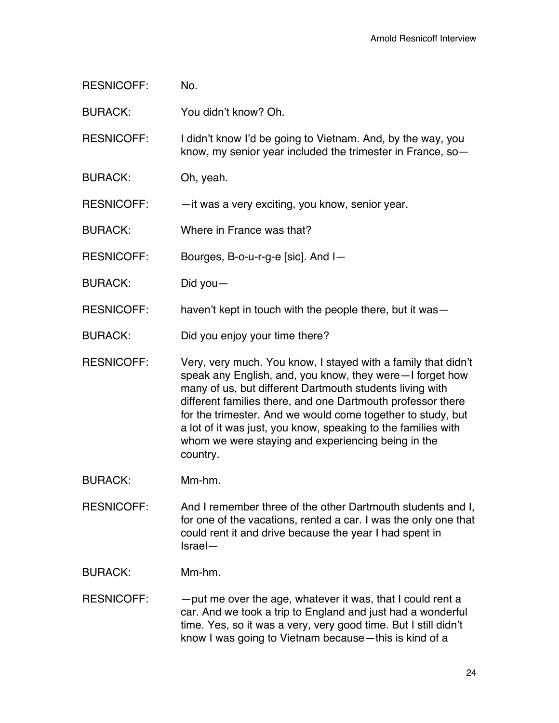| <b>RESNICOFF:</b> | No.                                                                                                                                                                                                                                                                                                                                                                                                                                                    |
|-------------------|--------------------------------------------------------------------------------------------------------------------------------------------------------------------------------------------------------------------------------------------------------------------------------------------------------------------------------------------------------------------------------------------------------------------------------------------------------|
| <b>BURACK:</b>    | You didn't know? Oh.                                                                                                                                                                                                                                                                                                                                                                                                                                   |
| <b>RESNICOFF:</b> | I didn't know I'd be going to Vietnam. And, by the way, you<br>know, my senior year included the trimester in France, so-                                                                                                                                                                                                                                                                                                                              |
| <b>BURACK:</b>    | Oh, yeah.                                                                                                                                                                                                                                                                                                                                                                                                                                              |
| <b>RESNICOFF:</b> | - it was a very exciting, you know, senior year.                                                                                                                                                                                                                                                                                                                                                                                                       |
| <b>BURACK:</b>    | Where in France was that?                                                                                                                                                                                                                                                                                                                                                                                                                              |
| <b>RESNICOFF:</b> | Bourges, B-o-u-r-g-e [sic]. And I-                                                                                                                                                                                                                                                                                                                                                                                                                     |
| <b>BURACK:</b>    | Did you $-$                                                                                                                                                                                                                                                                                                                                                                                                                                            |
| <b>RESNICOFF:</b> | haven't kept in touch with the people there, but it was-                                                                                                                                                                                                                                                                                                                                                                                               |
| <b>BURACK:</b>    | Did you enjoy your time there?                                                                                                                                                                                                                                                                                                                                                                                                                         |
| <b>RESNICOFF:</b> | Very, very much. You know, I stayed with a family that didn't<br>speak any English, and, you know, they were–I forget how<br>many of us, but different Dartmouth students living with<br>different families there, and one Dartmouth professor there<br>for the trimester. And we would come together to study, but<br>a lot of it was just, you know, speaking to the families with<br>whom we were staying and experiencing being in the<br>country. |
| <b>BURACK:</b>    | Mm-hm.                                                                                                                                                                                                                                                                                                                                                                                                                                                 |
| <b>RESNICOFF:</b> | And I remember three of the other Dartmouth students and I,<br>for one of the vacations, rented a car. I was the only one that<br>could rent it and drive because the year I had spent in<br>Israel-                                                                                                                                                                                                                                                   |

BURACK: Mm-hm.

RESNICOFF: - - put me over the age, whatever it was, that I could rent a car. And we took a trip to England and just had a wonderful time. Yes, so it was a very, very good time. But I still didn't know I was going to Vietnam because—this is kind of a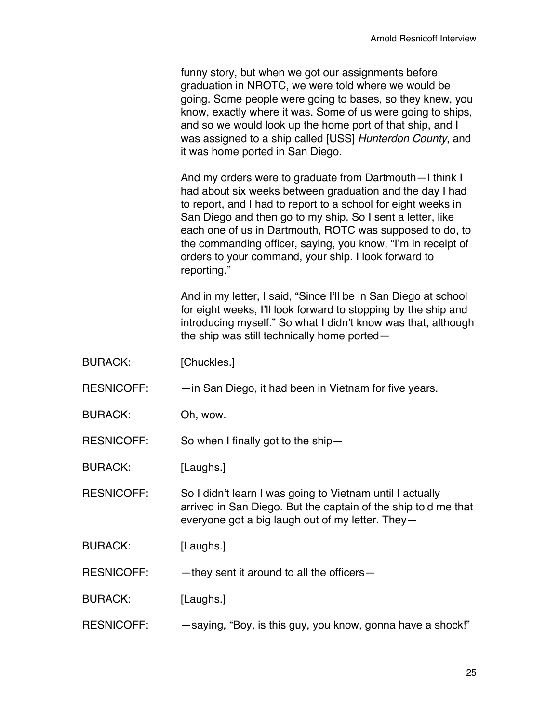funny story, but when we got our assignments before graduation in NROTC, we were told where we would be going. Some people were going to bases, so they knew, you know, exactly where it was. Some of us were going to ships, and so we would look up the home port of that ship, and I was assigned to a ship called [USS] *Hunterdon County*, and it was home ported in San Diego.

And my orders were to graduate from Dartmouth—I think I had about six weeks between graduation and the day I had to report, and I had to report to a school for eight weeks in San Diego and then go to my ship. So I sent a letter, like each one of us in Dartmouth, ROTC was supposed to do, to the commanding officer, saying, you know, "I'm in receipt of orders to your command, your ship. I look forward to reporting."

And in my letter, I said, "Since I'll be in San Diego at school for eight weeks, I'll look forward to stopping by the ship and introducing myself." So what I didn't know was that, although the ship was still technically home ported—

- BURACK: [Chuckles.]
- RESNICOFF: —in San Diego, it had been in Vietnam for five years.
- BURACK: Oh, wow.

RESNICOFF: So when I finally got to the ship—

BURACK: [Laughs.]

RESNICOFF: So I didn't learn I was going to Vietnam until I actually arrived in San Diego. But the captain of the ship told me that everyone got a big laugh out of my letter. They—

BURACK: [Laughs.]

 $RESNICOFF:$  -they sent it around to all the officers-

BURACK: [Laughs.]

RESNICOFF: — saying, "Boy, is this guy, you know, gonna have a shock!"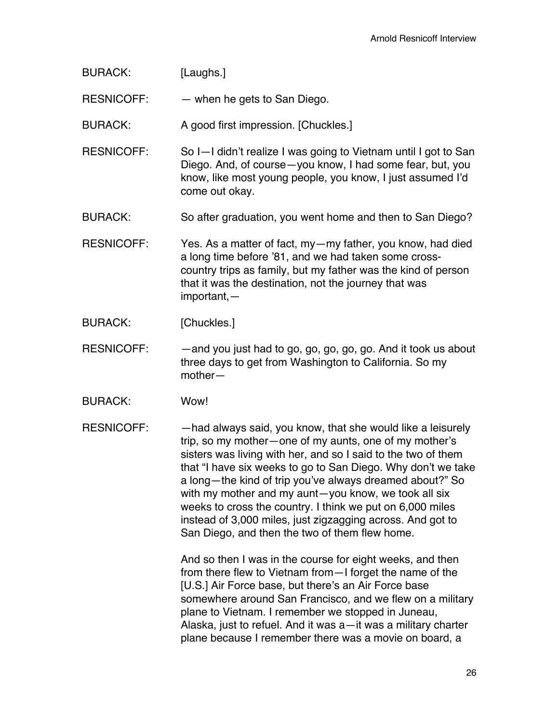| <b>BURACK:</b>    | [Laughs.]                                                                                                                                                                                                                                                                                                                                                                                                                                                                                                                                               |
|-------------------|---------------------------------------------------------------------------------------------------------------------------------------------------------------------------------------------------------------------------------------------------------------------------------------------------------------------------------------------------------------------------------------------------------------------------------------------------------------------------------------------------------------------------------------------------------|
| <b>RESNICOFF:</b> | - when he gets to San Diego.                                                                                                                                                                                                                                                                                                                                                                                                                                                                                                                            |
| <b>BURACK:</b>    | A good first impression. [Chuckles.]                                                                                                                                                                                                                                                                                                                                                                                                                                                                                                                    |
| <b>RESNICOFF:</b> | So I-I didn't realize I was going to Vietnam until I got to San<br>Diego. And, of course - you know, I had some fear, but, you<br>know, like most young people, you know, I just assumed I'd<br>come out okay.                                                                                                                                                                                                                                                                                                                                          |
| <b>BURACK:</b>    | So after graduation, you went home and then to San Diego?                                                                                                                                                                                                                                                                                                                                                                                                                                                                                               |
| <b>RESNICOFF:</b> | Yes. As a matter of fact, my - my father, you know, had died<br>a long time before '81, and we had taken some cross-<br>country trips as family, but my father was the kind of person<br>that it was the destination, not the journey that was<br>$important$ , $-$                                                                                                                                                                                                                                                                                     |
| <b>BURACK:</b>    | [Chuckles.]                                                                                                                                                                                                                                                                                                                                                                                                                                                                                                                                             |
| <b>RESNICOFF:</b> | -and you just had to go, go, go, go, go. And it took us about<br>three days to get from Washington to California. So my<br>$mother-$                                                                                                                                                                                                                                                                                                                                                                                                                    |
| <b>BURACK:</b>    | Wow!                                                                                                                                                                                                                                                                                                                                                                                                                                                                                                                                                    |
| <b>RESNICOFF:</b> | -had always said, you know, that she would like a leisurely<br>trip, so my mother-one of my aunts, one of my mother's<br>sisters was living with her, and so I said to the two of them<br>that "I have six weeks to go to San Diego. Why don't we take<br>a long-the kind of trip you've always dreamed about?" So<br>with my mother and my aunt-you know, we took all six<br>weeks to cross the country. I think we put on 6,000 miles<br>instead of 3,000 miles, just zigzagging across. And got to<br>San Diego, and then the two of them flew home. |
|                   | And so then I was in the course for eight weeks, and then<br>from there flew to Vietnam from - I forget the name of the<br>[U.S.] Air Force base, but there's an Air Force base<br>somewhere around San Francisco, and we flew on a military<br>plane to Vietnam. I remember we stopped in Juneau,<br>Alaska, just to refuel. And it was a—it was a military charter<br>plane because I remember there was a movie on board, a                                                                                                                          |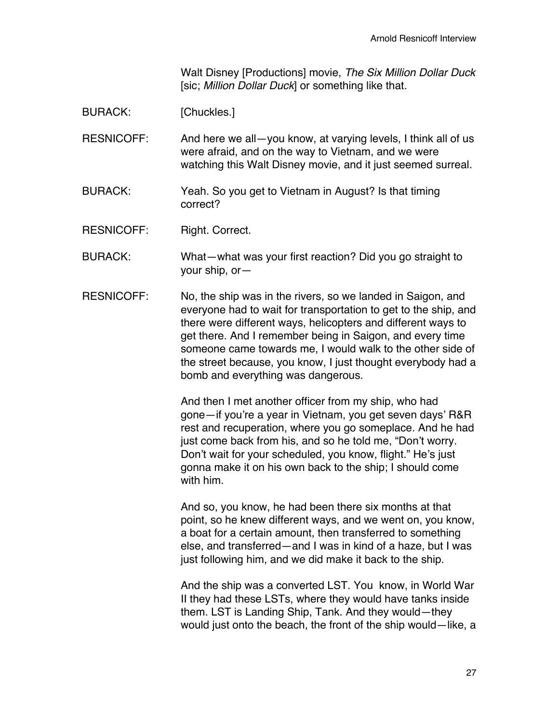Walt Disney [Productions] movie, *The Six Million Dollar Duck* [sic; *Million Dollar Duck*] or something like that.

BURACK: [Chuckles.]

RESNICOFF: And here we all-you know, at varying levels, I think all of us were afraid, and on the way to Vietnam, and we were watching this Walt Disney movie, and it just seemed surreal.

BURACK: Yeah. So you get to Vietnam in August? Is that timing correct?

RESNICOFF: Right. Correct.

- BURACK: What—what was your first reaction? Did you go straight to your ship, or—
- RESNICOFF: No, the ship was in the rivers, so we landed in Saigon, and everyone had to wait for transportation to get to the ship, and there were different ways, helicopters and different ways to get there. And I remember being in Saigon, and every time someone came towards me, I would walk to the other side of the street because, you know, I just thought everybody had a bomb and everything was dangerous.

And then I met another officer from my ship, who had gone—if you're a year in Vietnam, you get seven days' R&R rest and recuperation, where you go someplace. And he had just come back from his, and so he told me, "Don't worry. Don't wait for your scheduled, you know, flight." He's just gonna make it on his own back to the ship; I should come with him.

And so, you know, he had been there six months at that point, so he knew different ways, and we went on, you know, a boat for a certain amount, then transferred to something else, and transferred—and I was in kind of a haze, but I was just following him, and we did make it back to the ship.

And the ship was a converted LST. You know, in World War II they had these LSTs, where they would have tanks inside them. LST is Landing Ship, Tank. And they would—they would just onto the beach, the front of the ship would—like, a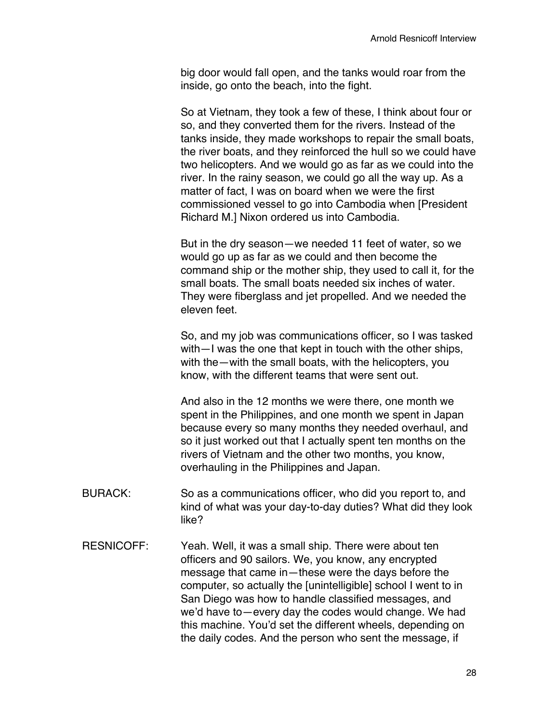big door would fall open, and the tanks would roar from the inside, go onto the beach, into the fight.

So at Vietnam, they took a few of these, I think about four or so, and they converted them for the rivers. Instead of the tanks inside, they made workshops to repair the small boats, the river boats, and they reinforced the hull so we could have two helicopters. And we would go as far as we could into the river. In the rainy season, we could go all the way up. As a matter of fact, I was on board when we were the first commissioned vessel to go into Cambodia when [President Richard M.] Nixon ordered us into Cambodia.

But in the dry season—we needed 11 feet of water, so we would go up as far as we could and then become the command ship or the mother ship, they used to call it, for the small boats. The small boats needed six inches of water. They were fiberglass and jet propelled. And we needed the eleven feet.

So, and my job was communications officer, so I was tasked with—I was the one that kept in touch with the other ships, with the—with the small boats, with the helicopters, you know, with the different teams that were sent out.

And also in the 12 months we were there, one month we spent in the Philippines, and one month we spent in Japan because every so many months they needed overhaul, and so it just worked out that I actually spent ten months on the rivers of Vietnam and the other two months, you know, overhauling in the Philippines and Japan.

- BURACK: So as a communications officer, who did you report to, and kind of what was your day-to-day duties? What did they look like?
- RESNICOFF: Yeah. Well, it was a small ship. There were about ten officers and 90 sailors. We, you know, any encrypted message that came in—these were the days before the computer, so actually the [unintelligible] school I went to in San Diego was how to handle classified messages, and we'd have to—every day the codes would change. We had this machine. You'd set the different wheels, depending on the daily codes. And the person who sent the message, if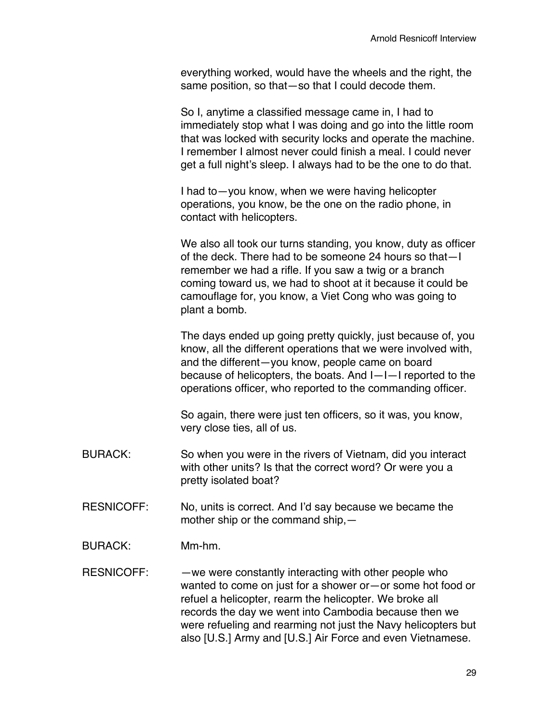everything worked, would have the wheels and the right, the same position, so that—so that I could decode them.

So I, anytime a classified message came in, I had to immediately stop what I was doing and go into the little room that was locked with security locks and operate the machine. I remember I almost never could finish a meal. I could never get a full night's sleep. I always had to be the one to do that.

I had to—you know, when we were having helicopter operations, you know, be the one on the radio phone, in contact with helicopters.

We also all took our turns standing, you know, duty as officer of the deck. There had to be someone 24 hours so that—I remember we had a rifle. If you saw a twig or a branch coming toward us, we had to shoot at it because it could be camouflage for, you know, a Viet Cong who was going to plant a bomb.

The days ended up going pretty quickly, just because of, you know, all the different operations that we were involved with, and the different—you know, people came on board because of helicopters, the boats. And I—I—I reported to the operations officer, who reported to the commanding officer.

So again, there were just ten officers, so it was, you know, very close ties, all of us.

- BURACK: So when you were in the rivers of Vietnam, did you interact with other units? Is that the correct word? Or were you a pretty isolated boat?
- RESNICOFF: No, units is correct. And I'd say because we became the mother ship or the command ship,—
- BURACK: Mm-hm.

RESNICOFF: — — we were constantly interacting with other people who wanted to come on just for a shower or—or some hot food or refuel a helicopter, rearm the helicopter. We broke all records the day we went into Cambodia because then we were refueling and rearming not just the Navy helicopters but also [U.S.] Army and [U.S.] Air Force and even Vietnamese.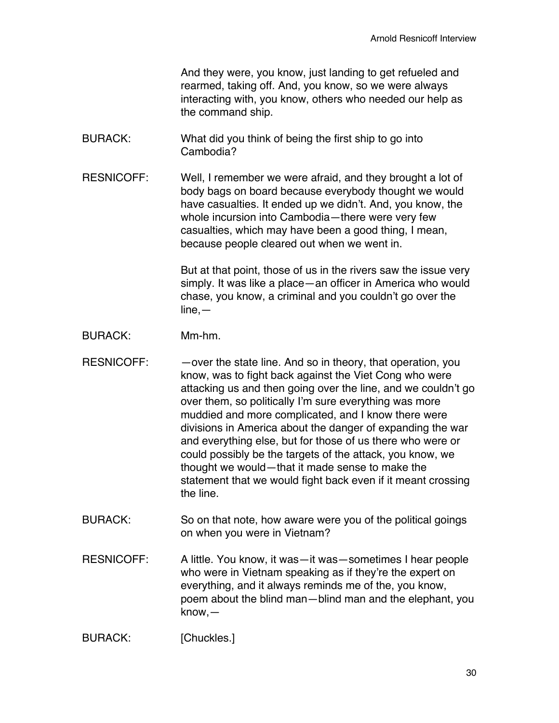And they were, you know, just landing to get refueled and rearmed, taking off. And, you know, so we were always interacting with, you know, others who needed our help as the command ship.

- BURACK: What did you think of being the first ship to go into Cambodia?
- RESNICOFF: Well, I remember we were afraid, and they brought a lot of body bags on board because everybody thought we would have casualties. It ended up we didn't. And, you know, the whole incursion into Cambodia—there were very few casualties, which may have been a good thing, I mean, because people cleared out when we went in.

But at that point, those of us in the rivers saw the issue very simply. It was like a place—an officer in America who would chase, you know, a criminal and you couldn't go over the  $line, -$ 

- BURACK: Mm-hm.
- RESNICOFF: - over the state line. And so in theory, that operation, you know, was to fight back against the Viet Cong who were attacking us and then going over the line, and we couldn't go over them, so politically I'm sure everything was more muddied and more complicated, and I know there were divisions in America about the danger of expanding the war and everything else, but for those of us there who were or could possibly be the targets of the attack, you know, we thought we would—that it made sense to make the statement that we would fight back even if it meant crossing the line.
- BURACK: So on that note, how aware were you of the political goings on when you were in Vietnam?
- RESNICOFF: A little. You know, it was—it was—sometimes I hear people who were in Vietnam speaking as if they're the expert on everything, and it always reminds me of the, you know, poem about the blind man—blind man and the elephant, you know,—

BURACK: [Chuckles.]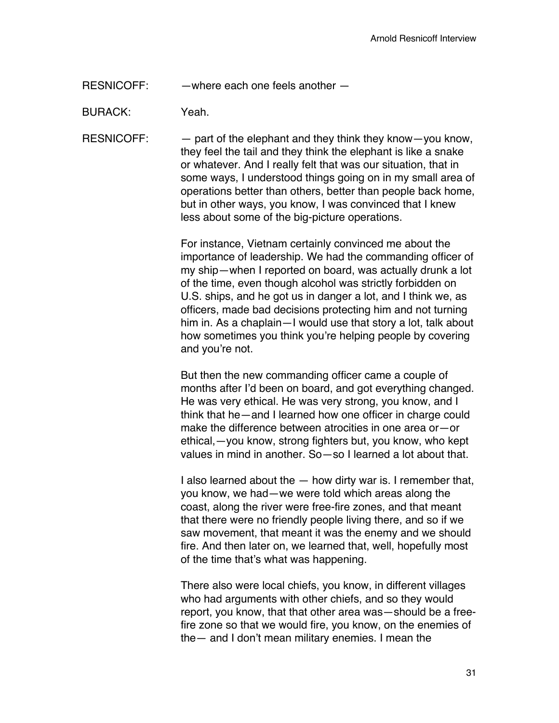RESNICOFF: —where each one feels another —

BURACK: Yeah.

RESNICOFF: — part of the elephant and they think they know—you know, they feel the tail and they think the elephant is like a snake or whatever. And I really felt that was our situation, that in some ways, I understood things going on in my small area of operations better than others, better than people back home, but in other ways, you know, I was convinced that I knew less about some of the big-picture operations.

> For instance, Vietnam certainly convinced me about the importance of leadership. We had the commanding officer of my ship—when I reported on board, was actually drunk a lot of the time, even though alcohol was strictly forbidden on U.S. ships, and he got us in danger a lot, and I think we, as officers, made bad decisions protecting him and not turning him in. As a chaplain—I would use that story a lot, talk about how sometimes you think you're helping people by covering and you're not.

> But then the new commanding officer came a couple of months after I'd been on board, and got everything changed. He was very ethical. He was very strong, you know, and I think that he—and I learned how one officer in charge could make the difference between atrocities in one area or—or ethical,—you know, strong fighters but, you know, who kept values in mind in another. So—so I learned a lot about that.

> I also learned about the — how dirty war is. I remember that, you know, we had—we were told which areas along the coast, along the river were free-fire zones, and that meant that there were no friendly people living there, and so if we saw movement, that meant it was the enemy and we should fire. And then later on, we learned that, well, hopefully most of the time that's what was happening.

> There also were local chiefs, you know, in different villages who had arguments with other chiefs, and so they would report, you know, that that other area was—should be a freefire zone so that we would fire, you know, on the enemies of the— and I don't mean military enemies. I mean the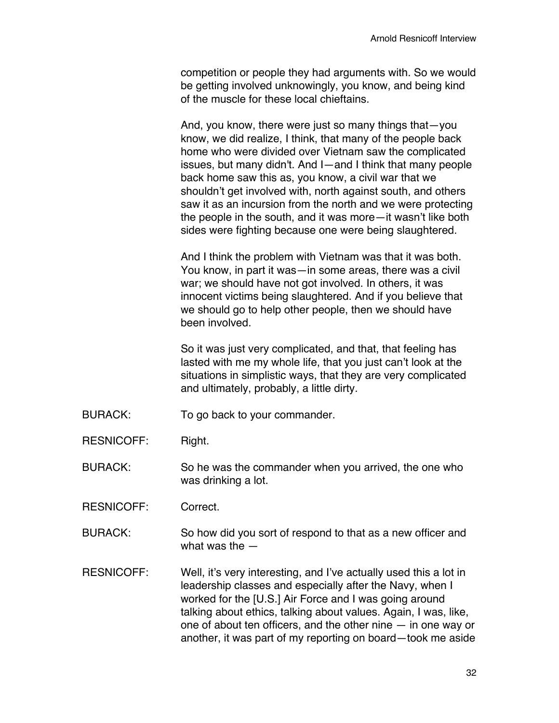competition or people they had arguments with. So we would be getting involved unknowingly, you know, and being kind of the muscle for these local chieftains.

And, you know, there were just so many things that—you know, we did realize, I think, that many of the people back home who were divided over Vietnam saw the complicated issues, but many didn't. And I—and I think that many people back home saw this as, you know, a civil war that we shouldn't get involved with, north against south, and others saw it as an incursion from the north and we were protecting the people in the south, and it was more—it wasn't like both sides were fighting because one were being slaughtered.

And I think the problem with Vietnam was that it was both. You know, in part it was—in some areas, there was a civil war; we should have not got involved. In others, it was innocent victims being slaughtered. And if you believe that we should go to help other people, then we should have been involved.

So it was just very complicated, and that, that feeling has lasted with me my whole life, that you just can't look at the situations in simplistic ways, that they are very complicated and ultimately, probably, a little dirty.

- BURACK: To go back to your commander.
- RESNICOFF: Right.

BURACK: So he was the commander when you arrived, the one who was drinking a lot.

RESNICOFF: Correct.

BURACK: So how did you sort of respond to that as a new officer and what was the —

RESNICOFF: Well, it's very interesting, and I've actually used this a lot in leadership classes and especially after the Navy, when I worked for the [U.S.] Air Force and I was going around talking about ethics, talking about values. Again, I was, like, one of about ten officers, and the other nine — in one way or another, it was part of my reporting on board—took me aside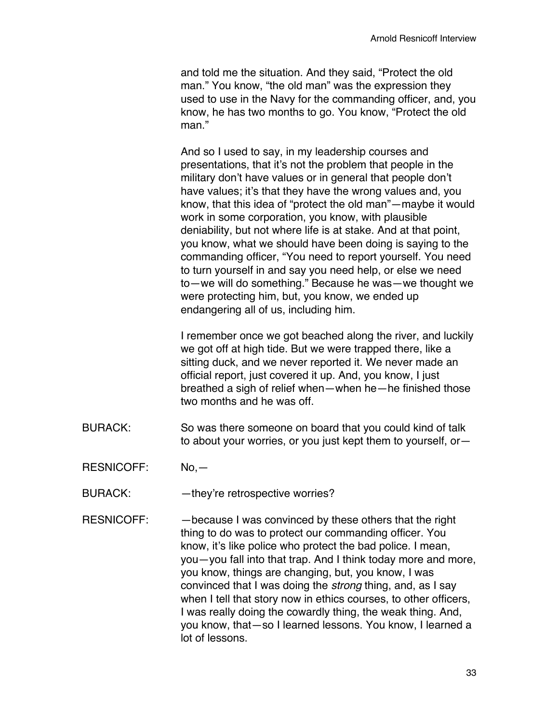and told me the situation. And they said, "Protect the old man." You know, "the old man" was the expression they used to use in the Navy for the commanding officer, and, you know, he has two months to go. You know, "Protect the old man."

And so I used to say, in my leadership courses and presentations, that it's not the problem that people in the military don't have values or in general that people don't have values; it's that they have the wrong values and, you know, that this idea of "protect the old man"—maybe it would work in some corporation, you know, with plausible deniability, but not where life is at stake. And at that point, you know, what we should have been doing is saying to the commanding officer, "You need to report yourself. You need to turn yourself in and say you need help, or else we need to—we will do something." Because he was—we thought we were protecting him, but, you know, we ended up endangering all of us, including him.

I remember once we got beached along the river, and luckily we got off at high tide. But we were trapped there, like a sitting duck, and we never reported it. We never made an official report, just covered it up. And, you know, I just breathed a sigh of relief when—when he—he finished those two months and he was off.

- BURACK: So was there someone on board that you could kind of talk to about your worries, or you just kept them to yourself, or—
- RESNICOFF: No,—
- BURACK: - they're retrospective worries?
- RESNICOFF: - because I was convinced by these others that the right thing to do was to protect our commanding officer. You know, it's like police who protect the bad police. I mean, you—you fall into that trap. And I think today more and more, you know, things are changing, but, you know, I was convinced that I was doing the *strong* thing, and, as I say when I tell that story now in ethics courses, to other officers, I was really doing the cowardly thing, the weak thing. And, you know, that—so I learned lessons. You know, I learned a lot of lessons.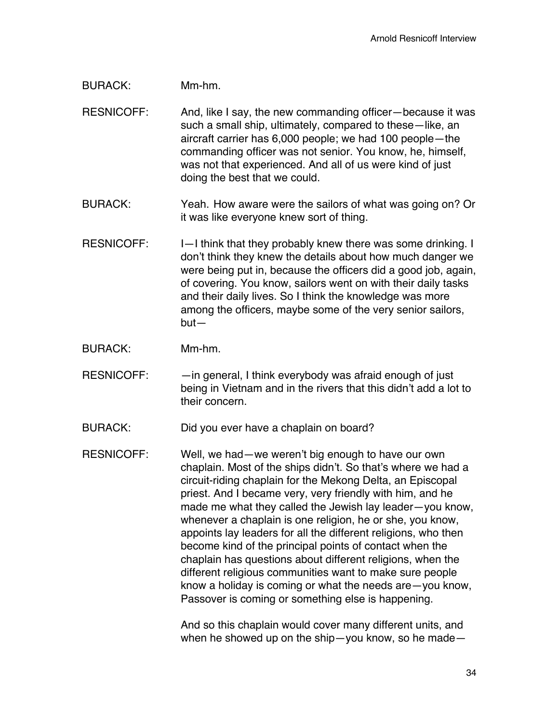## BURACK: Mm-hm.

- RESNICOFF: And, like I say, the new commanding officer—because it was such a small ship, ultimately, compared to these—like, an aircraft carrier has 6,000 people; we had 100 people—the commanding officer was not senior. You know, he, himself, was not that experienced. And all of us were kind of just doing the best that we could.
- BURACK: Yeah. How aware were the sailors of what was going on? Or it was like everyone knew sort of thing.
- RESNICOFF:  $I-I$  think that they probably knew there was some drinking. I don't think they knew the details about how much danger we were being put in, because the officers did a good job, again, of covering. You know, sailors went on with their daily tasks and their daily lives. So I think the knowledge was more among the officers, maybe some of the very senior sailors, but—
- BURACK: Mm-hm.
- RESNICOFF: - in general, I think everybody was afraid enough of just being in Vietnam and in the rivers that this didn't add a lot to their concern.

BURACK: Did you ever have a chaplain on board?

RESNICOFF: Well, we had—we weren't big enough to have our own chaplain. Most of the ships didn't. So that's where we had a circuit-riding chaplain for the Mekong Delta, an Episcopal priest. And I became very, very friendly with him, and he made me what they called the Jewish lay leader—you know, whenever a chaplain is one religion, he or she, you know, appoints lay leaders for all the different religions, who then become kind of the principal points of contact when the chaplain has questions about different religions, when the different religious communities want to make sure people know a holiday is coming or what the needs are—you know, Passover is coming or something else is happening.

> And so this chaplain would cover many different units, and when he showed up on the ship—you know, so he made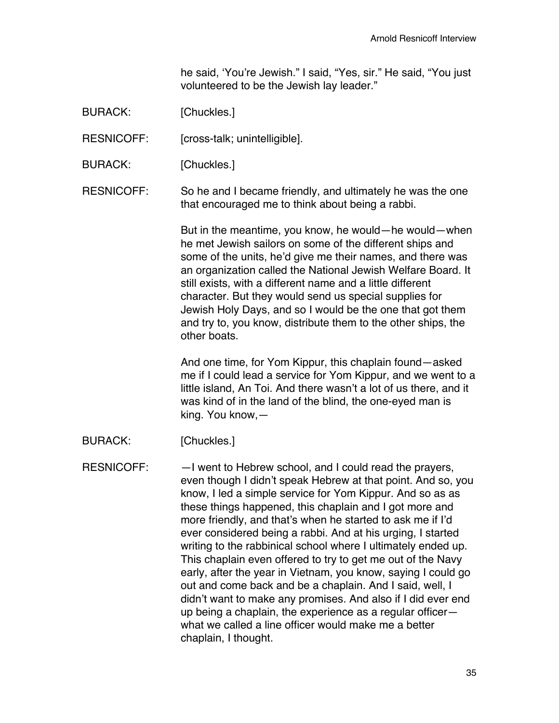he said, 'You're Jewish." I said, "Yes, sir." He said, "You just volunteered to be the Jewish lay leader."

BURACK: [Chuckles.]

RESNICOFF: [cross-talk; unintelligible].

BURACK: [Chuckles.]

RESNICOFF: So he and I became friendly, and ultimately he was the one that encouraged me to think about being a rabbi.

> But in the meantime, you know, he would—he would—when he met Jewish sailors on some of the different ships and some of the units, he'd give me their names, and there was an organization called the National Jewish Welfare Board. It still exists, with a different name and a little different character. But they would send us special supplies for Jewish Holy Days, and so I would be the one that got them and try to, you know, distribute them to the other ships, the other boats.

And one time, for Yom Kippur, this chaplain found—asked me if I could lead a service for Yom Kippur, and we went to a little island, An Toi. And there wasn't a lot of us there, and it was kind of in the land of the blind, the one-eyed man is king. You know,—

BURACK: [Chuckles.]

RESNICOFF: —I went to Hebrew school, and I could read the prayers, even though I didn't speak Hebrew at that point. And so, you know, I led a simple service for Yom Kippur. And so as as these things happened, this chaplain and I got more and more friendly, and that's when he started to ask me if I'd ever considered being a rabbi. And at his urging, I started writing to the rabbinical school where I ultimately ended up. This chaplain even offered to try to get me out of the Navy early, after the year in Vietnam, you know, saying I could go out and come back and be a chaplain. And I said, well, I didn't want to make any promises. And also if I did ever end up being a chaplain, the experience as a regular officer what we called a line officer would make me a better chaplain, I thought.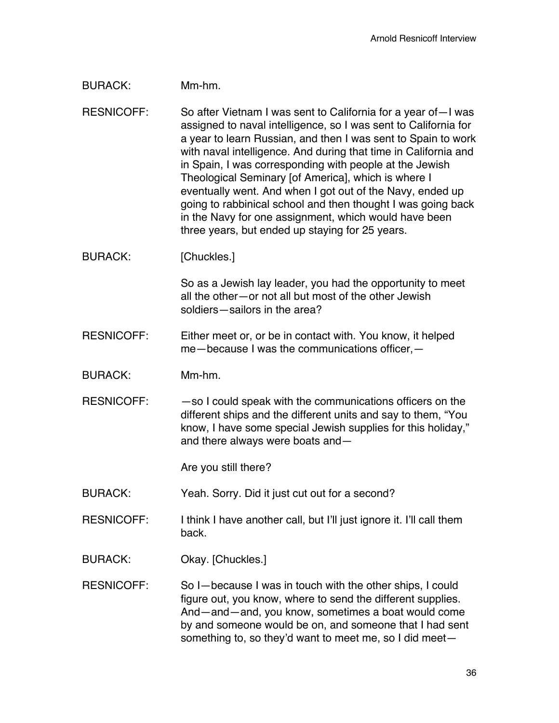## BURACK: Mm-hm.

RESNICOFF: So after Vietnam I was sent to California for a year of—I was assigned to naval intelligence, so I was sent to California for a year to learn Russian, and then I was sent to Spain to work with naval intelligence. And during that time in California and in Spain, I was corresponding with people at the Jewish Theological Seminary [of America], which is where I eventually went. And when I got out of the Navy, ended up going to rabbinical school and then thought I was going back in the Navy for one assignment, which would have been three years, but ended up staying for 25 years.

BURACK: [Chuckles.]

So as a Jewish lay leader, you had the opportunity to meet all the other—or not all but most of the other Jewish soldiers—sailors in the area?

- RESNICOFF: Either meet or, or be in contact with. You know, it helped me—because I was the communications officer,—
- BURACK: Mm-hm.
- RESNICOFF:  $-$  so I could speak with the communications officers on the different ships and the different units and say to them, "You know, I have some special Jewish supplies for this holiday," and there always were boats and—

Are you still there?

BURACK: Yeah. Sorry. Did it just cut out for a second?

- RESNICOFF: I think I have another call, but I'll just ignore it. I'll call them back.
- BURACK: Okay. [Chuckles.]
- RESNICOFF: So I—because I was in touch with the other ships, I could figure out, you know, where to send the different supplies. And—and—and, you know, sometimes a boat would come by and someone would be on, and someone that I had sent something to, so they'd want to meet me, so I did meet—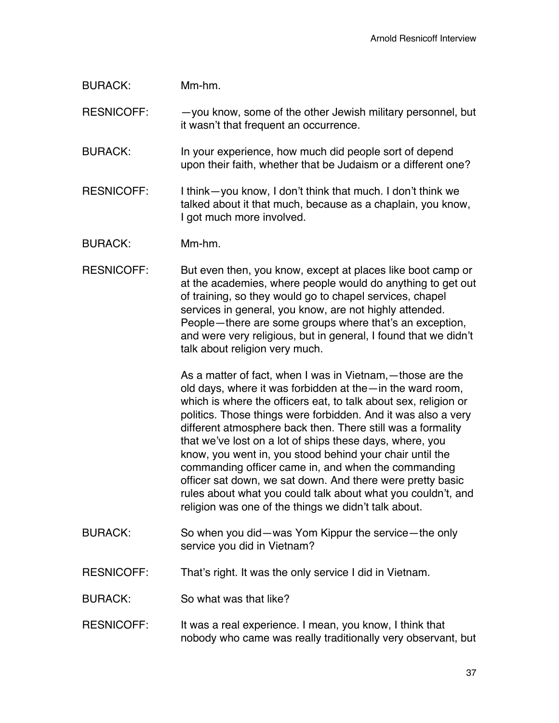## BURACK: Mm-hm.

RESNICOFF: - - you know, some of the other Jewish military personnel, but it wasn't that frequent an occurrence.

- BURACK: In your experience, how much did people sort of depend upon their faith, whether that be Judaism or a different one?
- RESNICOFF: I think—you know, I don't think that much. I don't think we talked about it that much, because as a chaplain, you know, I got much more involved.
- BURACK: Mm-hm.
- RESNICOFF: But even then, you know, except at places like boot camp or at the academies, where people would do anything to get out of training, so they would go to chapel services, chapel services in general, you know, are not highly attended. People—there are some groups where that's an exception, and were very religious, but in general, I found that we didn't talk about religion very much.

As a matter of fact, when I was in Vietnam,—those are the old days, where it was forbidden at the—in the ward room, which is where the officers eat, to talk about sex, religion or politics. Those things were forbidden. And it was also a very different atmosphere back then. There still was a formality that we've lost on a lot of ships these days, where, you know, you went in, you stood behind your chair until the commanding officer came in, and when the commanding officer sat down, we sat down. And there were pretty basic rules about what you could talk about what you couldn't, and religion was one of the things we didn't talk about.

- BURACK: So when you did—was Yom Kippur the service—the only service you did in Vietnam?
- RESNICOFF: That's right. It was the only service I did in Vietnam.
- BURACK: So what was that like?
- RESNICOFF: It was a real experience. I mean, you know, I think that nobody who came was really traditionally very observant, but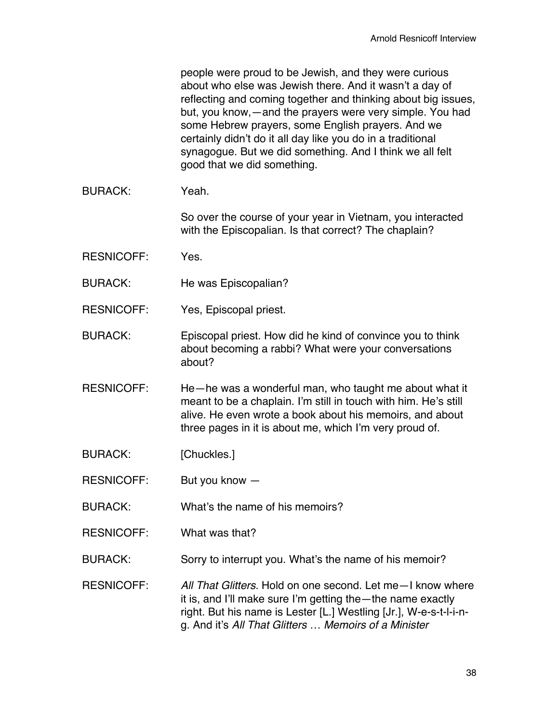|                   | people were proud to be Jewish, and they were curious<br>about who else was Jewish there. And it wasn't a day of<br>reflecting and coming together and thinking about big issues,<br>but, you know, — and the prayers were very simple. You had<br>some Hebrew prayers, some English prayers. And we<br>certainly didn't do it all day like you do in a traditional<br>synagogue. But we did something. And I think we all felt<br>good that we did something. |
|-------------------|----------------------------------------------------------------------------------------------------------------------------------------------------------------------------------------------------------------------------------------------------------------------------------------------------------------------------------------------------------------------------------------------------------------------------------------------------------------|
| <b>BURACK:</b>    | Yeah.                                                                                                                                                                                                                                                                                                                                                                                                                                                          |
|                   | So over the course of your year in Vietnam, you interacted<br>with the Episcopalian. Is that correct? The chaplain?                                                                                                                                                                                                                                                                                                                                            |
| <b>RESNICOFF:</b> | Yes.                                                                                                                                                                                                                                                                                                                                                                                                                                                           |
| <b>BURACK:</b>    | He was Episcopalian?                                                                                                                                                                                                                                                                                                                                                                                                                                           |
| <b>RESNICOFF:</b> | Yes, Episcopal priest.                                                                                                                                                                                                                                                                                                                                                                                                                                         |
| <b>BURACK:</b>    | Episcopal priest. How did he kind of convince you to think<br>about becoming a rabbi? What were your conversations<br>about?                                                                                                                                                                                                                                                                                                                                   |
| <b>RESNICOFF:</b> | He-he was a wonderful man, who taught me about what it<br>meant to be a chaplain. I'm still in touch with him. He's still<br>alive. He even wrote a book about his memoirs, and about<br>three pages in it is about me, which I'm very proud of.                                                                                                                                                                                                               |
| <b>BURACK:</b>    | [Chuckles.]                                                                                                                                                                                                                                                                                                                                                                                                                                                    |
| <b>RESNICOFF:</b> | But you know -                                                                                                                                                                                                                                                                                                                                                                                                                                                 |
| <b>BURACK:</b>    | What's the name of his memoirs?                                                                                                                                                                                                                                                                                                                                                                                                                                |
| <b>RESNICOFF:</b> | What was that?                                                                                                                                                                                                                                                                                                                                                                                                                                                 |
| BURACK:           | Sorry to interrupt you. What's the name of his memoir?                                                                                                                                                                                                                                                                                                                                                                                                         |
| <b>RESNICOFF:</b> | All That Glitters. Hold on one second. Let me - I know where<br>it is, and I'll make sure I'm getting the — the name exactly<br>right. But his name is Lester [L.] Westling [Jr.], W-e-s-t-I-i-n-<br>g. And it's All That Glitters  Memoirs of a Minister                                                                                                                                                                                                      |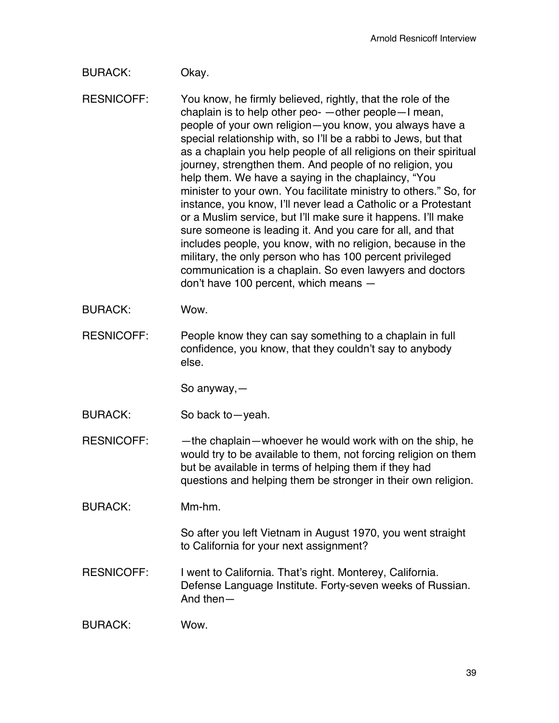# BURACK: Okay.

RESNICOFF: You know, he firmly believed, rightly, that the role of the chaplain is to help other peo- —other people—I mean, people of your own religion—you know, you always have a special relationship with, so I'll be a rabbi to Jews, but that as a chaplain you help people of all religions on their spiritual journey, strengthen them. And people of no religion, you help them. We have a saying in the chaplaincy, "You minister to your own. You facilitate ministry to others." So, for instance, you know, I'll never lead a Catholic or a Protestant or a Muslim service, but I'll make sure it happens. I'll make sure someone is leading it. And you care for all, and that includes people, you know, with no religion, because in the military, the only person who has 100 percent privileged communication is a chaplain. So even lawyers and doctors don't have 100 percent, which means —

- BURACK: Wow.
- RESNICOFF: People know they can say something to a chaplain in full confidence, you know, that they couldn't say to anybody else.

So anyway,—

BURACK: So back to—yeah.

RESNICOFF: - —the chaplain—whoever he would work with on the ship, he would try to be available to them, not forcing religion on them but be available in terms of helping them if they had questions and helping them be stronger in their own religion.

BURACK: Mm-hm.

So after you left Vietnam in August 1970, you went straight to California for your next assignment?

RESNICOFF: I went to California. That's right. Monterey, California. Defense Language Institute. Forty-seven weeks of Russian. And then—

BURACK: Wow.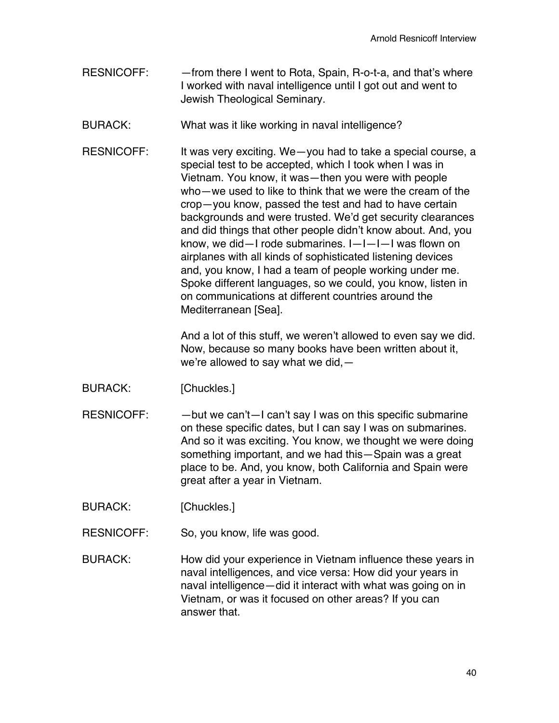RESNICOFF: - - from there I went to Rota, Spain, R-o-t-a, and that's where I worked with naval intelligence until I got out and went to Jewish Theological Seminary.

BURACK: What was it like working in naval intelligence?

RESNICOFF: It was very exciting. We-you had to take a special course, a special test to be accepted, which I took when I was in Vietnam. You know, it was—then you were with people who—we used to like to think that we were the cream of the crop—you know, passed the test and had to have certain backgrounds and were trusted. We'd get security clearances and did things that other people didn't know about. And, you know, we did—I rode submarines. I—I—I—I was flown on airplanes with all kinds of sophisticated listening devices and, you know, I had a team of people working under me. Spoke different languages, so we could, you know, listen in on communications at different countries around the Mediterranean [Sea].

> And a lot of this stuff, we weren't allowed to even say we did. Now, because so many books have been written about it, we're allowed to say what we did,—

- BURACK: [Chuckles.]
- RESNICOFF:  $-\text{but we can't}-\text{l can't say l was on this specific submarine}$ on these specific dates, but I can say I was on submarines. And so it was exciting. You know, we thought we were doing something important, and we had this—Spain was a great place to be. And, you know, both California and Spain were great after a year in Vietnam.

BURACK: [Chuckles.]

- RESNICOFF: So, you know, life was good.
- BURACK: How did your experience in Vietnam influence these years in naval intelligences, and vice versa: How did your years in naval intelligence—did it interact with what was going on in Vietnam, or was it focused on other areas? If you can answer that.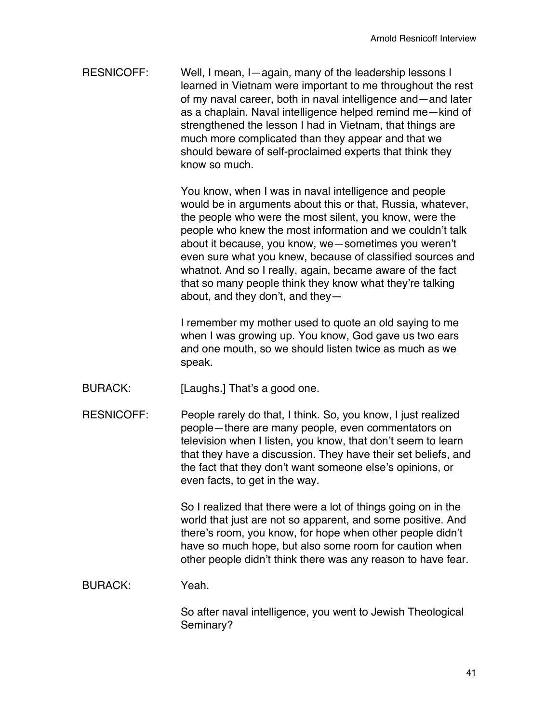RESNICOFF: Well, I mean, I—again, many of the leadership lessons I learned in Vietnam were important to me throughout the rest of my naval career, both in naval intelligence and—and later as a chaplain. Naval intelligence helped remind me—kind of strengthened the lesson I had in Vietnam, that things are much more complicated than they appear and that we should beware of self-proclaimed experts that think they know so much.

> You know, when I was in naval intelligence and people would be in arguments about this or that, Russia, whatever, the people who were the most silent, you know, were the people who knew the most information and we couldn't talk about it because, you know, we—sometimes you weren't even sure what you knew, because of classified sources and whatnot. And so I really, again, became aware of the fact that so many people think they know what they're talking about, and they don't, and they—

I remember my mother used to quote an old saying to me when I was growing up. You know, God gave us two ears and one mouth, so we should listen twice as much as we speak.

- BURACK: [Laughs.] That's a good one.
- RESNICOFF: People rarely do that, I think. So, you know, I just realized people—there are many people, even commentators on television when I listen, you know, that don't seem to learn that they have a discussion. They have their set beliefs, and the fact that they don't want someone else's opinions, or even facts, to get in the way.

So I realized that there were a lot of things going on in the world that just are not so apparent, and some positive. And there's room, you know, for hope when other people didn't have so much hope, but also some room for caution when other people didn't think there was any reason to have fear.

#### BURACK: Yeah.

So after naval intelligence, you went to Jewish Theological Seminary?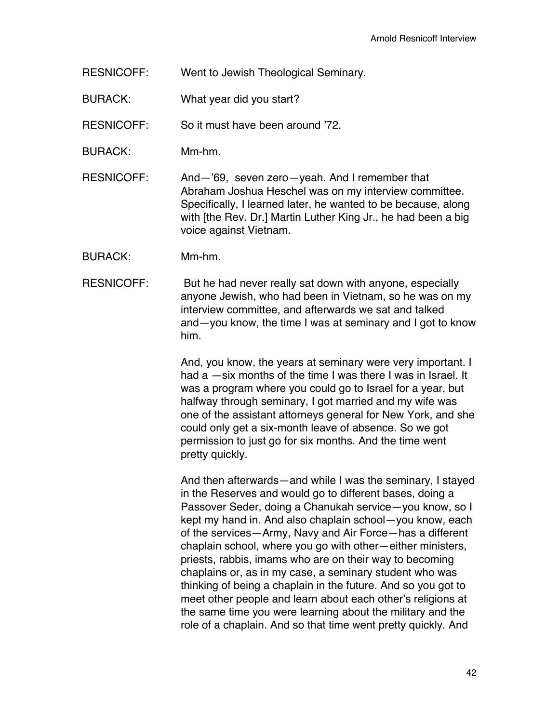RESNICOFF: Went to Jewish Theological Seminary.

BURACK: What year did you start?

RESNICOFF: So it must have been around '72.

BURACK: Mm-hm.

RESNICOFF: And—'69, seven zero—yeah. And I remember that Abraham Joshua Heschel was on my interview committee. Specifically, I learned later, he wanted to be because, along with [the Rev. Dr.] Martin Luther King Jr., he had been a big voice against Vietnam.

- BURACK: Mm-hm.
- RESNICOFF: But he had never really sat down with anyone, especially anyone Jewish, who had been in Vietnam, so he was on my interview committee, and afterwards we sat and talked and—you know, the time I was at seminary and I got to know him.

And, you know, the years at seminary were very important. I had a —six months of the time I was there I was in Israel. It was a program where you could go to Israel for a year, but halfway through seminary, I got married and my wife was one of the assistant attorneys general for New York, and she could only get a six-month leave of absence. So we got permission to just go for six months. And the time went pretty quickly.

And then afterwards—and while I was the seminary, I stayed in the Reserves and would go to different bases, doing a Passover Seder, doing a Chanukah service—you know, so I kept my hand in. And also chaplain school—you know, each of the services—Army, Navy and Air Force—has a different chaplain school, where you go with other—either ministers, priests, rabbis, imams who are on their way to becoming chaplains or, as in my case, a seminary student who was thinking of being a chaplain in the future. And so you got to meet other people and learn about each other's religions at the same time you were learning about the military and the role of a chaplain. And so that time went pretty quickly. And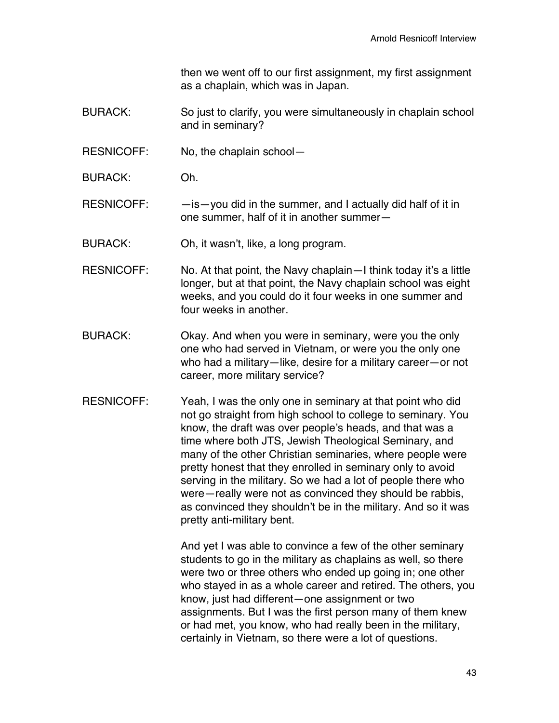then we went off to our first assignment, my first assignment as a chaplain, which was in Japan.

- BURACK: So just to clarify, you were simultaneously in chaplain school and in seminary?
- RESNICOFF: No, the chaplain school—
- BURACK: Oh.

 $RESNICOFF:$   $-$  is  $-$  you did in the summer, and I actually did half of it in one summer, half of it in another summer—

BURACK: Oh, it wasn't, like, a long program.

RESNICOFF: No. At that point, the Navy chaplain—I think today it's a little longer, but at that point, the Navy chaplain school was eight weeks, and you could do it four weeks in one summer and four weeks in another.

- BURACK: Okay. And when you were in seminary, were you the only one who had served in Vietnam, or were you the only one who had a military—like, desire for a military career—or not career, more military service?
- RESNICOFF: Yeah, I was the only one in seminary at that point who did not go straight from high school to college to seminary. You know, the draft was over people's heads, and that was a time where both JTS, Jewish Theological Seminary, and many of the other Christian seminaries, where people were pretty honest that they enrolled in seminary only to avoid serving in the military. So we had a lot of people there who were—really were not as convinced they should be rabbis, as convinced they shouldn't be in the military. And so it was pretty anti-military bent.

And yet I was able to convince a few of the other seminary students to go in the military as chaplains as well, so there were two or three others who ended up going in; one other who stayed in as a whole career and retired. The others, you know, just had different—one assignment or two assignments. But I was the first person many of them knew or had met, you know, who had really been in the military, certainly in Vietnam, so there were a lot of questions.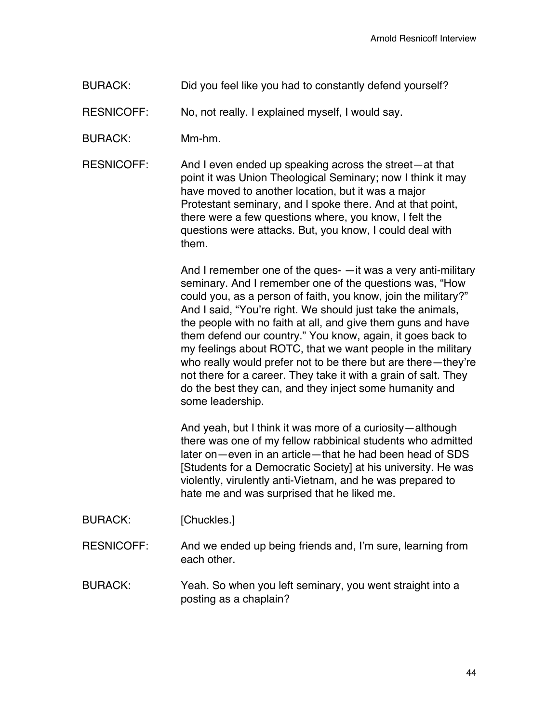BURACK: Did you feel like you had to constantly defend yourself?

RESNICOFF: No, not really. I explained myself, I would say.

BURACK: Mm-hm.

RESNICOFF: And I even ended up speaking across the street—at that point it was Union Theological Seminary; now I think it may have moved to another location, but it was a major Protestant seminary, and I spoke there. And at that point, there were a few questions where, you know, I felt the questions were attacks. But, you know, I could deal with them.

> And I remember one of the ques- —it was a very anti-military seminary. And I remember one of the questions was, "How could you, as a person of faith, you know, join the military?" And I said, "You're right. We should just take the animals, the people with no faith at all, and give them guns and have them defend our country." You know, again, it goes back to my feelings about ROTC, that we want people in the military who really would prefer not to be there but are there—they're not there for a career. They take it with a grain of salt. They do the best they can, and they inject some humanity and some leadership.

> And yeah, but I think it was more of a curiosity—although there was one of my fellow rabbinical students who admitted later on—even in an article—that he had been head of SDS [Students for a Democratic Society] at his university. He was violently, virulently anti-Vietnam, and he was prepared to hate me and was surprised that he liked me.

- BURACK: [Chuckles.]
- RESNICOFF: And we ended up being friends and, I'm sure, learning from each other.
- BURACK: Yeah. So when you left seminary, you went straight into a posting as a chaplain?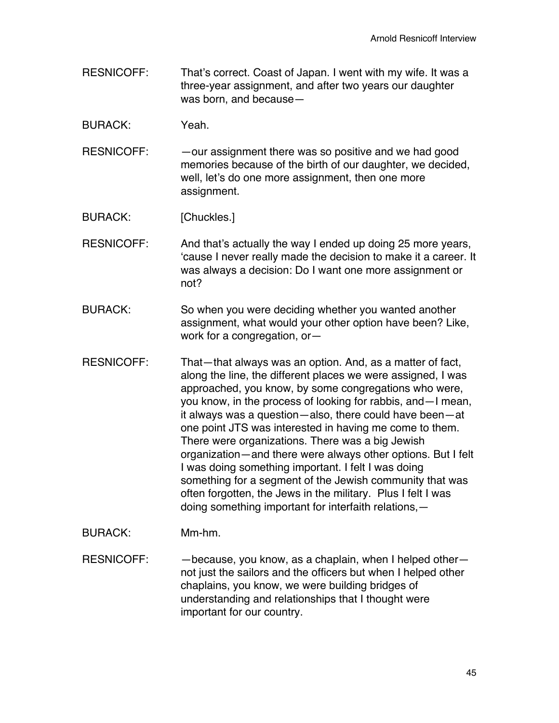- RESNICOFF: That's correct. Coast of Japan. I went with my wife. It was a three-year assignment, and after two years our daughter was born, and because—
- BURACK: Yeah.
- RESNICOFF: — our assignment there was so positive and we had good memories because of the birth of our daughter, we decided, well, let's do one more assignment, then one more assignment.
- BURACK: [Chuckles.]
- RESNICOFF: And that's actually the way I ended up doing 25 more years, 'cause I never really made the decision to make it a career. It was always a decision: Do I want one more assignment or not?
- BURACK: So when you were deciding whether you wanted another assignment, what would your other option have been? Like, work for a congregation, or—
- RESNICOFF: That—that always was an option. And, as a matter of fact, along the line, the different places we were assigned, I was approached, you know, by some congregations who were, you know, in the process of looking for rabbis, and—I mean, it always was a question—also, there could have been—at one point JTS was interested in having me come to them. There were organizations. There was a big Jewish organization—and there were always other options. But I felt I was doing something important. I felt I was doing something for a segment of the Jewish community that was often forgotten, the Jews in the military. Plus I felt I was doing something important for interfaith relations,—
- BURACK: Mm-hm.
- RESNICOFF: - because, you know, as a chaplain, when I helped othernot just the sailors and the officers but when I helped other chaplains, you know, we were building bridges of understanding and relationships that I thought were important for our country.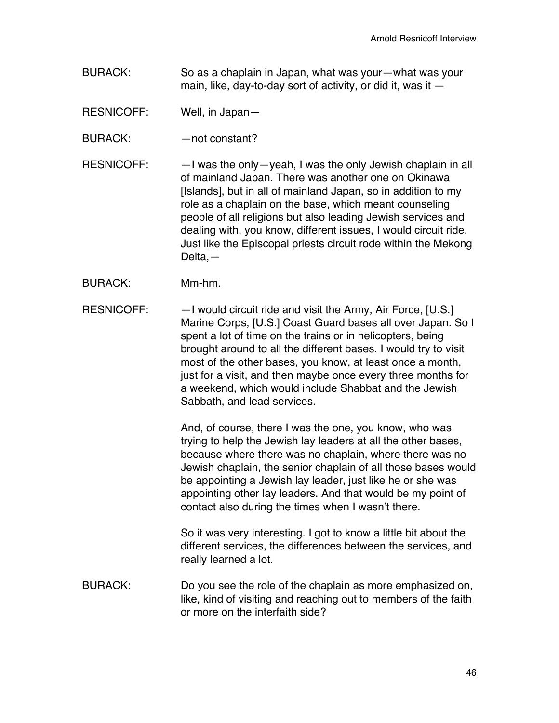BURACK: So as a chaplain in Japan, what was your—what was your main, like, day-to-day sort of activity, or did it, was it  $-$ 

RESNICOFF: Well, in Japan—

BURACK: — — not constant?

- RESNICOFF: —I was the only—yeah, I was the only Jewish chaplain in all of mainland Japan. There was another one on Okinawa [Islands], but in all of mainland Japan, so in addition to my role as a chaplain on the base, which meant counseling people of all religions but also leading Jewish services and dealing with, you know, different issues, I would circuit ride. Just like the Episcopal priests circuit rode within the Mekong Delta,—
- BURACK: Mm-hm.
- RESNICOFF: —I would circuit ride and visit the Army, Air Force, [U.S.] Marine Corps, [U.S.] Coast Guard bases all over Japan. So I spent a lot of time on the trains or in helicopters, being brought around to all the different bases. I would try to visit most of the other bases, you know, at least once a month, just for a visit, and then maybe once every three months for a weekend, which would include Shabbat and the Jewish Sabbath, and lead services.

And, of course, there I was the one, you know, who was trying to help the Jewish lay leaders at all the other bases, because where there was no chaplain, where there was no Jewish chaplain, the senior chaplain of all those bases would be appointing a Jewish lay leader, just like he or she was appointing other lay leaders. And that would be my point of contact also during the times when I wasn't there.

So it was very interesting. I got to know a little bit about the different services, the differences between the services, and really learned a lot.

BURACK: Do you see the role of the chaplain as more emphasized on, like, kind of visiting and reaching out to members of the faith or more on the interfaith side?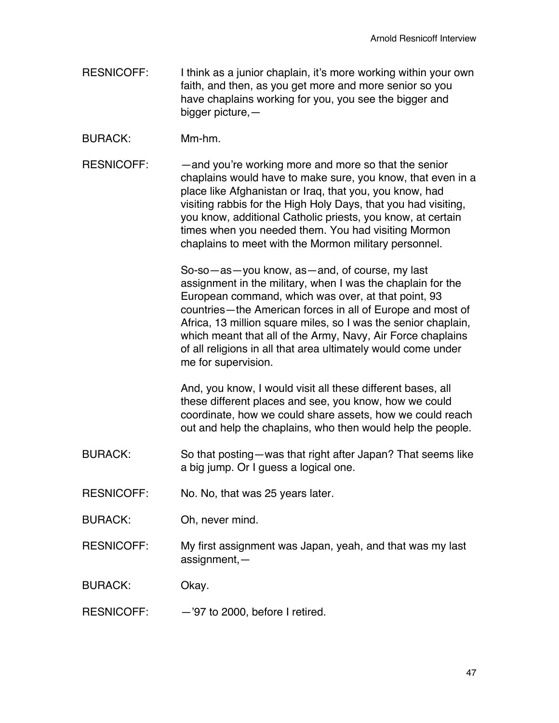- RESNICOFF: I think as a junior chaplain, it's more working within your own faith, and then, as you get more and more senior so you have chaplains working for you, you see the bigger and bigger picture,—
- BURACK: Mm-hm.
- RESNICOFF: —and you're working more and more so that the senior chaplains would have to make sure, you know, that even in a place like Afghanistan or Iraq, that you, you know, had visiting rabbis for the High Holy Days, that you had visiting, you know, additional Catholic priests, you know, at certain times when you needed them. You had visiting Mormon chaplains to meet with the Mormon military personnel.

So-so—as—you know, as—and, of course, my last assignment in the military, when I was the chaplain for the European command, which was over, at that point, 93 countries—the American forces in all of Europe and most of Africa, 13 million square miles, so I was the senior chaplain, which meant that all of the Army, Navy, Air Force chaplains of all religions in all that area ultimately would come under me for supervision.

And, you know, I would visit all these different bases, all these different places and see, you know, how we could coordinate, how we could share assets, how we could reach out and help the chaplains, who then would help the people.

- BURACK: So that posting—was that right after Japan? That seems like a big jump. Or I guess a logical one.
- RESNICOFF: No. No, that was 25 years later.
- BURACK: Oh, never mind.
- RESNICOFF: My first assignment was Japan, yeah, and that was my last assignment,—

BURACK: Okay.

RESNICOFF: —'97 to 2000, before I retired.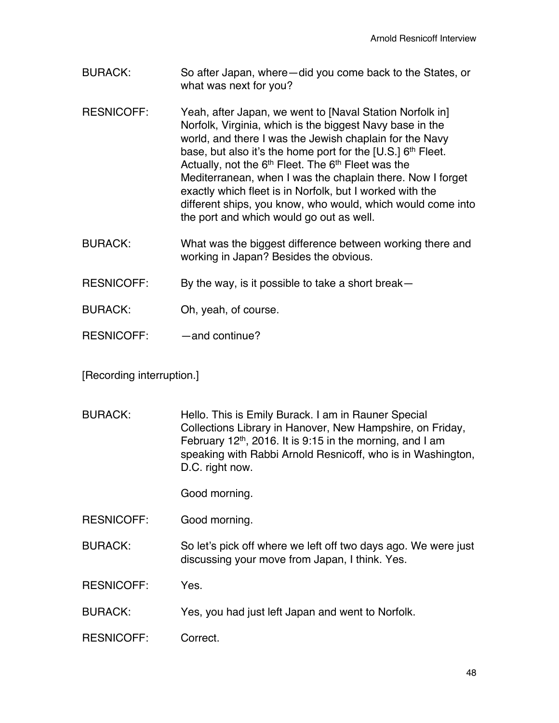- BURACK: So after Japan, where—did you come back to the States, or what was next for you?
- RESNICOFF: Yeah, after Japan, we went to [Naval Station Norfolk in] Norfolk, Virginia, which is the biggest Navy base in the world, and there I was the Jewish chaplain for the Navy base, but also it's the home port for the  $[U.S.]$  6<sup>th</sup> Fleet. Actually, not the  $6<sup>th</sup>$  Fleet. The  $6<sup>th</sup>$  Fleet was the Mediterranean, when I was the chaplain there. Now I forget exactly which fleet is in Norfolk, but I worked with the different ships, you know, who would, which would come into the port and which would go out as well.
- BURACK: What was the biggest difference between working there and working in Japan? Besides the obvious.

RESNICOFF: By the way, is it possible to take a short break—

- BURACK: Oh, yeah, of course.
- RESNICOFF: and continue?

[Recording interruption.]

BURACK: Hello. This is Emily Burack. I am in Rauner Special Collections Library in Hanover, New Hampshire, on Friday, February 12<sup>th</sup>, 2016. It is 9:15 in the morning, and I am speaking with Rabbi Arnold Resnicoff, who is in Washington, D.C. right now.

Good morning.

RESNICOFF: Good morning.

BURACK: So let's pick off where we left off two days ago. We were just discussing your move from Japan, I think. Yes.

RESNICOFF: Yes.

- BURACK: Yes, you had just left Japan and went to Norfolk.
- RESNICOFF: Correct.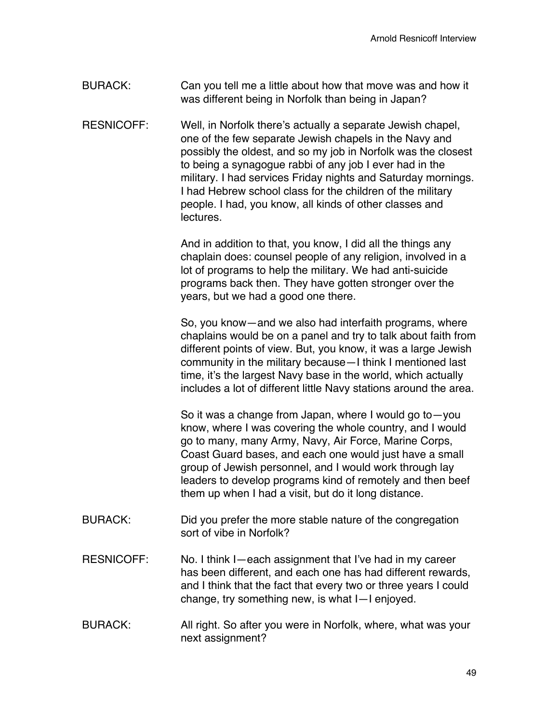- BURACK: Can you tell me a little about how that move was and how it was different being in Norfolk than being in Japan?
- RESNICOFF: Well, in Norfolk there's actually a separate Jewish chapel, one of the few separate Jewish chapels in the Navy and possibly the oldest, and so my job in Norfolk was the closest to being a synagogue rabbi of any job I ever had in the military. I had services Friday nights and Saturday mornings. I had Hebrew school class for the children of the military people. I had, you know, all kinds of other classes and lectures.

And in addition to that, you know, I did all the things any chaplain does: counsel people of any religion, involved in a lot of programs to help the military. We had anti-suicide programs back then. They have gotten stronger over the years, but we had a good one there.

So, you know—and we also had interfaith programs, where chaplains would be on a panel and try to talk about faith from different points of view. But, you know, it was a large Jewish community in the military because—I think I mentioned last time, it's the largest Navy base in the world, which actually includes a lot of different little Navy stations around the area.

So it was a change from Japan, where I would go to—you know, where I was covering the whole country, and I would go to many, many Army, Navy, Air Force, Marine Corps, Coast Guard bases, and each one would just have a small group of Jewish personnel, and I would work through lay leaders to develop programs kind of remotely and then beef them up when I had a visit, but do it long distance.

- BURACK: Did you prefer the more stable nature of the congregation sort of vibe in Norfolk?
- RESNICOFF: No. I think I—each assignment that I've had in my career has been different, and each one has had different rewards, and I think that the fact that every two or three years I could change, try something new, is what I—I enjoyed.
- BURACK: All right. So after you were in Norfolk, where, what was your next assignment?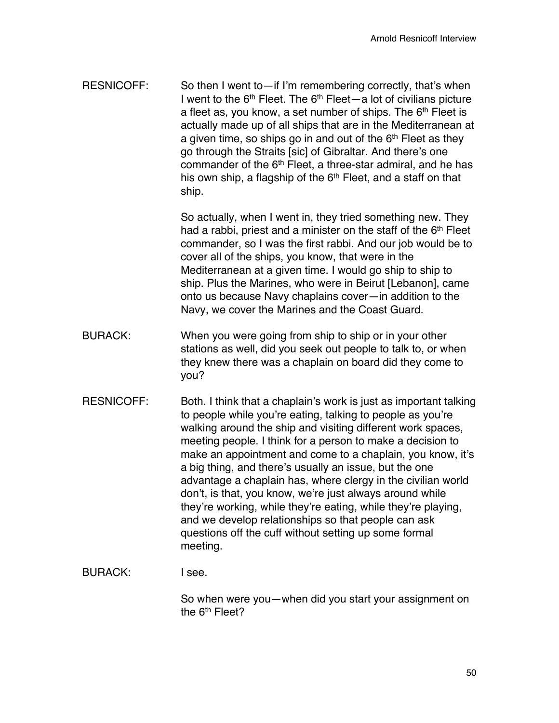RESNICOFF: So then I went to—if I'm remembering correctly, that's when I went to the  $6<sup>th</sup>$  Fleet. The  $6<sup>th</sup>$  Fleet — a lot of civilians picture a fleet as, you know, a set number of ships. The 6<sup>th</sup> Fleet is actually made up of all ships that are in the Mediterranean at a given time, so ships go in and out of the  $6<sup>th</sup>$  Fleet as they go through the Straits [sic] of Gibraltar. And there's one commander of the 6<sup>th</sup> Fleet, a three-star admiral, and he has his own ship, a flagship of the  $6<sup>th</sup>$  Fleet, and a staff on that ship.

> So actually, when I went in, they tried something new. They had a rabbi, priest and a minister on the staff of the 6<sup>th</sup> Fleet commander, so I was the first rabbi. And our job would be to cover all of the ships, you know, that were in the Mediterranean at a given time. I would go ship to ship to ship. Plus the Marines, who were in Beirut [Lebanon], came onto us because Navy chaplains cover—in addition to the Navy, we cover the Marines and the Coast Guard.

- BURACK: When you were going from ship to ship or in your other stations as well, did you seek out people to talk to, or when they knew there was a chaplain on board did they come to you?
- RESNICOFF: Both. I think that a chaplain's work is just as important talking to people while you're eating, talking to people as you're walking around the ship and visiting different work spaces, meeting people. I think for a person to make a decision to make an appointment and come to a chaplain, you know, it's a big thing, and there's usually an issue, but the one advantage a chaplain has, where clergy in the civilian world don't, is that, you know, we're just always around while they're working, while they're eating, while they're playing, and we develop relationships so that people can ask questions off the cuff without setting up some formal meeting.

#### BURACK: I see.

So when were you—when did you start your assignment on the 6<sup>th</sup> Fleet?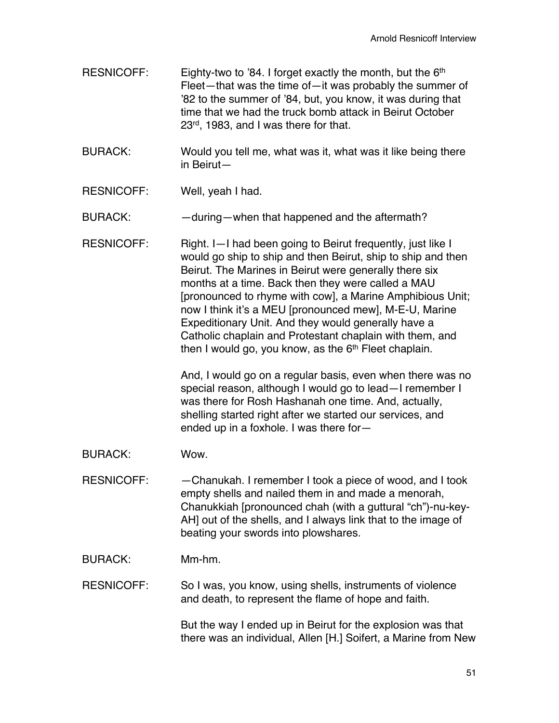- RESNICOFF: Eighty-two to '84. I forget exactly the month, but the  $6<sup>th</sup>$ Fleet—that was the time of—it was probably the summer of '82 to the summer of '84, but, you know, it was during that time that we had the truck bomb attack in Beirut October 23<sup>rd</sup>, 1983, and I was there for that.
- BURACK: Would you tell me, what was it, what was it like being there in Beirut—
- RESNICOFF: Well, yeah I had.

BURACK: — — during—when that happened and the aftermath?

RESNICOFF: Right. I-I had been going to Beirut frequently, just like I would go ship to ship and then Beirut, ship to ship and then Beirut. The Marines in Beirut were generally there six months at a time. Back then they were called a MAU [pronounced to rhyme with cow], a Marine Amphibious Unit; now I think it's a MEU [pronounced mew], M-E-U, Marine Expeditionary Unit. And they would generally have a Catholic chaplain and Protestant chaplain with them, and then I would go, you know, as the  $6<sup>th</sup>$  Fleet chaplain.

> And, I would go on a regular basis, even when there was no special reason, although I would go to lead—I remember I was there for Rosh Hashanah one time. And, actually, shelling started right after we started our services, and ended up in a foxhole. I was there for—

BURACK: Wow.

RESNICOFF: —Chanukah. I remember I took a piece of wood, and I took empty shells and nailed them in and made a menorah, Chanukkiah [pronounced chah (with a guttural "ch")-nu-key-AH] out of the shells, and I always link that to the image of beating your swords into plowshares.

BURACK: Mm-hm.

RESNICOFF: So I was, you know, using shells, instruments of violence and death, to represent the flame of hope and faith.

> But the way I ended up in Beirut for the explosion was that there was an individual, Allen [H.] Soifert, a Marine from New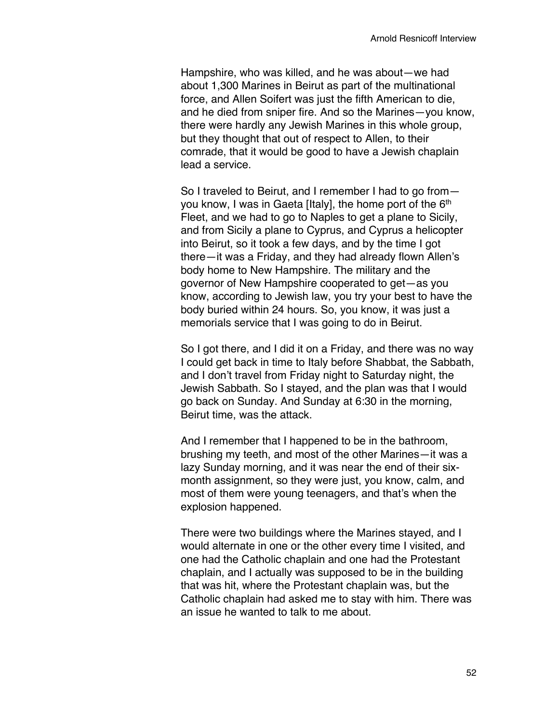Hampshire, who was killed, and he was about—we had about 1,300 Marines in Beirut as part of the multinational force, and Allen Soifert was just the fifth American to die, and he died from sniper fire. And so the Marines—you know, there were hardly any Jewish Marines in this whole group, but they thought that out of respect to Allen, to their comrade, that it would be good to have a Jewish chaplain lead a service.

So I traveled to Beirut, and I remember I had to go from you know, I was in Gaeta [Italy], the home port of the 6<sup>th</sup> Fleet, and we had to go to Naples to get a plane to Sicily, and from Sicily a plane to Cyprus, and Cyprus a helicopter into Beirut, so it took a few days, and by the time I got there—it was a Friday, and they had already flown Allen's body home to New Hampshire. The military and the governor of New Hampshire cooperated to get—as you know, according to Jewish law, you try your best to have the body buried within 24 hours. So, you know, it was just a memorials service that I was going to do in Beirut.

So I got there, and I did it on a Friday, and there was no way I could get back in time to Italy before Shabbat, the Sabbath, and I don't travel from Friday night to Saturday night, the Jewish Sabbath. So I stayed, and the plan was that I would go back on Sunday. And Sunday at 6:30 in the morning, Beirut time, was the attack.

And I remember that I happened to be in the bathroom, brushing my teeth, and most of the other Marines—it was a lazy Sunday morning, and it was near the end of their sixmonth assignment, so they were just, you know, calm, and most of them were young teenagers, and that's when the explosion happened.

There were two buildings where the Marines stayed, and I would alternate in one or the other every time I visited, and one had the Catholic chaplain and one had the Protestant chaplain, and I actually was supposed to be in the building that was hit, where the Protestant chaplain was, but the Catholic chaplain had asked me to stay with him. There was an issue he wanted to talk to me about.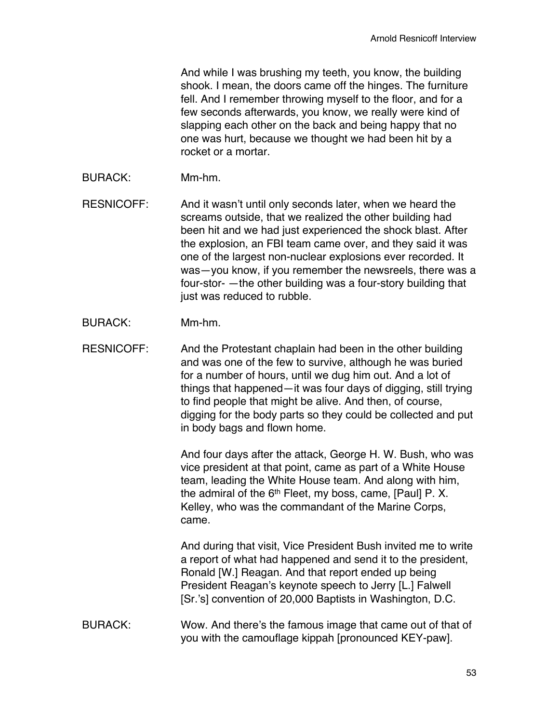And while I was brushing my teeth, you know, the building shook. I mean, the doors came off the hinges. The furniture fell. And I remember throwing myself to the floor, and for a few seconds afterwards, you know, we really were kind of slapping each other on the back and being happy that no one was hurt, because we thought we had been hit by a rocket or a mortar.

BURACK: Mm-hm.

RESNICOFF: And it wasn't until only seconds later, when we heard the screams outside, that we realized the other building had been hit and we had just experienced the shock blast. After the explosion, an FBI team came over, and they said it was one of the largest non-nuclear explosions ever recorded. It was—you know, if you remember the newsreels, there was a four-stor- —the other building was a four-story building that just was reduced to rubble.

BURACK: Mm-hm.

RESNICOFF: And the Protestant chaplain had been in the other building and was one of the few to survive, although he was buried for a number of hours, until we dug him out. And a lot of things that happened—it was four days of digging, still trying to find people that might be alive. And then, of course, digging for the body parts so they could be collected and put in body bags and flown home.

> And four days after the attack, George H. W. Bush, who was vice president at that point, came as part of a White House team, leading the White House team. And along with him, the admiral of the  $6<sup>th</sup>$  Fleet, my boss, came, [Paul] P. X. Kelley, who was the commandant of the Marine Corps, came.

> And during that visit, Vice President Bush invited me to write a report of what had happened and send it to the president, Ronald [W.] Reagan. And that report ended up being President Reagan's keynote speech to Jerry [L.] Falwell [Sr.'s] convention of 20,000 Baptists in Washington, D.C.

BURACK: Wow. And there's the famous image that came out of that of you with the camouflage kippah [pronounced KEY-paw].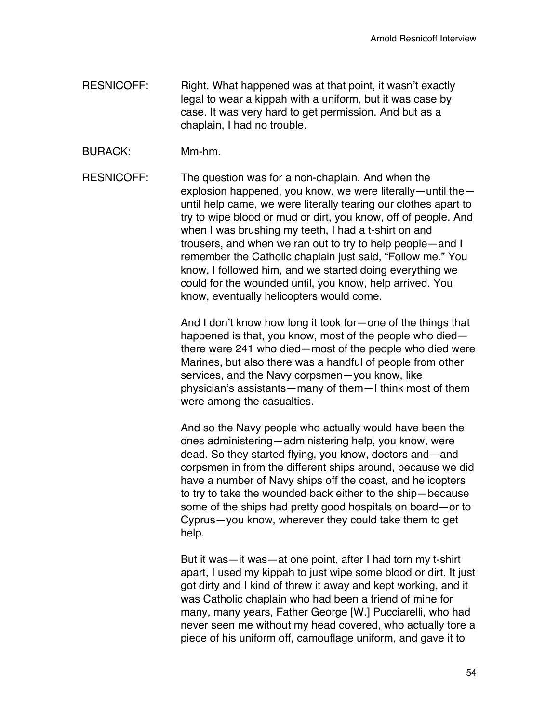- RESNICOFF: Right. What happened was at that point, it wasn't exactly legal to wear a kippah with a uniform, but it was case by case. It was very hard to get permission. And but as a chaplain, I had no trouble.
- BURACK: Mm-hm.

RESNICOFF: The question was for a non-chaplain. And when the explosion happened, you know, we were literally—until the until help came, we were literally tearing our clothes apart to try to wipe blood or mud or dirt, you know, off of people. And when I was brushing my teeth, I had a t-shirt on and trousers, and when we ran out to try to help people—and I remember the Catholic chaplain just said, "Follow me." You know, I followed him, and we started doing everything we could for the wounded until, you know, help arrived. You know, eventually helicopters would come.

> And I don't know how long it took for—one of the things that happened is that, you know, most of the people who died there were 241 who died—most of the people who died were Marines, but also there was a handful of people from other services, and the Navy corpsmen—you know, like physician's assistants—many of them—I think most of them were among the casualties.

> And so the Navy people who actually would have been the ones administering—administering help, you know, were dead. So they started flying, you know, doctors and—and corpsmen in from the different ships around, because we did have a number of Navy ships off the coast, and helicopters to try to take the wounded back either to the ship—because some of the ships had pretty good hospitals on board—or to Cyprus—you know, wherever they could take them to get help.

> But it was—it was—at one point, after I had torn my t-shirt apart, I used my kippah to just wipe some blood or dirt. It just got dirty and I kind of threw it away and kept working, and it was Catholic chaplain who had been a friend of mine for many, many years, Father George [W.] Pucciarelli, who had never seen me without my head covered, who actually tore a piece of his uniform off, camouflage uniform, and gave it to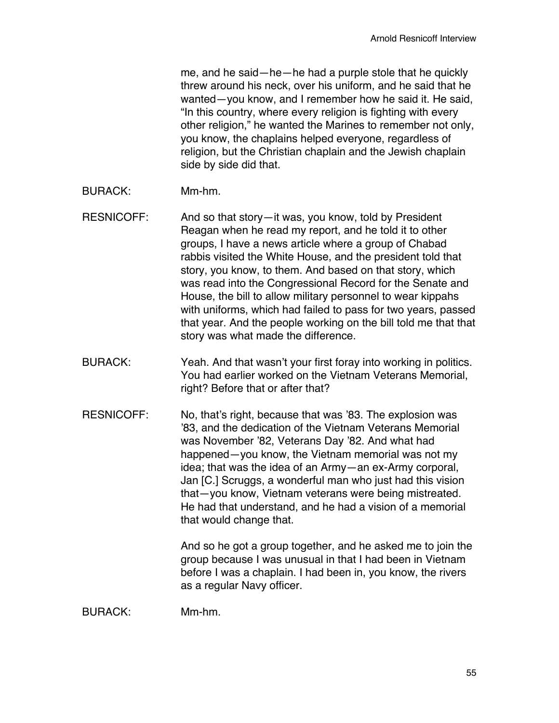me, and he said—he—he had a purple stole that he quickly threw around his neck, over his uniform, and he said that he wanted—you know, and I remember how he said it. He said, "In this country, where every religion is fighting with every other religion," he wanted the Marines to remember not only, you know, the chaplains helped everyone, regardless of religion, but the Christian chaplain and the Jewish chaplain side by side did that.

- BURACK: Mm-hm.
- RESNICOFF: And so that story—it was, you know, told by President Reagan when he read my report, and he told it to other groups, I have a news article where a group of Chabad rabbis visited the White House, and the president told that story, you know, to them. And based on that story, which was read into the Congressional Record for the Senate and House, the bill to allow military personnel to wear kippahs with uniforms, which had failed to pass for two years, passed that year. And the people working on the bill told me that that story was what made the difference.
- BURACK: Yeah. And that wasn't your first foray into working in politics. You had earlier worked on the Vietnam Veterans Memorial, right? Before that or after that?
- RESNICOFF: No, that's right, because that was '83. The explosion was '83, and the dedication of the Vietnam Veterans Memorial was November '82, Veterans Day '82. And what had happened—you know, the Vietnam memorial was not my idea; that was the idea of an Army—an ex-Army corporal, Jan [C.] Scruggs, a wonderful man who just had this vision that—you know, Vietnam veterans were being mistreated. He had that understand, and he had a vision of a memorial that would change that.

And so he got a group together, and he asked me to join the group because I was unusual in that I had been in Vietnam before I was a chaplain. I had been in, you know, the rivers as a regular Navy officer.

BURACK: Mm-hm.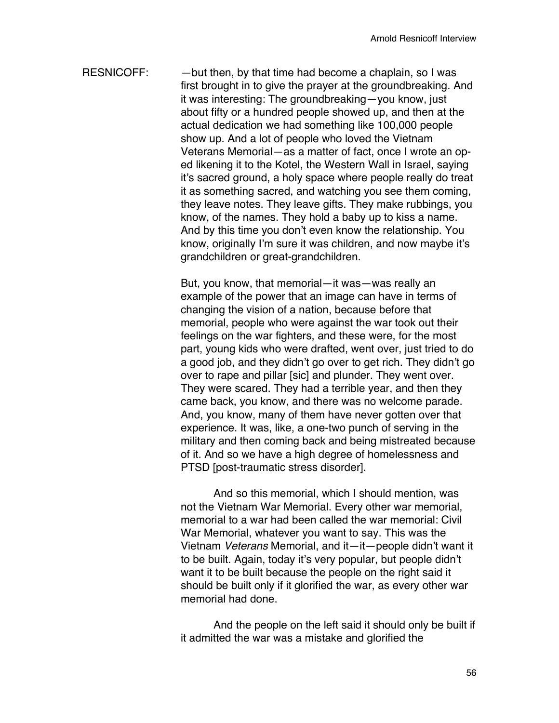RESNICOFF:  $-$  but then, by that time had become a chaplain, so I was first brought in to give the prayer at the groundbreaking. And it was interesting: The groundbreaking—you know, just about fifty or a hundred people showed up, and then at the actual dedication we had something like 100,000 people show up. And a lot of people who loved the Vietnam Veterans Memorial—as a matter of fact, once I wrote an oped likening it to the Kotel, the Western Wall in Israel, saying it's sacred ground, a holy space where people really do treat it as something sacred, and watching you see them coming, they leave notes. They leave gifts. They make rubbings, you know, of the names. They hold a baby up to kiss a name. And by this time you don't even know the relationship. You know, originally I'm sure it was children, and now maybe it's grandchildren or great-grandchildren.

> But, you know, that memorial—it was—was really an example of the power that an image can have in terms of changing the vision of a nation, because before that memorial, people who were against the war took out their feelings on the war fighters, and these were, for the most part, young kids who were drafted, went over, just tried to do a good job, and they didn't go over to get rich. They didn't go over to rape and pillar [sic] and plunder. They went over. They were scared. They had a terrible year, and then they came back, you know, and there was no welcome parade. And, you know, many of them have never gotten over that experience. It was, like, a one-two punch of serving in the military and then coming back and being mistreated because of it. And so we have a high degree of homelessness and PTSD [post-traumatic stress disorder].

> And so this memorial, which I should mention, was not the Vietnam War Memorial. Every other war memorial, memorial to a war had been called the war memorial: Civil War Memorial, whatever you want to say. This was the Vietnam *Veterans* Memorial, and it—it—people didn't want it to be built. Again, today it's very popular, but people didn't want it to be built because the people on the right said it should be built only if it glorified the war, as every other war memorial had done.

> And the people on the left said it should only be built if it admitted the war was a mistake and glorified the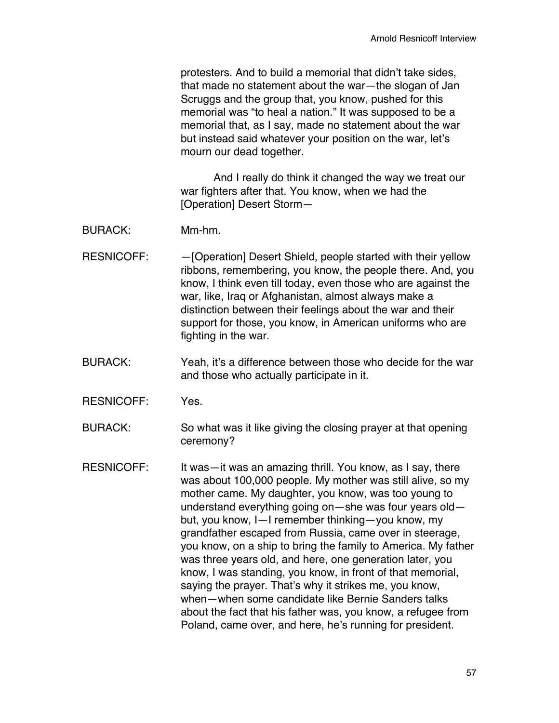protesters. And to build a memorial that didn't take sides, that made no statement about the war—the slogan of Jan Scruggs and the group that, you know, pushed for this memorial was "to heal a nation." It was supposed to be a memorial that, as I say, made no statement about the war but instead said whatever your position on the war, let's mourn our dead together.

And I really do think it changed the way we treat our war fighters after that. You know, when we had the [Operation] Desert Storm—

- BURACK: Mm-hm.
- RESNICOFF: - - - - - - - Deperation] Desert Shield, people started with their yellow ribbons, remembering, you know, the people there. And, you know, I think even till today, even those who are against the war, like, Iraq or Afghanistan, almost always make a distinction between their feelings about the war and their support for those, you know, in American uniforms who are fighting in the war.
- BURACK: Yeah, it's a difference between those who decide for the war and those who actually participate in it.
- RESNICOFF: Yes.

BURACK: So what was it like giving the closing prayer at that opening ceremony?

RESNICOFF: It was—it was an amazing thrill. You know, as I say, there was about 100,000 people. My mother was still alive, so my mother came. My daughter, you know, was too young to understand everything going on—she was four years old but, you know, I—I remember thinking—you know, my grandfather escaped from Russia, came over in steerage, you know, on a ship to bring the family to America. My father was three years old, and here, one generation later, you know, I was standing, you know, in front of that memorial, saying the prayer. That's why it strikes me, you know, when—when some candidate like Bernie Sanders talks about the fact that his father was, you know, a refugee from Poland, came over, and here, he's running for president.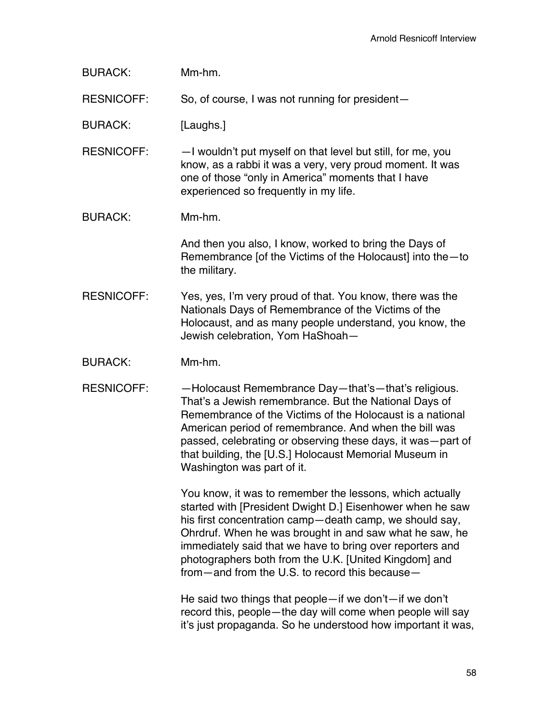| <b>BURACK:</b>    | Mm-hm.                                                                                                                                                                                                                                                                                                                                                                                                                 |
|-------------------|------------------------------------------------------------------------------------------------------------------------------------------------------------------------------------------------------------------------------------------------------------------------------------------------------------------------------------------------------------------------------------------------------------------------|
| <b>RESNICOFF:</b> | So, of course, I was not running for president-                                                                                                                                                                                                                                                                                                                                                                        |
| <b>BURACK:</b>    | [Laughs.]                                                                                                                                                                                                                                                                                                                                                                                                              |
| <b>RESNICOFF:</b> | -I wouldn't put myself on that level but still, for me, you<br>know, as a rabbi it was a very, very proud moment. It was<br>one of those "only in America" moments that I have<br>experienced so frequently in my life.                                                                                                                                                                                                |
| <b>BURACK:</b>    | Mm-hm.                                                                                                                                                                                                                                                                                                                                                                                                                 |
|                   | And then you also, I know, worked to bring the Days of<br>Remembrance [of the Victims of the Holocaust] into the-to<br>the military.                                                                                                                                                                                                                                                                                   |
| <b>RESNICOFF:</b> | Yes, yes, I'm very proud of that. You know, there was the<br>Nationals Days of Remembrance of the Victims of the<br>Holocaust, and as many people understand, you know, the<br>Jewish celebration, Yom HaShoah-                                                                                                                                                                                                        |
| <b>BURACK:</b>    | Mm-hm.                                                                                                                                                                                                                                                                                                                                                                                                                 |
| <b>RESNICOFF:</b> | -Holocaust Remembrance Day-that's-that's religious.<br>That's a Jewish remembrance. But the National Days of<br>Remembrance of the Victims of the Holocaust is a national<br>American period of remembrance. And when the bill was<br>passed, celebrating or observing these days, it was - part of<br>that building, the [U.S.] Holocaust Memorial Museum in<br>Washington was part of it.                            |
|                   | You know, it was to remember the lessons, which actually<br>started with [President Dwight D.] Eisenhower when he saw<br>his first concentration camp-death camp, we should say,<br>Ohrdruf. When he was brought in and saw what he saw, he<br>immediately said that we have to bring over reporters and<br>photographers both from the U.K. [United Kingdom] and<br>from — and from the U.S. to record this because — |
|                   | He said two things that people $-$ if we don't $-$ if we don't<br>record this, people-the day will come when people will say<br>it's just propaganda. So he understood how important it was,                                                                                                                                                                                                                           |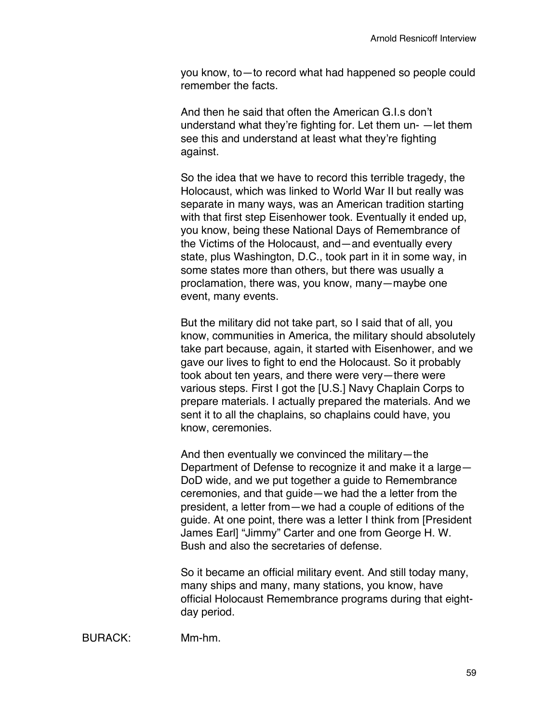you know, to—to record what had happened so people could remember the facts.

And then he said that often the American G I s don't understand what they're fighting for. Let them un- —let them see this and understand at least what they're fighting against.

So the idea that we have to record this terrible tragedy, the Holocaust, which was linked to World War II but really was separate in many ways, was an American tradition starting with that first step Eisenhower took. Eventually it ended up, you know, being these National Days of Remembrance of the Victims of the Holocaust, and—and eventually every state, plus Washington, D.C., took part in it in some way, in some states more than others, but there was usually a proclamation, there was, you know, many—maybe one event, many events.

But the military did not take part, so I said that of all, you know, communities in America, the military should absolutely take part because, again, it started with Eisenhower, and we gave our lives to fight to end the Holocaust. So it probably took about ten years, and there were very—there were various steps. First I got the [U.S.] Navy Chaplain Corps to prepare materials. I actually prepared the materials. And we sent it to all the chaplains, so chaplains could have, you know, ceremonies.

And then eventually we convinced the military—the Department of Defense to recognize it and make it a large— DoD wide, and we put together a guide to Remembrance ceremonies, and that guide—we had the a letter from the president, a letter from—we had a couple of editions of the guide. At one point, there was a letter I think from [President James Earl] "Jimmy" Carter and one from George H. W. Bush and also the secretaries of defense.

So it became an official military event. And still today many, many ships and many, many stations, you know, have official Holocaust Remembrance programs during that eightday period.

BURACK: Mm-hm.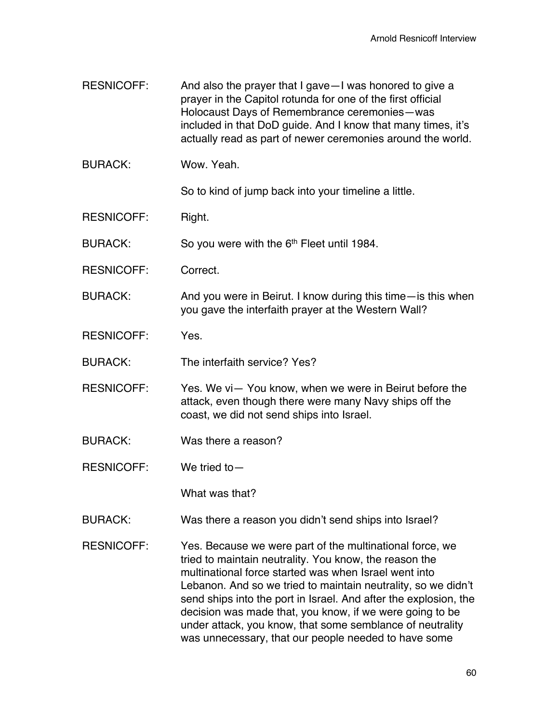- RESNICOFF: And also the prayer that I gave I was honored to give a prayer in the Capitol rotunda for one of the first official Holocaust Days of Remembrance ceremonies—was included in that DoD guide. And I know that many times, it's actually read as part of newer ceremonies around the world.
- BURACK: Wow. Yeah.

So to kind of jump back into your timeline a little.

RESNICOFF: Right.

BURACK: So you were with the 6<sup>th</sup> Fleet until 1984.

- RESNICOFF: Correct.
- BURACK: And you were in Beirut. I know during this time—is this when you gave the interfaith prayer at the Western Wall?
- RESNICOFF: Yes.

BURACK: The interfaith service? Yes?

- RESNICOFF: Yes. We vi- You know, when we were in Beirut before the attack, even though there were many Navy ships off the coast, we did not send ships into Israel.
- BURACK: Was there a reason?
- RESNICOFF: We tried to—

What was that?

- BURACK: Was there a reason you didn't send ships into Israel?
- RESNICOFF: Yes. Because we were part of the multinational force, we tried to maintain neutrality. You know, the reason the multinational force started was when Israel went into Lebanon. And so we tried to maintain neutrality, so we didn't send ships into the port in Israel. And after the explosion, the decision was made that, you know, if we were going to be under attack, you know, that some semblance of neutrality was unnecessary, that our people needed to have some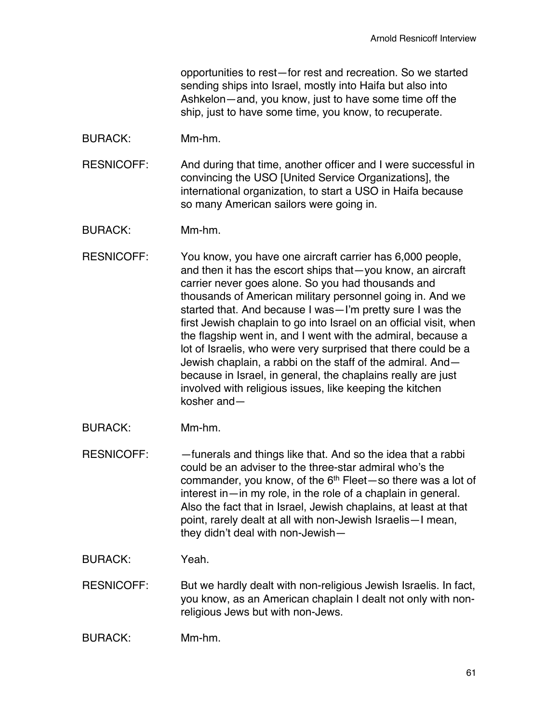opportunities to rest—for rest and recreation. So we started sending ships into Israel, mostly into Haifa but also into Ashkelon—and, you know, just to have some time off the ship, just to have some time, you know, to recuperate.

BURACK: Mm-hm.

RESNICOFF: And during that time, another officer and I were successful in convincing the USO [United Service Organizations], the international organization, to start a USO in Haifa because so many American sailors were going in.

- BURACK: Mm-hm.
- RESNICOFF: You know, you have one aircraft carrier has 6,000 people, and then it has the escort ships that—you know, an aircraft carrier never goes alone. So you had thousands and thousands of American military personnel going in. And we started that. And because I was—I'm pretty sure I was the first Jewish chaplain to go into Israel on an official visit, when the flagship went in, and I went with the admiral, because a lot of Israelis, who were very surprised that there could be a Jewish chaplain, a rabbi on the staff of the admiral. And because in Israel, in general, the chaplains really are just involved with religious issues, like keeping the kitchen kosher and—
- BURACK: Mm-hm.
- RESNICOFF: —funerals and things like that. And so the idea that a rabbi could be an adviser to the three-star admiral who's the commander, you know, of the  $6<sup>th</sup>$  Fleet—so there was a lot of interest in—in my role, in the role of a chaplain in general. Also the fact that in Israel, Jewish chaplains, at least at that point, rarely dealt at all with non-Jewish Israelis—I mean, they didn't deal with non-Jewish—
- BURACK: Yeah.
- RESNICOFF: But we hardly dealt with non-religious Jewish Israelis. In fact, you know, as an American chaplain I dealt not only with nonreligious Jews but with non-Jews.
- BURACK: Mm-hm.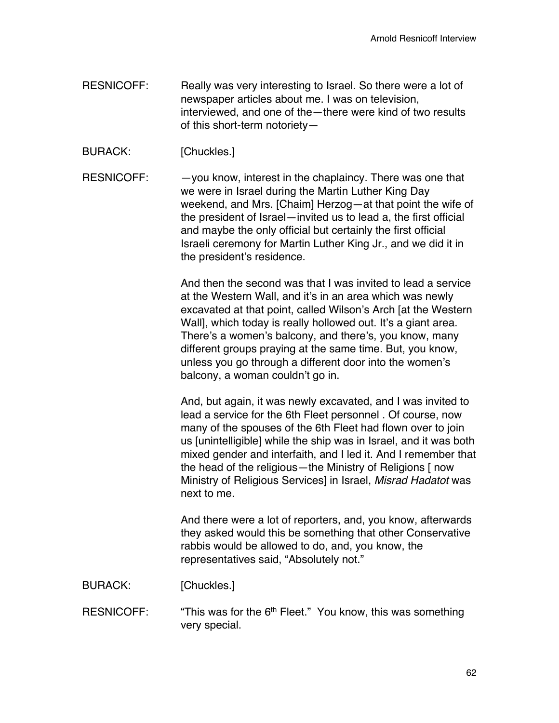- RESNICOFF: Really was very interesting to Israel. So there were a lot of newspaper articles about me. I was on television, interviewed, and one of the—there were kind of two results of this short-term notoriety—
- BURACK: [Chuckles.]
- RESNICOFF: - you know, interest in the chaplaincy. There was one that we were in Israel during the Martin Luther King Day weekend, and Mrs. [Chaim] Herzog—at that point the wife of the president of Israel—invited us to lead a, the first official and maybe the only official but certainly the first official Israeli ceremony for Martin Luther King Jr., and we did it in the president's residence.

And then the second was that I was invited to lead a service at the Western Wall, and it's in an area which was newly excavated at that point, called Wilson's Arch [at the Western Wall], which today is really hollowed out. It's a giant area. There's a women's balcony, and there's, you know, many different groups praying at the same time. But, you know, unless you go through a different door into the women's balcony, a woman couldn't go in.

And, but again, it was newly excavated, and I was invited to lead a service for the 6th Fleet personnel . Of course, now many of the spouses of the 6th Fleet had flown over to join us [unintelligible] while the ship was in Israel, and it was both mixed gender and interfaith, and I led it. And I remember that the head of the religious—the Ministry of Religions [ now Ministry of Religious Services] in Israel, *Misrad Hadatot* was next to me.

And there were a lot of reporters, and, you know, afterwards they asked would this be something that other Conservative rabbis would be allowed to do, and, you know, the representatives said, "Absolutely not."

BURACK: [Chuckles.]

RESNICOFF: "This was for the 6<sup>th</sup> Fleet." You know, this was something very special.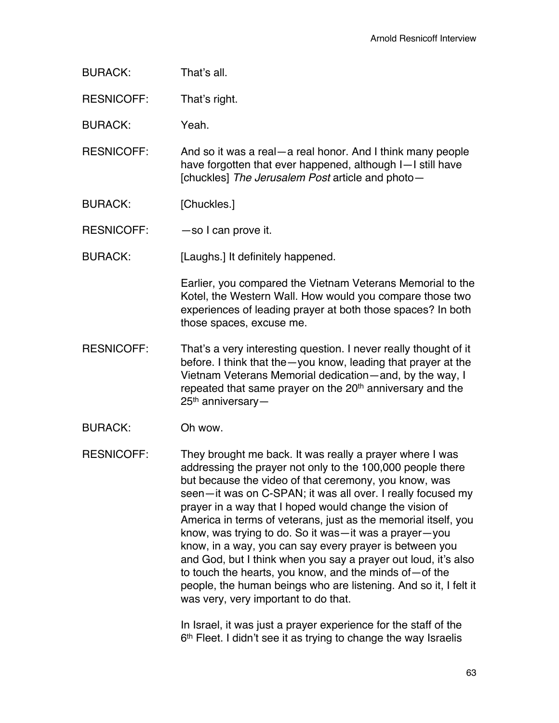| That's all. |
|-------------|
|             |

RESNICOFF: That's right.

BURACK: Yeah.

RESNICOFF: And so it was a real—a real honor. And I think many people have forgotten that ever happened, although I—I still have [chuckles] *The Jerusalem Post* article and photo—

BURACK: [Chuckles.]

RESNICOFF:  $-$ so I can prove it.

BURACK: [Laughs.] It definitely happened.

Earlier, you compared the Vietnam Veterans Memorial to the Kotel, the Western Wall. How would you compare those two experiences of leading prayer at both those spaces? In both those spaces, excuse me.

- RESNICOFF: That's a very interesting question. I never really thought of it before. I think that the—you know, leading that prayer at the Vietnam Veterans Memorial dedication—and, by the way, I repeated that same prayer on the 20<sup>th</sup> anniversary and the 25<sup>th</sup> anniversary-
- BURACK: Oh wow.

RESNICOFF: They brought me back. It was really a prayer where I was addressing the prayer not only to the 100,000 people there but because the video of that ceremony, you know, was seen—it was on C-SPAN; it was all over. I really focused my prayer in a way that I hoped would change the vision of America in terms of veterans, just as the memorial itself, you know, was trying to do. So it was—it was a prayer—you know, in a way, you can say every prayer is between you and God, but I think when you say a prayer out loud, it's also to touch the hearts, you know, and the minds of—of the people, the human beings who are listening. And so it, I felt it was very, very important to do that.

> In Israel, it was just a prayer experience for the staff of the 6<sup>th</sup> Fleet. I didn't see it as trying to change the way Israelis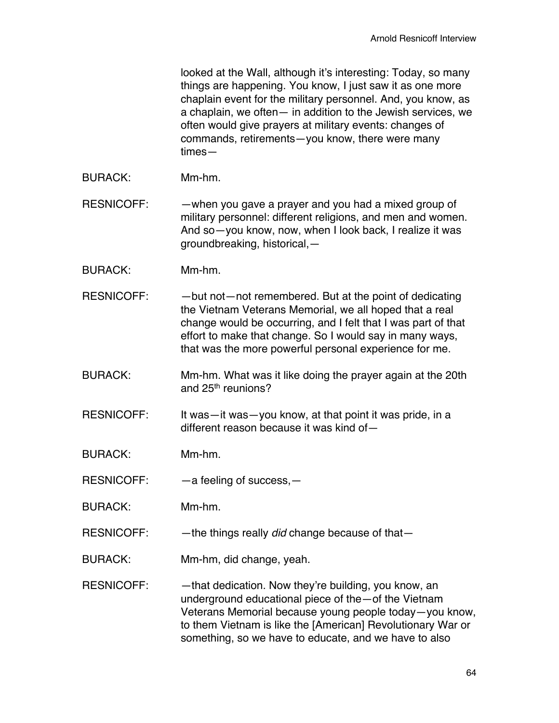looked at the Wall, although it's interesting: Today, so many things are happening. You know, I just saw it as one more chaplain event for the military personnel. And, you know, as a chaplain, we often— in addition to the Jewish services, we often would give prayers at military events: changes of commands, retirements—you know, there were many times—

BURACK: Mm-hm.

RESNICOFF: —when you gave a prayer and you had a mixed group of military personnel: different religions, and men and women. And so—you know, now, when I look back, I realize it was groundbreaking, historical,—

- BURACK: Mm-hm.
- RESNICOFF: - but not-not remembered. But at the point of dedicating the Vietnam Veterans Memorial, we all hoped that a real change would be occurring, and I felt that I was part of that effort to make that change. So I would say in many ways, that was the more powerful personal experience for me.
- BURACK: Mm-hm. What was it like doing the prayer again at the 20th and 25<sup>th</sup> reunions?
- RESNICOFF: It was—it was—you know, at that point it was pride, in a different reason because it was kind of—
- BURACK: Mm-hm.
- RESNICOFF:  $-$  a feeling of success,  $-$
- BURACK: Mm-hm.
- RESNICOFF: —the things really *did* change because of that—
- BURACK: Mm-hm, did change, yeah.

RESNICOFF:  $-$  that dedication. Now they're building, you know, an underground educational piece of the—of the Vietnam Veterans Memorial because young people today—you know, to them Vietnam is like the [American] Revolutionary War or something, so we have to educate, and we have to also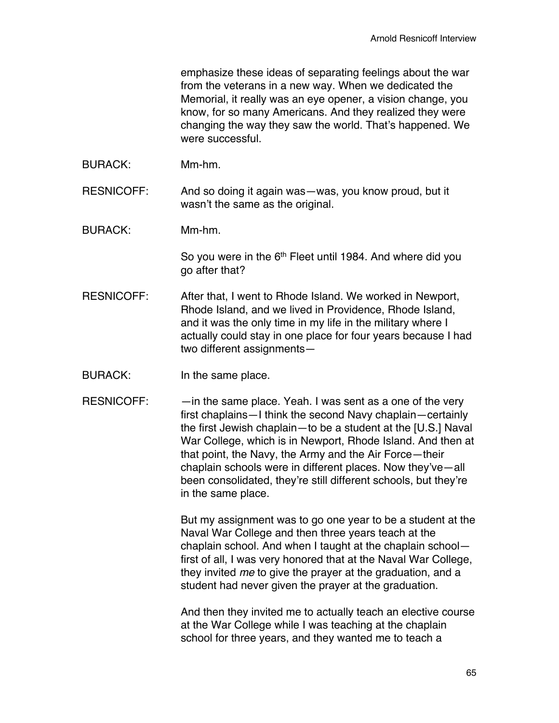emphasize these ideas of separating feelings about the war from the veterans in a new way. When we dedicated the Memorial, it really was an eye opener, a vision change, you know, for so many Americans. And they realized they were changing the way they saw the world. That's happened. We were successful.

BURACK: Mm-hm.

RESNICOFF: And so doing it again was—was, you know proud, but it wasn't the same as the original.

BURACK: Mm-hm.

So you were in the 6<sup>th</sup> Fleet until 1984. And where did you go after that?

- RESNICOFF: After that, I went to Rhode Island. We worked in Newport, Rhode Island, and we lived in Providence, Rhode Island, and it was the only time in my life in the military where I actually could stay in one place for four years because I had two different assignments—
- BURACK: In the same place.
- RESNICOFF: —in the same place. Yeah. I was sent as a one of the very first chaplains—I think the second Navy chaplain—certainly the first Jewish chaplain—to be a student at the [U.S.] Naval War College, which is in Newport, Rhode Island. And then at that point, the Navy, the Army and the Air Force—their chaplain schools were in different places. Now they've—all been consolidated, they're still different schools, but they're in the same place.

But my assignment was to go one year to be a student at the Naval War College and then three years teach at the chaplain school. And when I taught at the chaplain school first of all, I was very honored that at the Naval War College, they invited *me* to give the prayer at the graduation, and a student had never given the prayer at the graduation.

And then they invited me to actually teach an elective course at the War College while I was teaching at the chaplain school for three years, and they wanted me to teach a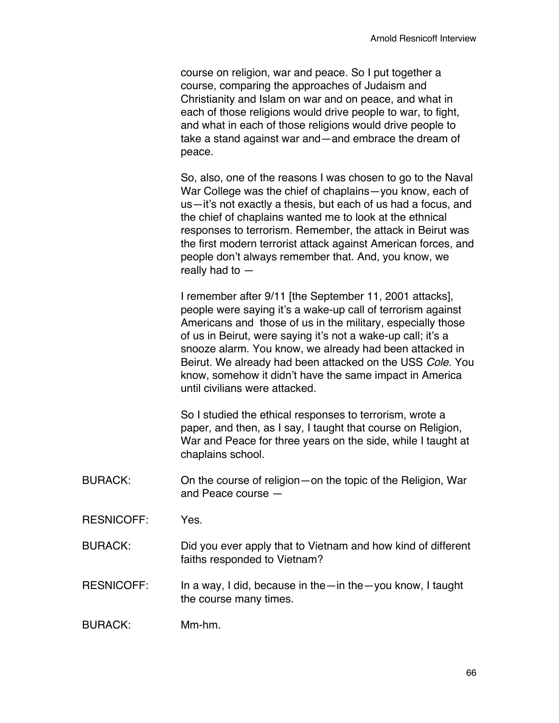course on religion, war and peace. So I put together a course, comparing the approaches of Judaism and Christianity and Islam on war and on peace, and what in each of those religions would drive people to war, to fight, and what in each of those religions would drive people to take a stand against war and—and embrace the dream of peace.

So, also, one of the reasons I was chosen to go to the Naval War College was the chief of chaplains—you know, each of us—it's not exactly a thesis, but each of us had a focus, and the chief of chaplains wanted me to look at the ethnical responses to terrorism. Remember, the attack in Beirut was the first modern terrorist attack against American forces, and people don't always remember that. And, you know, we really had to —

I remember after 9/11 [the September 11, 2001 attacks], people were saying it's a wake-up call of terrorism against Americans and those of us in the military, especially those of us in Beirut, were saying it's not a wake-up call; it's a snooze alarm. You know, we already had been attacked in Beirut. We already had been attacked on the USS *Cole*. You know, somehow it didn't have the same impact in America until civilians were attacked.

So I studied the ethical responses to terrorism, wrote a paper, and then, as I say, I taught that course on Religion, War and Peace for three years on the side, while I taught at chaplains school.

- BURACK: On the course of religion—on the topic of the Religion, War and Peace course —
- RESNICOFF: Yes.
- BURACK: Did you ever apply that to Vietnam and how kind of different faiths responded to Vietnam?
- RESNICOFF: In a way, I did, because in the—in the—you know, I taught the course many times.

BURACK: Mm-hm.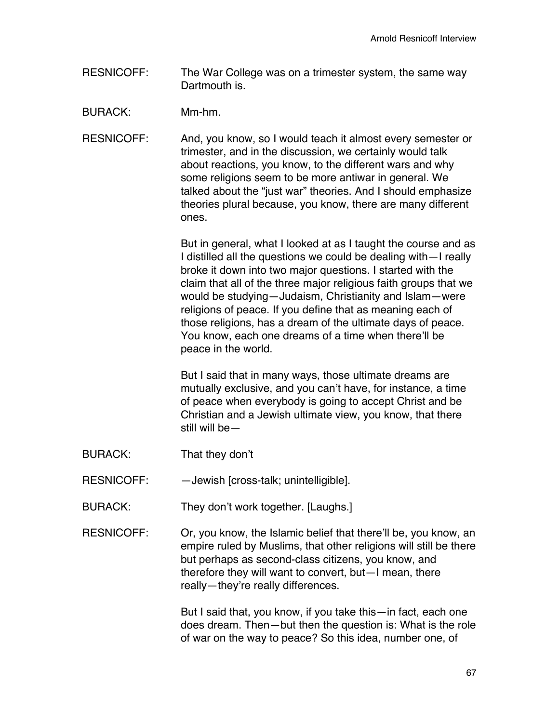- RESNICOFF: The War College was on a trimester system, the same way Dartmouth is.
- BURACK: Mm-hm.
- RESNICOFF: And, you know, so I would teach it almost every semester or trimester, and in the discussion, we certainly would talk about reactions, you know, to the different wars and why some religions seem to be more antiwar in general. We talked about the "just war" theories. And I should emphasize theories plural because, you know, there are many different ones.

But in general, what I looked at as I taught the course and as I distilled all the questions we could be dealing with—I really broke it down into two major questions. I started with the claim that all of the three major religious faith groups that we would be studying—Judaism, Christianity and Islam—were religions of peace. If you define that as meaning each of those religions, has a dream of the ultimate days of peace. You know, each one dreams of a time when there'll be peace in the world.

But I said that in many ways, those ultimate dreams are mutually exclusive, and you can't have, for instance, a time of peace when everybody is going to accept Christ and be Christian and a Jewish ultimate view, you know, that there still will be—

- BURACK: That they don't
- RESNICOFF: —Jewish [cross-talk; unintelligible].
- BURACK: They don't work together. [Laughs.]
- RESNICOFF: Or, you know, the Islamic belief that there'll be, you know, an empire ruled by Muslims, that other religions will still be there but perhaps as second-class citizens, you know, and therefore they will want to convert, but—I mean, there really—they're really differences.

But I said that, you know, if you take this—in fact, each one does dream. Then—but then the question is: What is the role of war on the way to peace? So this idea, number one, of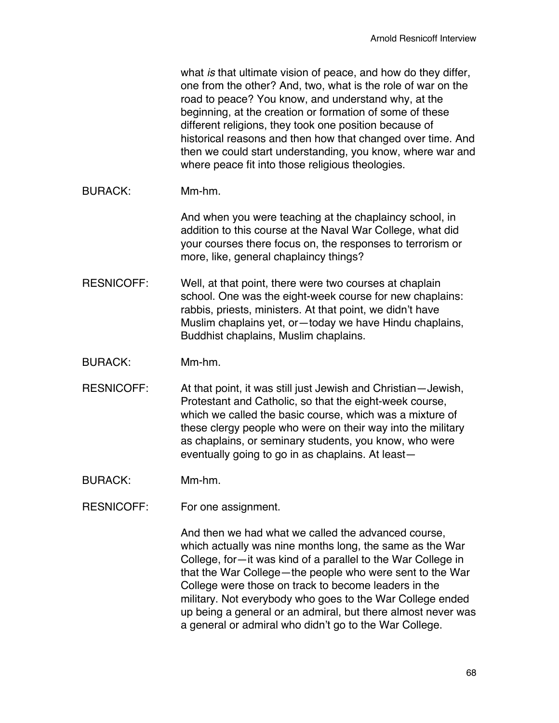what *is* that ultimate vision of peace, and how do they differ, one from the other? And, two, what is the role of war on the road to peace? You know, and understand why, at the beginning, at the creation or formation of some of these different religions, they took one position because of historical reasons and then how that changed over time. And then we could start understanding, you know, where war and where peace fit into those religious theologies.

## BURACK: Mm-hm.

And when you were teaching at the chaplaincy school, in addition to this course at the Naval War College, what did your courses there focus on, the responses to terrorism or more, like, general chaplaincy things?

- RESNICOFF: Well, at that point, there were two courses at chaplain school. One was the eight-week course for new chaplains: rabbis, priests, ministers. At that point, we didn't have Muslim chaplains yet, or—today we have Hindu chaplains, Buddhist chaplains, Muslim chaplains.
- BURACK: Mm-hm.
- RESNICOFF: At that point, it was still just Jewish and Christian—Jewish, Protestant and Catholic, so that the eight-week course, which we called the basic course, which was a mixture of these clergy people who were on their way into the military as chaplains, or seminary students, you know, who were eventually going to go in as chaplains. At least—
- BURACK: Mm-hm.
- RESNICOFF: For one assignment.

And then we had what we called the advanced course, which actually was nine months long, the same as the War College, for—it was kind of a parallel to the War College in that the War College—the people who were sent to the War College were those on track to become leaders in the military. Not everybody who goes to the War College ended up being a general or an admiral, but there almost never was a general or admiral who didn't go to the War College.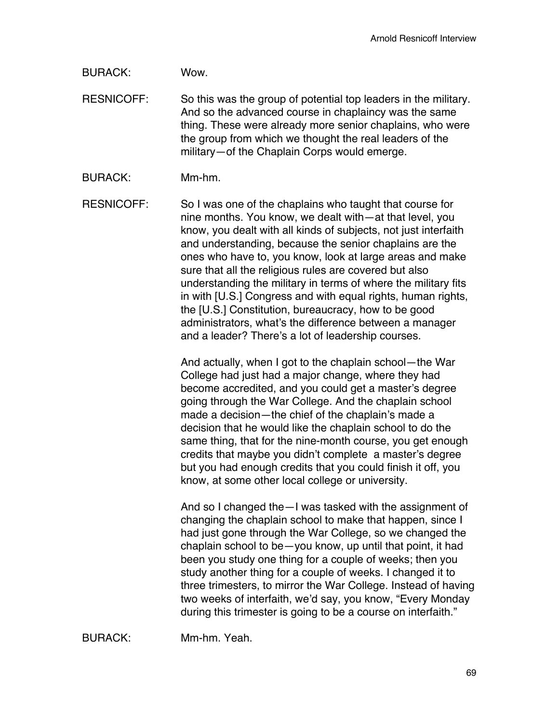BURACK: Wow.

RESNICOFF: So this was the group of potential top leaders in the military. And so the advanced course in chaplaincy was the same thing. These were already more senior chaplains, who were the group from which we thought the real leaders of the military—of the Chaplain Corps would emerge.

BURACK: Mm-hm.

RESNICOFF: So I was one of the chaplains who taught that course for nine months. You know, we dealt with—at that level, you know, you dealt with all kinds of subjects, not just interfaith and understanding, because the senior chaplains are the ones who have to, you know, look at large areas and make sure that all the religious rules are covered but also understanding the military in terms of where the military fits in with [U.S.] Congress and with equal rights, human rights, the [U.S.] Constitution, bureaucracy, how to be good administrators, what's the difference between a manager and a leader? There's a lot of leadership courses.

> And actually, when I got to the chaplain school—the War College had just had a major change, where they had become accredited, and you could get a master's degree going through the War College. And the chaplain school made a decision—the chief of the chaplain's made a decision that he would like the chaplain school to do the same thing, that for the nine-month course, you get enough credits that maybe you didn't complete a master's degree but you had enough credits that you could finish it off, you know, at some other local college or university.

And so I changed the—I was tasked with the assignment of changing the chaplain school to make that happen, since I had just gone through the War College, so we changed the chaplain school to be—you know, up until that point, it had been you study one thing for a couple of weeks; then you study another thing for a couple of weeks. I changed it to three trimesters, to mirror the War College. Instead of having two weeks of interfaith, we'd say, you know, "Every Monday during this trimester is going to be a course on interfaith."

BURACK: Mm-hm. Yeah.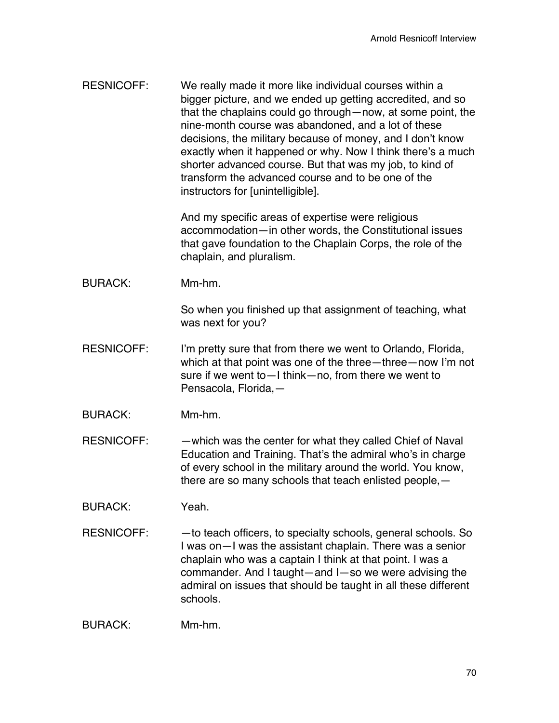| <b>RESNICOFF:</b> | We really made it more like individual courses within a<br>bigger picture, and we ended up getting accredited, and so<br>that the chaplains could go through — now, at some point, the<br>nine-month course was abandoned, and a lot of these<br>decisions, the military because of money, and I don't know<br>exactly when it happened or why. Now I think there's a much<br>shorter advanced course. But that was my job, to kind of<br>transform the advanced course and to be one of the<br>instructors for [unintelligible]. |
|-------------------|-----------------------------------------------------------------------------------------------------------------------------------------------------------------------------------------------------------------------------------------------------------------------------------------------------------------------------------------------------------------------------------------------------------------------------------------------------------------------------------------------------------------------------------|
|                   | And my specific areas of expertise were religious<br>accommodation-in other words, the Constitutional issues<br>that gave foundation to the Chaplain Corps, the role of the<br>chaplain, and pluralism.                                                                                                                                                                                                                                                                                                                           |
| <b>BURACK:</b>    | Mm-hm.                                                                                                                                                                                                                                                                                                                                                                                                                                                                                                                            |
|                   | So when you finished up that assignment of teaching, what<br>was next for you?                                                                                                                                                                                                                                                                                                                                                                                                                                                    |
| <b>RESNICOFF:</b> | I'm pretty sure that from there we went to Orlando, Florida,<br>which at that point was one of the three—three—now I'm not<br>sure if we went to - I think - no, from there we went to<br>Pensacola, Florida,-                                                                                                                                                                                                                                                                                                                    |
| <b>BURACK:</b>    | Mm-hm.                                                                                                                                                                                                                                                                                                                                                                                                                                                                                                                            |
| <b>RESNICOFF:</b> | -which was the center for what they called Chief of Naval<br>Education and Training. That's the admiral who's in charge<br>of every school in the military around the world. You know,<br>there are so many schools that teach enlisted people, -                                                                                                                                                                                                                                                                                 |
| <b>BURACK:</b>    | Yeah.                                                                                                                                                                                                                                                                                                                                                                                                                                                                                                                             |
| <b>RESNICOFF:</b> | -to teach officers, to specialty schools, general schools. So<br>I was on-I was the assistant chaplain. There was a senior<br>chaplain who was a captain I think at that point. I was a<br>commander. And I taught-and I-so we were advising the<br>admiral on issues that should be taught in all these different<br>schools.                                                                                                                                                                                                    |
| <b>BURACK:</b>    | Mm-hm.                                                                                                                                                                                                                                                                                                                                                                                                                                                                                                                            |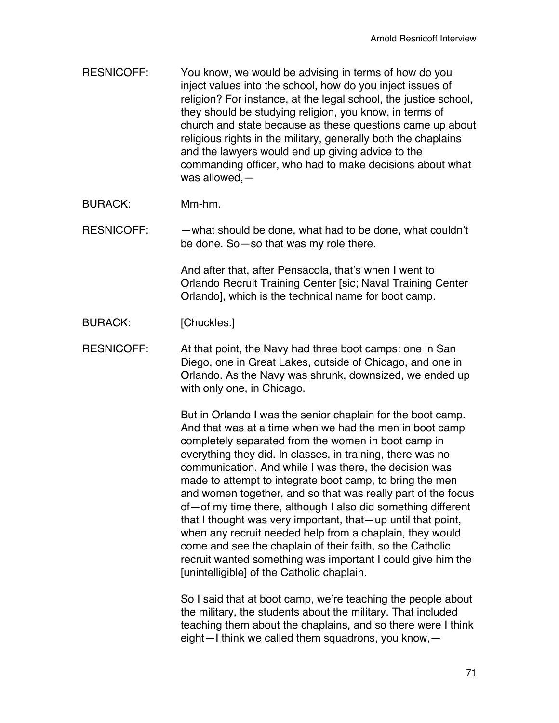- RESNICOFF: You know, we would be advising in terms of how do you inject values into the school, how do you inject issues of religion? For instance, at the legal school, the justice school, they should be studying religion, you know, in terms of church and state because as these questions came up about religious rights in the military, generally both the chaplains and the lawyers would end up giving advice to the commanding officer, who had to make decisions about what was allowed,—
- BURACK: Mm-hm.

RESNICOFF: —what should be done, what had to be done, what couldn't be done. So—so that was my role there.

> And after that, after Pensacola, that's when I went to Orlando Recruit Training Center [sic; Naval Training Center Orlando], which is the technical name for boot camp.

- BURACK: [Chuckles.]
- RESNICOFF: At that point, the Navy had three boot camps: one in San Diego, one in Great Lakes, outside of Chicago, and one in Orlando. As the Navy was shrunk, downsized, we ended up with only one, in Chicago.

But in Orlando I was the senior chaplain for the boot camp. And that was at a time when we had the men in boot camp completely separated from the women in boot camp in everything they did. In classes, in training, there was no communication. And while I was there, the decision was made to attempt to integrate boot camp, to bring the men and women together, and so that was really part of the focus of—of my time there, although I also did something different that I thought was very important, that—up until that point, when any recruit needed help from a chaplain, they would come and see the chaplain of their faith, so the Catholic recruit wanted something was important I could give him the [unintelligible] of the Catholic chaplain.

So I said that at boot camp, we're teaching the people about the military, the students about the military. That included teaching them about the chaplains, and so there were I think eight—I think we called them squadrons, you know,—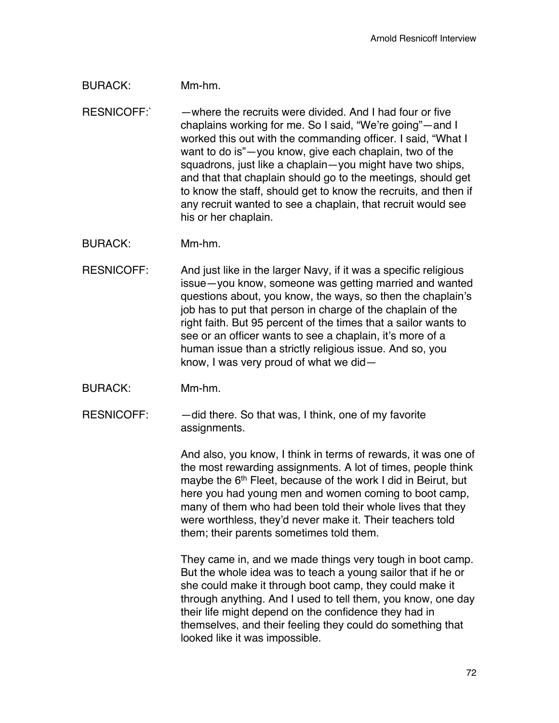### BURACK: Mm-hm.

RESNICOFF:` —where the recruits were divided. And I had four or five chaplains working for me. So I said, "We're going"—and I worked this out with the commanding officer. I said, "What I want to do is"—you know, give each chaplain, two of the squadrons, just like a chaplain—you might have two ships, and that that chaplain should go to the meetings, should get to know the staff, should get to know the recruits, and then if any recruit wanted to see a chaplain, that recruit would see his or her chaplain.

BURACK: Mm-hm.

- RESNICOFF: And just like in the larger Navy, if it was a specific religious issue—you know, someone was getting married and wanted questions about, you know, the ways, so then the chaplain's job has to put that person in charge of the chaplain of the right faith. But 95 percent of the times that a sailor wants to see or an officer wants to see a chaplain, it's more of a human issue than a strictly religious issue. And so, you know, I was very proud of what we did—
- BURACK: Mm-hm.
- RESNICOFF:  $-$  did there. So that was, I think, one of my favorite assignments.

And also, you know, I think in terms of rewards, it was one of the most rewarding assignments. A lot of times, people think maybe the 6<sup>th</sup> Fleet, because of the work I did in Beirut, but here you had young men and women coming to boot camp, many of them who had been told their whole lives that they were worthless, they'd never make it. Their teachers told them; their parents sometimes told them.

They came in, and we made things very tough in boot camp. But the whole idea was to teach a young sailor that if he or she could make it through boot camp, they could make it through anything. And I used to tell them, you know, one day their life might depend on the confidence they had in themselves, and their feeling they could do something that looked like it was impossible.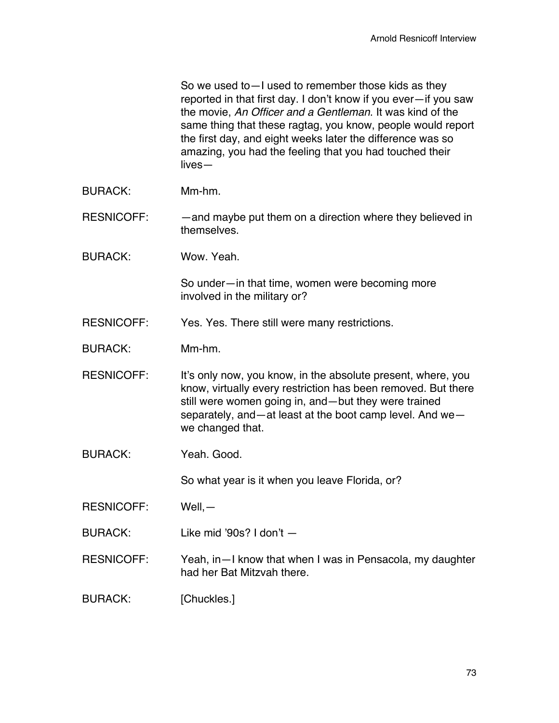| So we used to - I used to remember those kids as they           |
|-----------------------------------------------------------------|
| reported in that first day. I don't know if you ever-if you saw |
| the movie, An Officer and a Gentleman. It was kind of the       |
| same thing that these ragtag, you know, people would report     |
| the first day, and eight weeks later the difference was so      |
| amazing, you had the feeling that you had touched their         |
| $lives-$                                                        |

- BURACK: Mm-hm.
- RESNICOFF: — and maybe put them on a direction where they believed in themselves.
- BURACK: Wow. Yeah.

So under—in that time, women were becoming more involved in the military or?

- RESNICOFF: Yes. Yes. There still were many restrictions.
- BURACK: Mm-hm.
- RESNICOFF: It's only now, you know, in the absolute present, where, you know, virtually every restriction has been removed. But there still were women going in, and—but they were trained separately, and—at least at the boot camp level. And we we changed that.
- BURACK: Yeah. Good.

So what year is it when you leave Florida, or?

- RESNICOFF: Well,—
- BURACK: Like mid '90s? I don't —
- RESNICOFF: Yeah, in—I know that when I was in Pensacola, my daughter had her Bat Mitzvah there.
- BURACK: [Chuckles.]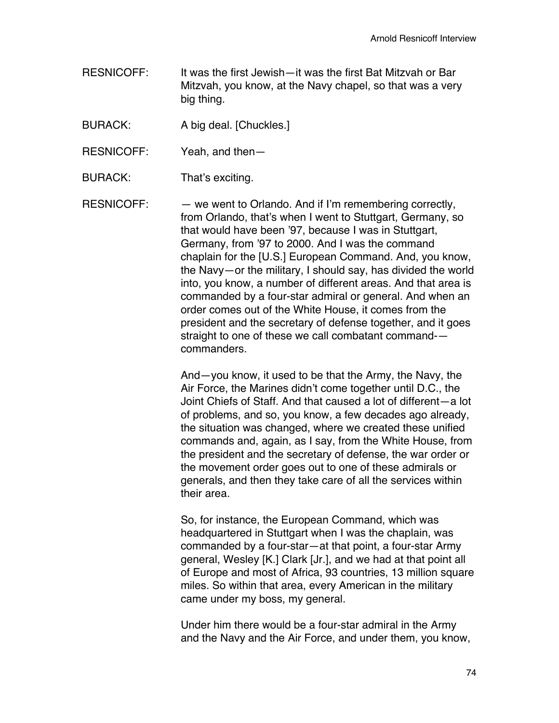- RESNICOFF: It was the first Jewish—it was the first Bat Mitzvah or Bar Mitzvah, you know, at the Navy chapel, so that was a very big thing.
- BURACK: A big deal. [Chuckles.]
- RESNICOFF: Yeah, and then—
- BURACK: That's exciting.

RESNICOFF: — we went to Orlando. And if I'm remembering correctly, from Orlando, that's when I went to Stuttgart, Germany, so that would have been '97, because I was in Stuttgart, Germany, from '97 to 2000. And I was the command chaplain for the [U.S.] European Command. And, you know, the Navy—or the military, I should say, has divided the world into, you know, a number of different areas. And that area is commanded by a four-star admiral or general. And when an order comes out of the White House, it comes from the president and the secretary of defense together, and it goes straight to one of these we call combatant command- commanders.

> And—you know, it used to be that the Army, the Navy, the Air Force, the Marines didn't come together until D.C., the Joint Chiefs of Staff. And that caused a lot of different—a lot of problems, and so, you know, a few decades ago already, the situation was changed, where we created these unified commands and, again, as I say, from the White House, from the president and the secretary of defense, the war order or the movement order goes out to one of these admirals or generals, and then they take care of all the services within their area.

> So, for instance, the European Command, which was headquartered in Stuttgart when I was the chaplain, was commanded by a four-star—at that point, a four-star Army general, Wesley [K.] Clark [Jr.], and we had at that point all of Europe and most of Africa, 93 countries, 13 million square miles. So within that area, every American in the military came under my boss, my general.

Under him there would be a four-star admiral in the Army and the Navy and the Air Force, and under them, you know,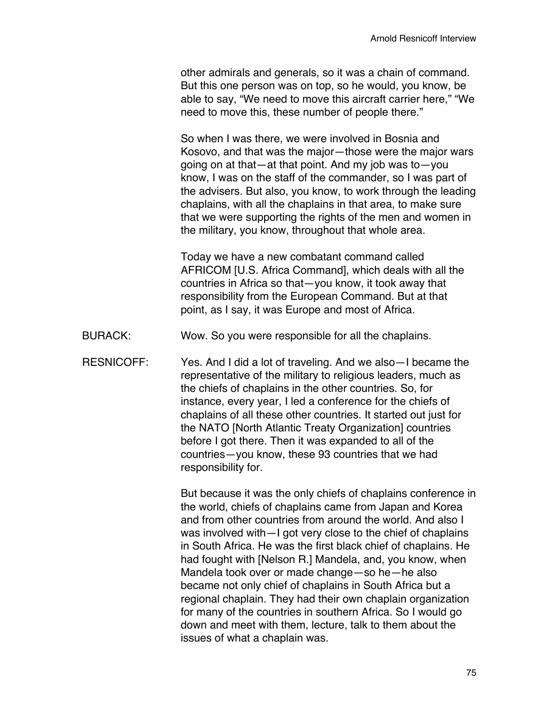other admirals and generals, so it was a chain of command. But this one person was on top, so he would, you know, be able to say, "We need to move this aircraft carrier here," "We need to move this, these number of people there."

So when I was there, we were involved in Bosnia and Kosovo, and that was the major—those were the major wars going on at that—at that point. And my job was to—you know, I was on the staff of the commander, so I was part of the advisers. But also, you know, to work through the leading chaplains, with all the chaplains in that area, to make sure that we were supporting the rights of the men and women in the military, you know, throughout that whole area.

Today we have a new combatant command called AFRICOM [U.S. Africa Command], which deals with all the countries in Africa so that—you know, it took away that responsibility from the European Command. But at that point, as I say, it was Europe and most of Africa.

- BURACK: Wow. So you were responsible for all the chaplains.
- RESNICOFF: Yes. And I did a lot of traveling. And we also—I became the representative of the military to religious leaders, much as the chiefs of chaplains in the other countries. So, for instance, every year, I led a conference for the chiefs of chaplains of all these other countries. It started out just for the NATO [North Atlantic Treaty Organization] countries before I got there. Then it was expanded to all of the countries—you know, these 93 countries that we had responsibility for.

But because it was the only chiefs of chaplains conference in the world, chiefs of chaplains came from Japan and Korea and from other countries from around the world. And also I was involved with—I got very close to the chief of chaplains in South Africa. He was the first black chief of chaplains. He had fought with [Nelson R.] Mandela, and, you know, when Mandela took over or made change—so he—he also became not only chief of chaplains in South Africa but a regional chaplain. They had their own chaplain organization for many of the countries in southern Africa. So I would go down and meet with them, lecture, talk to them about the issues of what a chaplain was.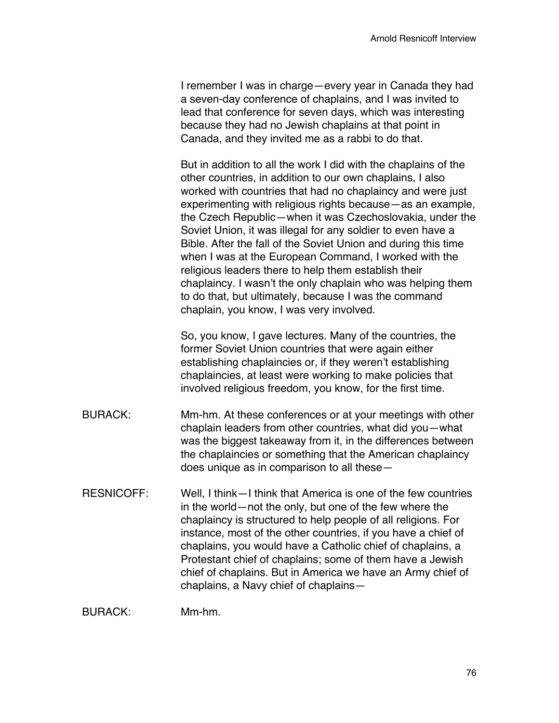I remember I was in charge—every year in Canada they had a seven-day conference of chaplains, and I was invited to lead that conference for seven days, which was interesting because they had no Jewish chaplains at that point in Canada, and they invited me as a rabbi to do that.

But in addition to all the work I did with the chaplains of the other countries, in addition to our own chaplains, I also worked with countries that had no chaplaincy and were just experimenting with religious rights because—as an example, the Czech Republic—when it was Czechoslovakia, under the Soviet Union, it was illegal for any soldier to even have a Bible. After the fall of the Soviet Union and during this time when I was at the European Command, I worked with the religious leaders there to help them establish their chaplaincy. I wasn't the only chaplain who was helping them to do that, but ultimately, because I was the command chaplain, you know, I was very involved.

So, you know, I gave lectures. Many of the countries, the former Soviet Union countries that were again either establishing chaplaincies or, if they weren't establishing chaplaincies, at least were working to make policies that involved religious freedom, you know, for the first time.

- BURACK: Mm-hm. At these conferences or at your meetings with other chaplain leaders from other countries, what did you—what was the biggest takeaway from it, in the differences between the chaplaincies or something that the American chaplaincy does unique as in comparison to all these—
- RESNICOFF: Well, I think—I think that America is one of the few countries in the world—not the only, but one of the few where the chaplaincy is structured to help people of all religions. For instance, most of the other countries, if you have a chief of chaplains, you would have a Catholic chief of chaplains, a Protestant chief of chaplains; some of them have a Jewish chief of chaplains. But in America we have an Army chief of chaplains, a Navy chief of chaplains—

BURACK: Mm-hm.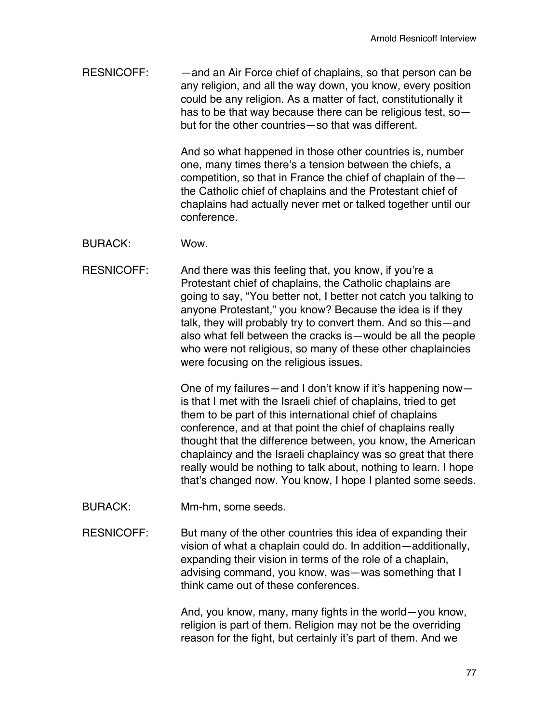RESNICOFF: — — and an Air Force chief of chaplains, so that person can be any religion, and all the way down, you know, every position could be any religion. As a matter of fact, constitutionally it has to be that way because there can be religious test, so but for the other countries—so that was different.

> And so what happened in those other countries is, number one, many times there's a tension between the chiefs, a competition, so that in France the chief of chaplain of the the Catholic chief of chaplains and the Protestant chief of chaplains had actually never met or talked together until our conference.

- BURACK: Wow.
- RESNICOFF: And there was this feeling that, you know, if you're a Protestant chief of chaplains, the Catholic chaplains are going to say, "You better not, I better not catch you talking to anyone Protestant," you know? Because the idea is if they talk, they will probably try to convert them. And so this—and also what fell between the cracks is—would be all the people who were not religious, so many of these other chaplaincies were focusing on the religious issues.

One of my failures—and I don't know if it's happening now is that I met with the Israeli chief of chaplains, tried to get them to be part of this international chief of chaplains conference, and at that point the chief of chaplains really thought that the difference between, you know, the American chaplaincy and the Israeli chaplaincy was so great that there really would be nothing to talk about, nothing to learn. I hope that's changed now. You know, I hope I planted some seeds.

- BURACK: Mm-hm, some seeds.
- RESNICOFF: But many of the other countries this idea of expanding their vision of what a chaplain could do. In addition—additionally, expanding their vision in terms of the role of a chaplain, advising command, you know, was—was something that I think came out of these conferences.

And, you know, many, many fights in the world—you know, religion is part of them. Religion may not be the overriding reason for the fight, but certainly it's part of them. And we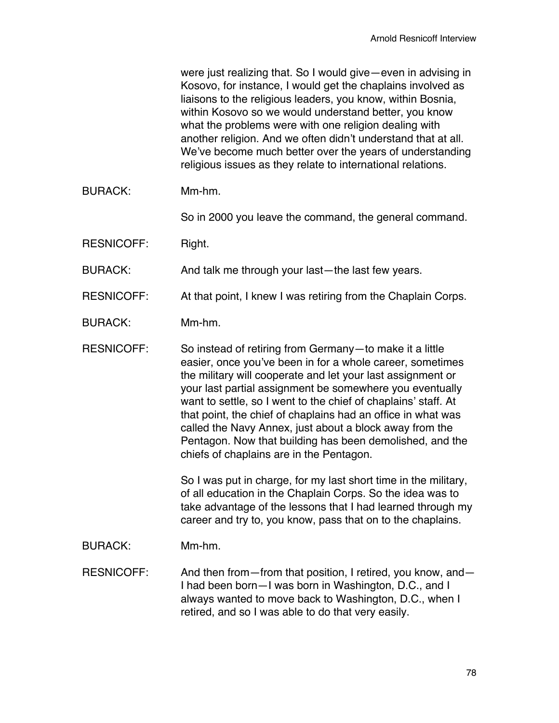were just realizing that. So I would give—even in advising in Kosovo, for instance, I would get the chaplains involved as liaisons to the religious leaders, you know, within Bosnia, within Kosovo so we would understand better, you know what the problems were with one religion dealing with another religion. And we often didn't understand that at all. We've become much better over the years of understanding religious issues as they relate to international relations.

BURACK: Mm-hm.

So in 2000 you leave the command, the general command.

RESNICOFF: Right.

BURACK: And talk me through your last—the last few years.

RESNICOFF: At that point, I knew I was retiring from the Chaplain Corps.

BURACK: Mm-hm.

RESNICOFF: So instead of retiring from Germany—to make it a little easier, once you've been in for a whole career, sometimes the military will cooperate and let your last assignment or your last partial assignment be somewhere you eventually want to settle, so I went to the chief of chaplains' staff. At that point, the chief of chaplains had an office in what was called the Navy Annex, just about a block away from the Pentagon. Now that building has been demolished, and the chiefs of chaplains are in the Pentagon.

> So I was put in charge, for my last short time in the military, of all education in the Chaplain Corps. So the idea was to take advantage of the lessons that I had learned through my career and try to, you know, pass that on to the chaplains.

BURACK: Mm-hm.

RESNICOFF: And then from—from that position, I retired, you know, and— I had been born—I was born in Washington, D.C., and I always wanted to move back to Washington, D.C., when I retired, and so I was able to do that very easily.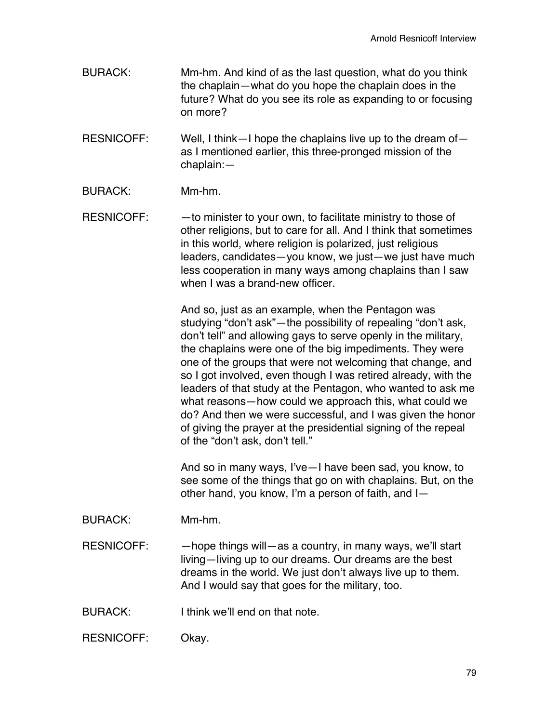- BURACK: Mm-hm. And kind of as the last question, what do you think the chaplain—what do you hope the chaplain does in the future? What do you see its role as expanding to or focusing on more?
- RESNICOFF: Well, I think—I hope the chaplains live up to the dream of as I mentioned earlier, this three-pronged mission of the chaplain:—
- BURACK: Mm-hm.
- RESNICOFF: - to minister to your own, to facilitate ministry to those of other religions, but to care for all. And I think that sometimes in this world, where religion is polarized, just religious leaders, candidates—you know, we just—we just have much less cooperation in many ways among chaplains than I saw when I was a brand-new officer.

And so, just as an example, when the Pentagon was studying "don't ask"—the possibility of repealing "don't ask, don't tell" and allowing gays to serve openly in the military, the chaplains were one of the big impediments. They were one of the groups that were not welcoming that change, and so I got involved, even though I was retired already, with the leaders of that study at the Pentagon, who wanted to ask me what reasons—how could we approach this, what could we do? And then we were successful, and I was given the honor of giving the prayer at the presidential signing of the repeal of the "don't ask, don't tell."

And so in many ways, I've—I have been sad, you know, to see some of the things that go on with chaplains. But, on the other hand, you know, I'm a person of faith, and I—

- BURACK: Mm-hm.
- RESNICOFF: hope things will—as a country, in many ways, we'll start living—living up to our dreams. Our dreams are the best dreams in the world. We just don't always live up to them. And I would say that goes for the military, too.
- BURACK: I think we'll end on that note.
- RESNICOFF: Okay.